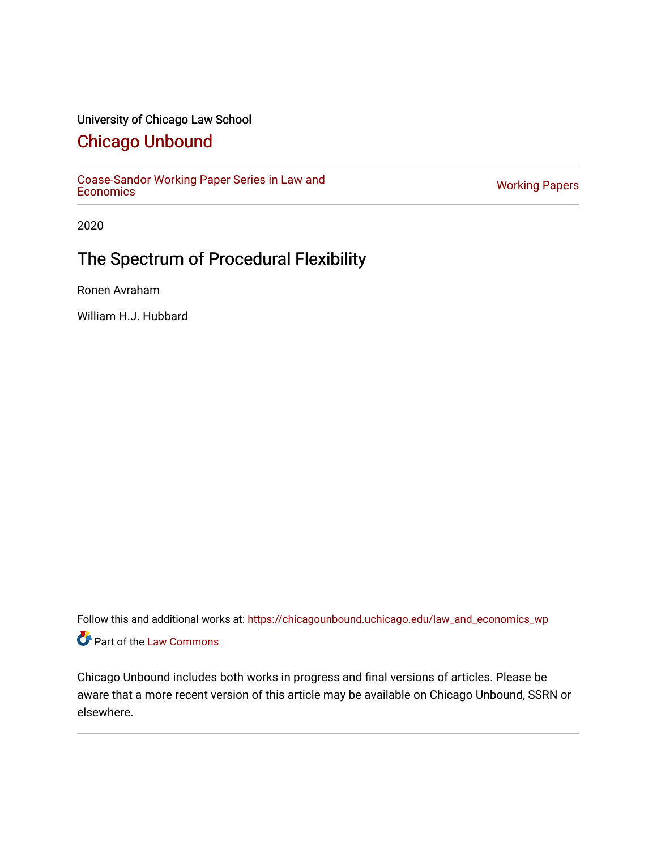## University of Chicago Law School

# [Chicago Unbound](https://chicagounbound.uchicago.edu/)

[Coase-Sandor Working Paper Series in Law and](https://chicagounbound.uchicago.edu/law_and_economics_wp) [Economics](https://chicagounbound.uchicago.edu/law_and_economics_wp) [Working Papers](https://chicagounbound.uchicago.edu/working_papers) 

2020

# The Spectrum of Procedural Flexibility

Ronen Avraham

William H.J. Hubbard

Follow this and additional works at: [https://chicagounbound.uchicago.edu/law\\_and\\_economics\\_wp](https://chicagounbound.uchicago.edu/law_and_economics_wp?utm_source=chicagounbound.uchicago.edu%2Flaw_and_economics_wp%2F34&utm_medium=PDF&utm_campaign=PDFCoverPages)  Part of the [Law Commons](http://network.bepress.com/hgg/discipline/578?utm_source=chicagounbound.uchicago.edu%2Flaw_and_economics_wp%2F34&utm_medium=PDF&utm_campaign=PDFCoverPages)

Chicago Unbound includes both works in progress and final versions of articles. Please be aware that a more recent version of this article may be available on Chicago Unbound, SSRN or elsewhere.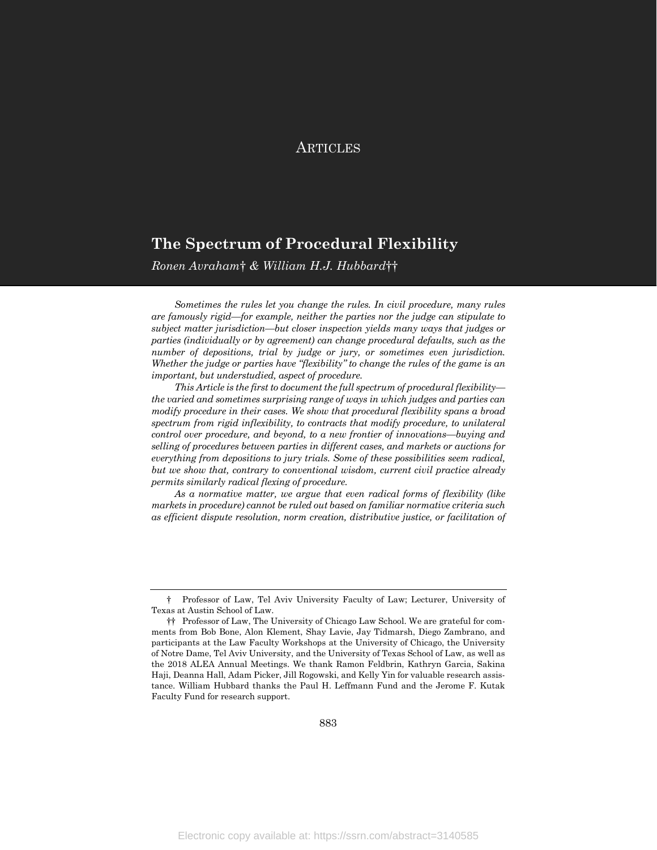## **ARTICLES**

## The Spectrum of Procedural Flexibility

Ronen Avraham† & William H.J. Hubbard††

Sometimes the rules let you change the rules. In civil procedure, many rules are famously rigid—for example, neither the parties nor the judge can stipulate to subject matter jurisdiction—but closer inspection yields many ways that judges or parties (individually or by agreement) can change procedural defaults, such as the number of depositions, trial by judge or jury, or sometimes even jurisdiction. Whether the judge or parties have "flexibility" to change the rules of the game is an important, but understudied, aspect of procedure.

This Article is the first to document the full spectrum of procedural flexibility the varied and sometimes surprising range of ways in which judges and parties can modify procedure in their cases. We show that procedural flexibility spans a broad spectrum from rigid inflexibility, to contracts that modify procedure, to unilateral control over procedure, and beyond, to a new frontier of innovations—buying and selling of procedures between parties in different cases, and markets or auctions for everything from depositions to jury trials. Some of these possibilities seem radical, but we show that, contrary to conventional wisdom, current civil practice already permits similarly radical flexing of procedure.

As a normative matter, we argue that even radical forms of flexibility (like markets in procedure) cannot be ruled out based on familiar normative criteria such as efficient dispute resolution, norm creation, distributive justice, or facilitation of

 <sup>†</sup> Professor of Law, Tel Aviv University Faculty of Law; Lecturer, University of Texas at Austin School of Law.

 <sup>††</sup> Professor of Law, The University of Chicago Law School. We are grateful for comments from Bob Bone, Alon Klement, Shay Lavie, Jay Tidmarsh, Diego Zambrano, and participants at the Law Faculty Workshops at the University of Chicago, the University of Notre Dame, Tel Aviv University, and the University of Texas School of Law, as well as the 2018 ALEA Annual Meetings. We thank Ramon Feldbrin, Kathryn Garcia, Sakina Haji, Deanna Hall, Adam Picker, Jill Rogowski, and Kelly Yin for valuable research assistance. William Hubbard thanks the Paul H. Leffmann Fund and the Jerome F. Kutak Faculty Fund for research support.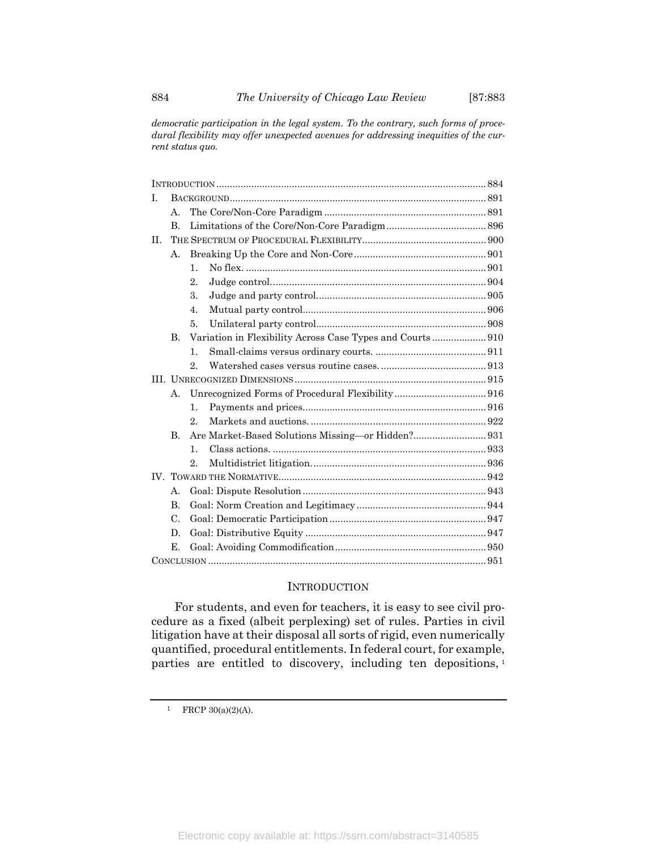democratic participation in the legal system. To the contrary, such forms of procedural flexibility may offer unexpected avenues for addressing inequities of the current status quo.

| $\mathbf{L}$ |                 |                                                           |  |
|--------------|-----------------|-----------------------------------------------------------|--|
|              | А.              |                                                           |  |
|              | $\mathbf{B}$    |                                                           |  |
| H.           |                 |                                                           |  |
|              | А.              |                                                           |  |
|              |                 | $\mathbf{1}$ .                                            |  |
|              |                 | 2                                                         |  |
|              |                 | 3.                                                        |  |
|              |                 | $\overline{4}$ .                                          |  |
|              |                 | 5.                                                        |  |
|              | B.              | Variation in Flexibility Across Case Types and Courts 910 |  |
|              |                 | 1.                                                        |  |
|              |                 | 2                                                         |  |
|              |                 |                                                           |  |
|              | $\mathbf{A}$ .  |                                                           |  |
|              |                 | $\mathbf{1}$ .                                            |  |
|              |                 | $2$ .                                                     |  |
|              | $\mathbf{B}$    |                                                           |  |
|              |                 | $\mathbf{1}$ .                                            |  |
|              |                 | 2.                                                        |  |
|              |                 |                                                           |  |
|              | А.              |                                                           |  |
|              | $\mathbf{B}$    |                                                           |  |
|              | $\mathcal{C}$ . |                                                           |  |
|              | D.              |                                                           |  |
|              | Е.              |                                                           |  |
|              |                 |                                                           |  |

#### INTRODUCTION

For students, and even for teachers, it is easy to see civil procedure as a fixed (albeit perplexing) set of rules. Parties in civil litigation have at their disposal all sorts of rigid, even numerically quantified, procedural entitlements. In federal court, for example, parties are entitled to discovery, including ten depositions, <sup>1</sup>

 $1$  FRCP 30(a)(2)(A).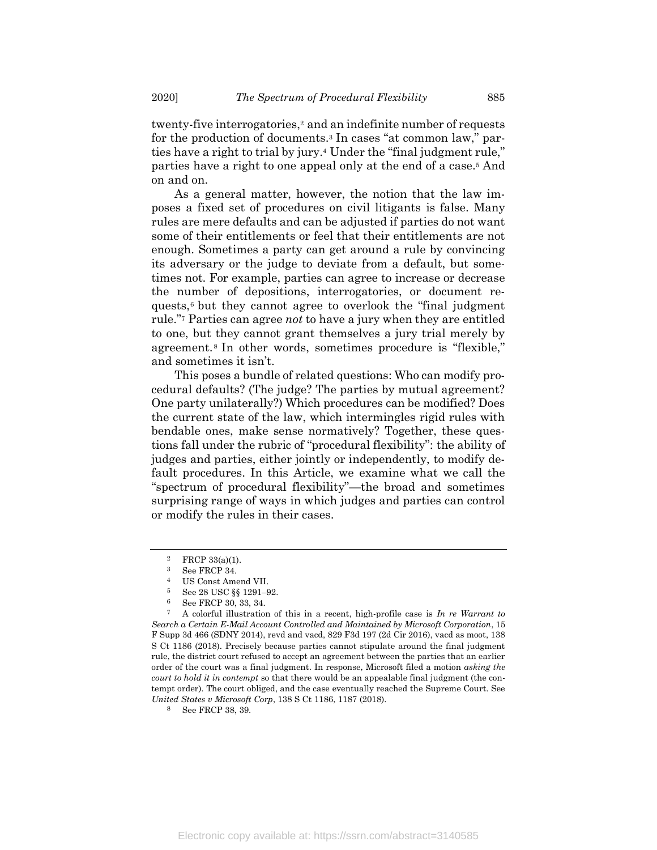twenty-five interrogatories,<sup>2</sup> and an indefinite number of requests for the production of documents.<sup>3</sup> In cases "at common law," parties have a right to trial by jury.<sup>4</sup> Under the "final judgment rule," parties have a right to one appeal only at the end of a case.<sup>5</sup> And on and on.

As a general matter, however, the notion that the law imposes a fixed set of procedures on civil litigants is false. Many rules are mere defaults and can be adjusted if parties do not want some of their entitlements or feel that their entitlements are not enough. Sometimes a party can get around a rule by convincing its adversary or the judge to deviate from a default, but sometimes not. For example, parties can agree to increase or decrease the number of depositions, interrogatories, or document requests,<sup>6</sup> but they cannot agree to overlook the "final judgment rule."<sup>7</sup> Parties can agree not to have a jury when they are entitled to one, but they cannot grant themselves a jury trial merely by agreement.<sup>8</sup> In other words, sometimes procedure is "flexible," and sometimes it isn't.

This poses a bundle of related questions: Who can modify procedural defaults? (The judge? The parties by mutual agreement? One party unilaterally?) Which procedures can be modified? Does the current state of the law, which intermingles rigid rules with bendable ones, make sense normatively? Together, these questions fall under the rubric of "procedural flexibility": the ability of judges and parties, either jointly or independently, to modify default procedures. In this Article, we examine what we call the "spectrum of procedural flexibility"—the broad and sometimes surprising range of ways in which judges and parties can control or modify the rules in their cases.

 $2$  FRCP 33(a)(1).

<sup>3</sup> See FRCP 34.

<sup>4</sup> US Const Amend VII.

<sup>5</sup> See 28 USC §§ 1291–92.

 $6\qquad$  See FRCP 30, 33, 34.

A colorful illustration of this in a recent, high-profile case is  $In$  re Warrant to Search a Certain E-Mail Account Controlled and Maintained by Microsoft Corporation, 15 F Supp 3d 466 (SDNY 2014), revd and vacd, 829 F3d 197 (2d Cir 2016), vacd as moot, 138 S Ct 1186 (2018). Precisely because parties cannot stipulate around the final judgment rule, the district court refused to accept an agreement between the parties that an earlier order of the court was a final judgment. In response, Microsoft filed a motion asking the court to hold it in contempt so that there would be an appealable final judgment (the contempt order). The court obliged, and the case eventually reached the Supreme Court. See United States v Microsoft Corp, 138 S Ct 1186, 1187 (2018).

See FRCP 38, 39.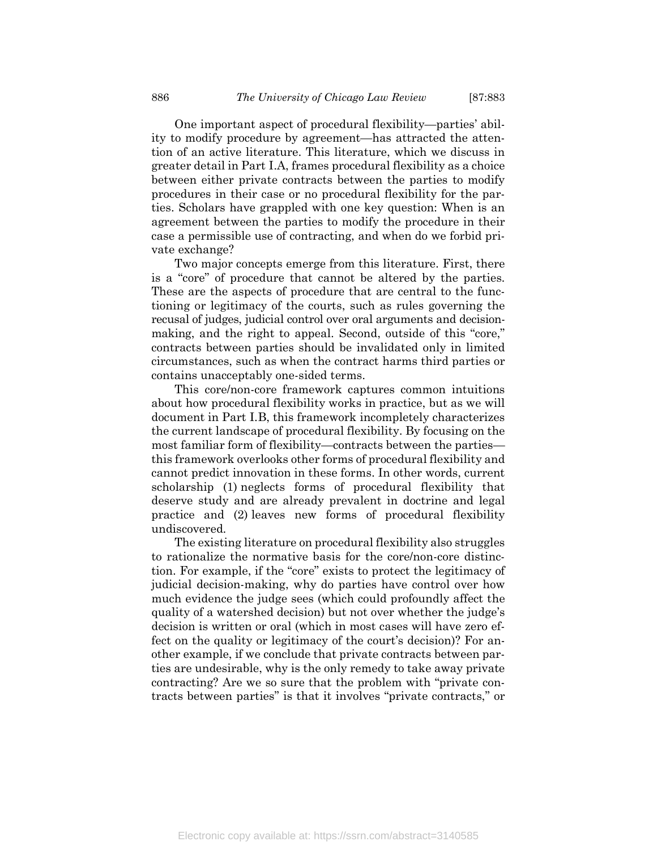One important aspect of procedural flexibility—parties' ability to modify procedure by agreement—has attracted the attention of an active literature. This literature, which we discuss in greater detail in Part I.A, frames procedural flexibility as a choice between either private contracts between the parties to modify procedures in their case or no procedural flexibility for the parties. Scholars have grappled with one key question: When is an agreement between the parties to modify the procedure in their case a permissible use of contracting, and when do we forbid private exchange?

Two major concepts emerge from this literature. First, there is a "core" of procedure that cannot be altered by the parties. These are the aspects of procedure that are central to the functioning or legitimacy of the courts, such as rules governing the recusal of judges, judicial control over oral arguments and decisionmaking, and the right to appeal. Second, outside of this "core," contracts between parties should be invalidated only in limited circumstances, such as when the contract harms third parties or contains unacceptably one-sided terms.

This core/non-core framework captures common intuitions about how procedural flexibility works in practice, but as we will document in Part I.B, this framework incompletely characterizes the current landscape of procedural flexibility. By focusing on the most familiar form of flexibility—contracts between the parties this framework overlooks other forms of procedural flexibility and cannot predict innovation in these forms. In other words, current scholarship (1) neglects forms of procedural flexibility that deserve study and are already prevalent in doctrine and legal practice and (2) leaves new forms of procedural flexibility undiscovered.

The existing literature on procedural flexibility also struggles to rationalize the normative basis for the core/non-core distinction. For example, if the "core" exists to protect the legitimacy of judicial decision-making, why do parties have control over how much evidence the judge sees (which could profoundly affect the quality of a watershed decision) but not over whether the judge's decision is written or oral (which in most cases will have zero effect on the quality or legitimacy of the court's decision)? For another example, if we conclude that private contracts between parties are undesirable, why is the only remedy to take away private contracting? Are we so sure that the problem with "private contracts between parties" is that it involves "private contracts," or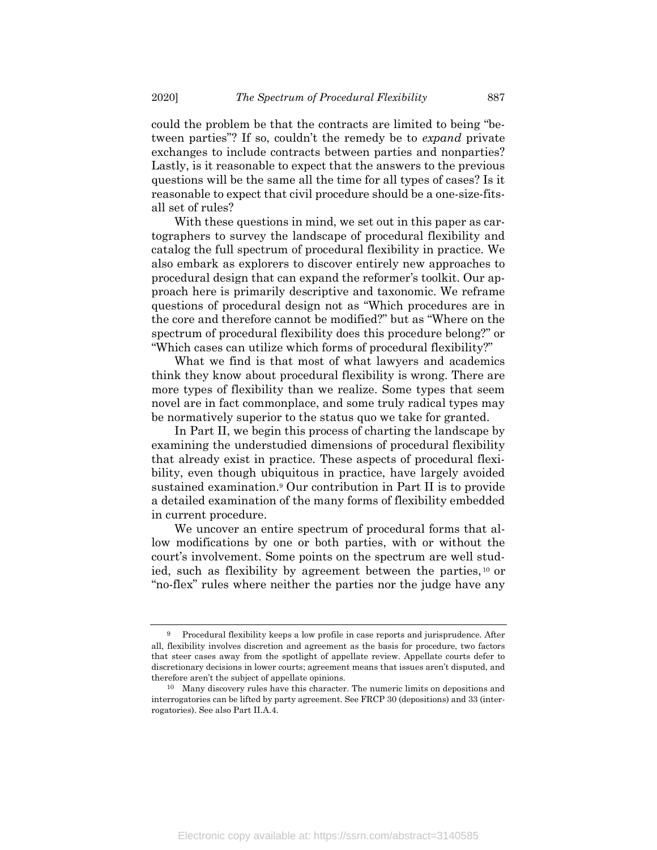could the problem be that the contracts are limited to being "between parties"? If so, couldn't the remedy be to *expand* private exchanges to include contracts between parties and nonparties? Lastly, is it reasonable to expect that the answers to the previous questions will be the same all the time for all types of cases? Is it reasonable to expect that civil procedure should be a one-size-fitsall set of rules?

With these questions in mind, we set out in this paper as cartographers to survey the landscape of procedural flexibility and catalog the full spectrum of procedural flexibility in practice. We also embark as explorers to discover entirely new approaches to procedural design that can expand the reformer's toolkit. Our approach here is primarily descriptive and taxonomic. We reframe questions of procedural design not as "Which procedures are in the core and therefore cannot be modified?" but as "Where on the spectrum of procedural flexibility does this procedure belong?" or "Which cases can utilize which forms of procedural flexibility?"

What we find is that most of what lawyers and academics think they know about procedural flexibility is wrong. There are more types of flexibility than we realize. Some types that seem novel are in fact commonplace, and some truly radical types may be normatively superior to the status quo we take for granted.

In Part II, we begin this process of charting the landscape by examining the understudied dimensions of procedural flexibility that already exist in practice. These aspects of procedural flexibility, even though ubiquitous in practice, have largely avoided sustained examination.<sup>9</sup> Our contribution in Part II is to provide a detailed examination of the many forms of flexibility embedded in current procedure.

We uncover an entire spectrum of procedural forms that allow modifications by one or both parties, with or without the court's involvement. Some points on the spectrum are well studied, such as flexibility by agreement between the parties, <sup>10</sup> or "no-flex" rules where neither the parties nor the judge have any

<sup>9</sup> Procedural flexibility keeps a low profile in case reports and jurisprudence. After all, flexibility involves discretion and agreement as the basis for procedure, two factors that steer cases away from the spotlight of appellate review. Appellate courts defer to discretionary decisions in lower courts; agreement means that issues aren't disputed, and therefore aren't the subject of appellate opinions.

<sup>10</sup> Many discovery rules have this character. The numeric limits on depositions and interrogatories can be lifted by party agreement. See FRCP 30 (depositions) and 33 (interrogatories). See also Part II.A.4.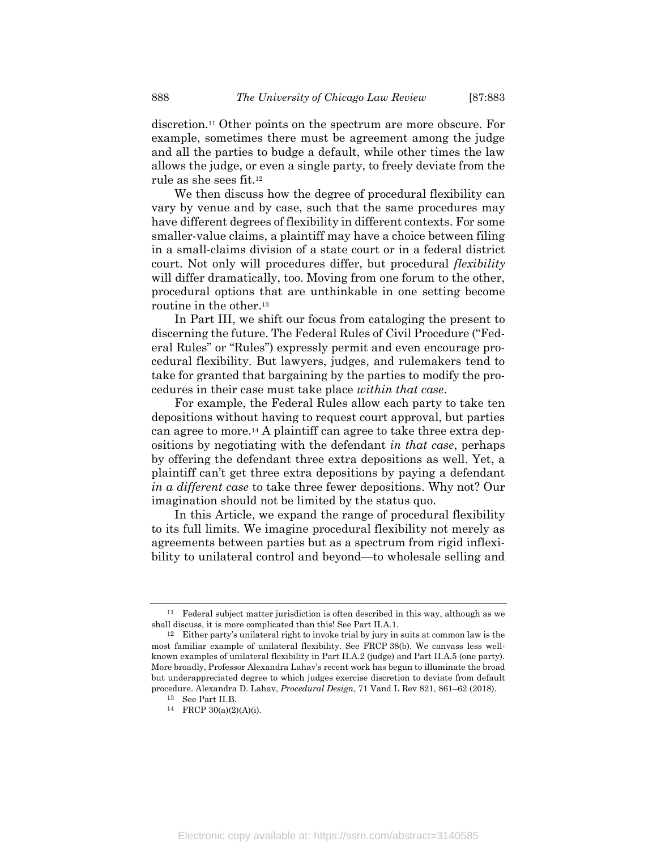discretion.11 Other points on the spectrum are more obscure. For example, sometimes there must be agreement among the judge and all the parties to budge a default, while other times the law allows the judge, or even a single party, to freely deviate from the rule as she sees fit.<sup>12</sup>

We then discuss how the degree of procedural flexibility can vary by venue and by case, such that the same procedures may have different degrees of flexibility in different contexts. For some smaller-value claims, a plaintiff may have a choice between filing in a small-claims division of a state court or in a federal district court. Not only will procedures differ, but procedural *flexibility* will differ dramatically, too. Moving from one forum to the other, procedural options that are unthinkable in one setting become routine in the other.<sup>13</sup>

In Part III, we shift our focus from cataloging the present to discerning the future. The Federal Rules of Civil Procedure ("Federal Rules" or "Rules") expressly permit and even encourage procedural flexibility. But lawyers, judges, and rulemakers tend to take for granted that bargaining by the parties to modify the procedures in their case must take place within that case.

For example, the Federal Rules allow each party to take ten depositions without having to request court approval, but parties can agree to more.14 A plaintiff can agree to take three extra depositions by negotiating with the defendant in that case, perhaps by offering the defendant three extra depositions as well. Yet, a plaintiff can't get three extra depositions by paying a defendant in a different case to take three fewer depositions. Why not? Our imagination should not be limited by the status quo.

In this Article, we expand the range of procedural flexibility to its full limits. We imagine procedural flexibility not merely as agreements between parties but as a spectrum from rigid inflexibility to unilateral control and beyond—to wholesale selling and

<sup>11</sup> Federal subject matter jurisdiction is often described in this way, although as we shall discuss, it is more complicated than this! See Part II.A.1.

<sup>12</sup> Either party's unilateral right to invoke trial by jury in suits at common law is the most familiar example of unilateral flexibility. See FRCP 38(b). We canvass less wellknown examples of unilateral flexibility in Part II.A.2 (judge) and Part II.A.5 (one party). More broadly, Professor Alexandra Lahav's recent work has begun to illuminate the broad but underappreciated degree to which judges exercise discretion to deviate from default procedure. Alexandra D. Lahav, Procedural Design, 71 Vand L Rev 821, 861–62 (2018).

<sup>13</sup> See Part II.B.

<sup>14</sup> FRCP 30(a)(2)(A)(i).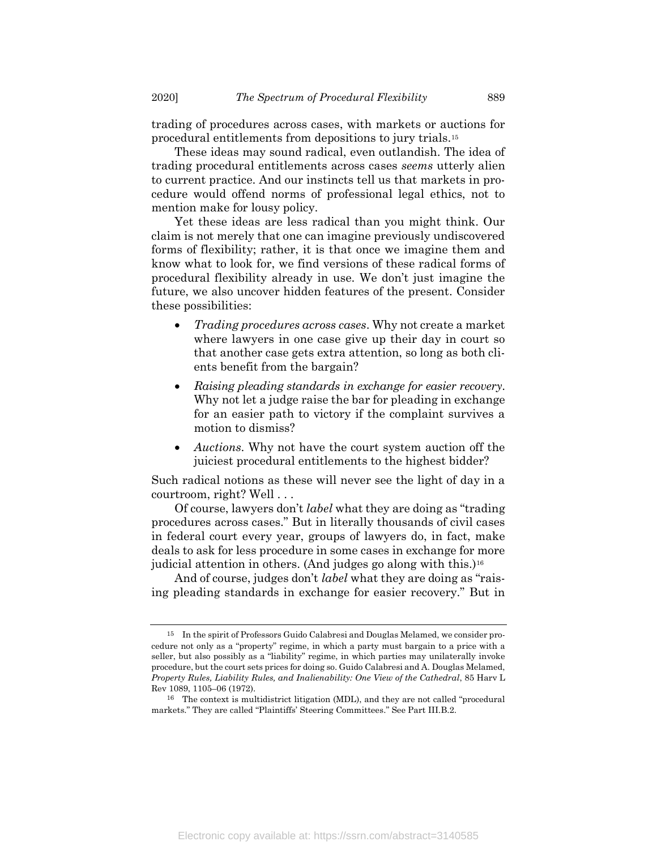trading of procedures across cases, with markets or auctions for procedural entitlements from depositions to jury trials.<sup>15</sup>

These ideas may sound radical, even outlandish. The idea of trading procedural entitlements across cases seems utterly alien to current practice. And our instincts tell us that markets in procedure would offend norms of professional legal ethics, not to mention make for lousy policy.

Yet these ideas are less radical than you might think. Our claim is not merely that one can imagine previously undiscovered forms of flexibility; rather, it is that once we imagine them and know what to look for, we find versions of these radical forms of procedural flexibility already in use. We don't just imagine the future, we also uncover hidden features of the present. Consider these possibilities:

- Trading procedures across cases. Why not create a market where lawyers in one case give up their day in court so that another case gets extra attention, so long as both clients benefit from the bargain?
- Raising pleading standards in exchange for easier recovery. Why not let a judge raise the bar for pleading in exchange for an easier path to victory if the complaint survives a motion to dismiss?
- Auctions. Why not have the court system auction off the juiciest procedural entitlements to the highest bidder?

Such radical notions as these will never see the light of day in a courtroom, right? Well . . .

Of course, lawyers don't label what they are doing as "trading procedures across cases." But in literally thousands of civil cases in federal court every year, groups of lawyers do, in fact, make deals to ask for less procedure in some cases in exchange for more judicial attention in others. (And judges go along with this.)<sup>16</sup>

And of course, judges don't *label* what they are doing as "raising pleading standards in exchange for easier recovery." But in

<sup>15</sup> In the spirit of Professors Guido Calabresi and Douglas Melamed, we consider procedure not only as a "property" regime, in which a party must bargain to a price with a seller, but also possibly as a "liability" regime, in which parties may unilaterally invoke procedure, but the court sets prices for doing so. Guido Calabresi and A. Douglas Melamed, Property Rules, Liability Rules, and Inalienability: One View of the Cathedral, 85 Harv L Rev 1089, 1105–06 (1972).

<sup>16</sup> The context is multidistrict litigation (MDL), and they are not called "procedural markets." They are called "Plaintiffs' Steering Committees." See Part III.B.2.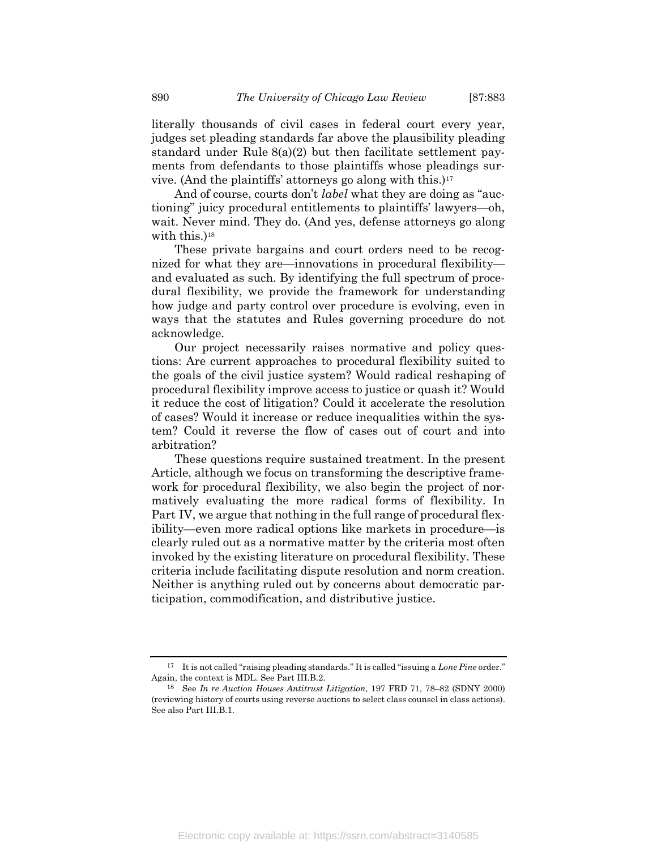literally thousands of civil cases in federal court every year, judges set pleading standards far above the plausibility pleading standard under Rule 8(a)(2) but then facilitate settlement payments from defendants to those plaintiffs whose pleadings survive. (And the plaintiffs' attorneys go along with this.)<sup>17</sup>

And of course, courts don't *label* what they are doing as "auctioning" juicy procedural entitlements to plaintiffs' lawyers—oh, wait. Never mind. They do. (And yes, defense attorneys go along with this.)<sup>18</sup>

These private bargains and court orders need to be recognized for what they are—innovations in procedural flexibility and evaluated as such. By identifying the full spectrum of procedural flexibility, we provide the framework for understanding how judge and party control over procedure is evolving, even in ways that the statutes and Rules governing procedure do not acknowledge.

Our project necessarily raises normative and policy questions: Are current approaches to procedural flexibility suited to the goals of the civil justice system? Would radical reshaping of procedural flexibility improve access to justice or quash it? Would it reduce the cost of litigation? Could it accelerate the resolution of cases? Would it increase or reduce inequalities within the system? Could it reverse the flow of cases out of court and into arbitration?

These questions require sustained treatment. In the present Article, although we focus on transforming the descriptive framework for procedural flexibility, we also begin the project of normatively evaluating the more radical forms of flexibility. In Part IV, we argue that nothing in the full range of procedural flexibility—even more radical options like markets in procedure—is clearly ruled out as a normative matter by the criteria most often invoked by the existing literature on procedural flexibility. These criteria include facilitating dispute resolution and norm creation. Neither is anything ruled out by concerns about democratic participation, commodification, and distributive justice.

 $17$  It is not called "raising pleading standards." It is called "issuing a Lone Pine order." Again, the context is MDL. See Part III.B.2.

<sup>18</sup> See In re Auction Houses Antitrust Litigation, 197 FRD 71, 78–82 (SDNY 2000) (reviewing history of courts using reverse auctions to select class counsel in class actions). See also Part III.B.1.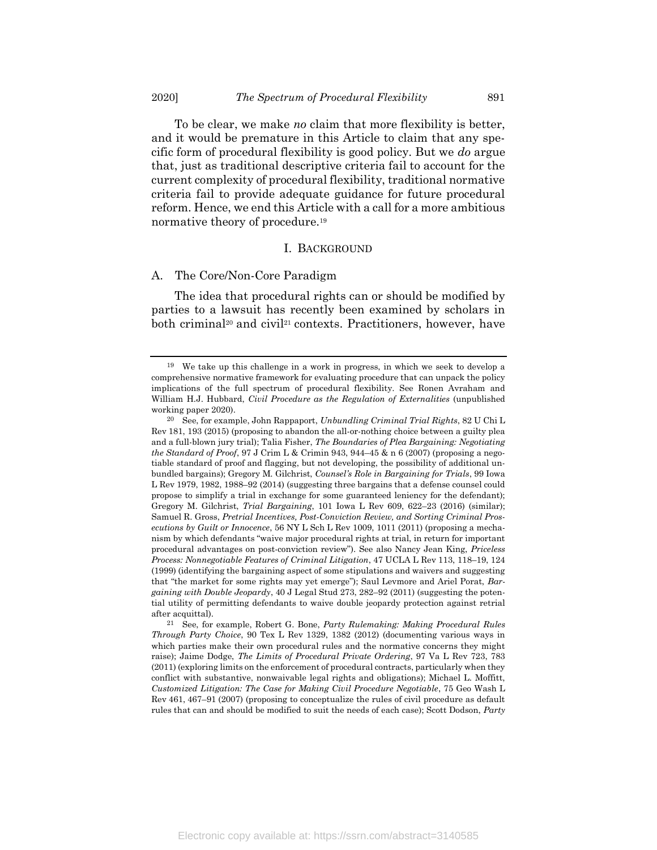To be clear, we make no claim that more flexibility is better, and it would be premature in this Article to claim that any specific form of procedural flexibility is good policy. But we do argue that, just as traditional descriptive criteria fail to account for the current complexity of procedural flexibility, traditional normative criteria fail to provide adequate guidance for future procedural reform. Hence, we end this Article with a call for a more ambitious normative theory of procedure.<sup>19</sup>

#### I. BACKGROUND

#### A. The Core/Non-Core Paradigm

The idea that procedural rights can or should be modified by parties to a lawsuit has recently been examined by scholars in both criminal<sup>20</sup> and civil<sup>21</sup> contexts. Practitioners, however, have

21 See, for example, Robert G. Bone, Party Rulemaking: Making Procedural Rules Through Party Choice, 90 Tex L Rev 1329, 1382 (2012) (documenting various ways in which parties make their own procedural rules and the normative concerns they might raise); Jaime Dodge, *The Limits of Procedural Private Ordering*, 97 Va L Rev 723, 783 (2011) (exploring limits on the enforcement of procedural contracts, particularly when they conflict with substantive, nonwaivable legal rights and obligations); Michael L. Moffitt, Customized Litigation: The Case for Making Civil Procedure Negotiable, 75 Geo Wash L Rev 461, 467–91 (2007) (proposing to conceptualize the rules of civil procedure as default rules that can and should be modified to suit the needs of each case); Scott Dodson, Party

<sup>19</sup> We take up this challenge in a work in progress, in which we seek to develop a comprehensive normative framework for evaluating procedure that can unpack the policy implications of the full spectrum of procedural flexibility. See Ronen Avraham and William H.J. Hubbard, Civil Procedure as the Regulation of Externalities (unpublished working paper 2020).

<sup>20</sup> See, for example, John Rappaport, Unbundling Criminal Trial Rights, 82 U Chi L Rev 181, 193 (2015) (proposing to abandon the all-or-nothing choice between a guilty plea and a full-blown jury trial); Talia Fisher, The Boundaries of Plea Bargaining: Negotiating the Standard of Proof, 97 J Crim L & Crimin 943, 944–45 & n 6 (2007) (proposing a negotiable standard of proof and flagging, but not developing, the possibility of additional unbundled bargains); Gregory M. Gilchrist, Counsel's Role in Bargaining for Trials, 99 Iowa L Rev 1979, 1982, 1988–92 (2014) (suggesting three bargains that a defense counsel could propose to simplify a trial in exchange for some guaranteed leniency for the defendant); Gregory M. Gilchrist, Trial Bargaining, 101 Iowa L Rev 609, 622–23 (2016) (similar); Samuel R. Gross, Pretrial Incentives, Post-Conviction Review, and Sorting Criminal Prosecutions by Guilt or Innocence, 56 NY L Sch L Rev 1009, 1011 (2011) (proposing a mechanism by which defendants "waive major procedural rights at trial, in return for important procedural advantages on post-conviction review"). See also Nancy Jean King, Priceless Process: Nonnegotiable Features of Criminal Litigation, 47 UCLA L Rev 113, 118–19, 124 (1999) (identifying the bargaining aspect of some stipulations and waivers and suggesting that "the market for some rights may yet emerge"); Saul Levmore and Ariel Porat, Bargaining with Double Jeopardy, 40 J Legal Stud 273, 282–92 (2011) (suggesting the potential utility of permitting defendants to waive double jeopardy protection against retrial after acquittal).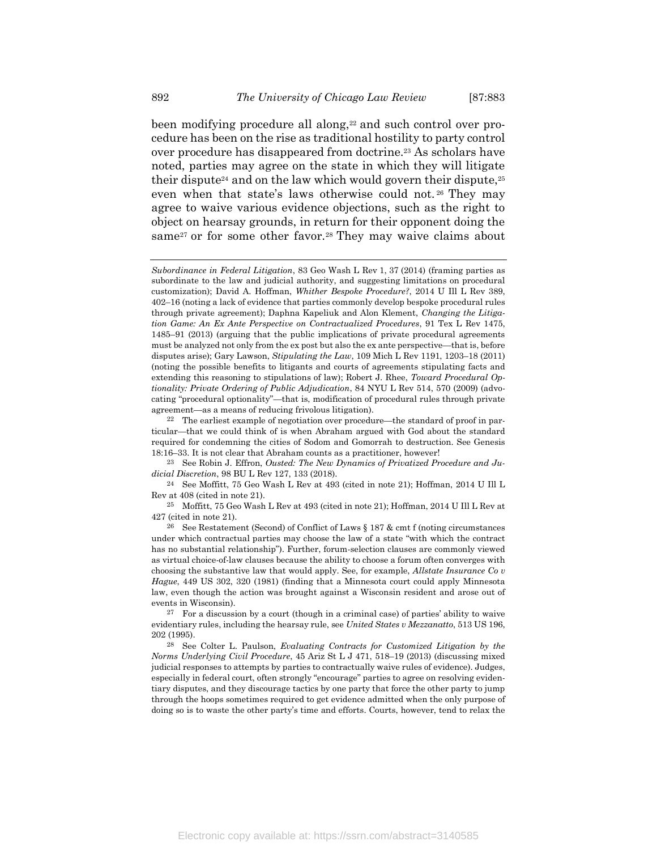been modifying procedure all along,<sup>22</sup> and such control over procedure has been on the rise as traditional hostility to party control over procedure has disappeared from doctrine.23 As scholars have noted, parties may agree on the state in which they will litigate their dispute<sup>24</sup> and on the law which would govern their dispute,  $25$ 

even when that state's laws otherwise could not.<sup>26</sup> They may agree to waive various evidence objections, such as the right to object on hearsay grounds, in return for their opponent doing the same<sup>27</sup> or for some other favor.<sup>28</sup> They may waive claims about

25 Moffitt, 75 Geo Wash L Rev at 493 (cited in note 21); Hoffman, 2014 U Ill L Rev at 427 (cited in note 21).

Subordinance in Federal Litigation, 83 Geo Wash L Rev 1, 37 (2014) (framing parties as subordinate to the law and judicial authority, and suggesting limitations on procedural customization); David A. Hoffman, Whither Bespoke Procedure?, 2014 U Ill L Rev 389, 402–16 (noting a lack of evidence that parties commonly develop bespoke procedural rules through private agreement); Daphna Kapeliuk and Alon Klement, Changing the Litigation Game: An Ex Ante Perspective on Contractualized Procedures, 91 Tex L Rev 1475, 1485–91 (2013) (arguing that the public implications of private procedural agreements must be analyzed not only from the ex post but also the ex ante perspective—that is, before disputes arise); Gary Lawson, Stipulating the Law, 109 Mich L Rev 1191, 1203–18 (2011) (noting the possible benefits to litigants and courts of agreements stipulating facts and extending this reasoning to stipulations of law); Robert J. Rhee, *Toward Procedural Op*tionality: Private Ordering of Public Adjudication, 84 NYU L Rev 514, 570 (2009) (advocating "procedural optionality"—that is, modification of procedural rules through private agreement—as a means of reducing frivolous litigation).

<sup>22</sup> The earliest example of negotiation over procedure—the standard of proof in particular—that we could think of is when Abraham argued with God about the standard required for condemning the cities of Sodom and Gomorrah to destruction. See Genesis 18:16–33. It is not clear that Abraham counts as a practitioner, however!

 $23$  See Robin J. Effron, Ousted: The New Dynamics of Privatized Procedure and Judicial Discretion, 98 BU L Rev 127, 133 (2018).

<sup>24</sup> See Moffitt, 75 Geo Wash L Rev at 493 (cited in note 21); Hoffman, 2014 U Ill L Rev at 408 (cited in note 21).

<sup>&</sup>lt;sup>26</sup> See Restatement (Second) of Conflict of Laws  $\S 187 \& \text{ cm}$  f (noting circumstances under which contractual parties may choose the law of a state "with which the contract has no substantial relationship"). Further, forum-selection clauses are commonly viewed as virtual choice-of-law clauses because the ability to choose a forum often converges with choosing the substantive law that would apply. See, for example,  $Allstate$  Insurance Co  $v$ Hague, 449 US 302, 320 (1981) (finding that a Minnesota court could apply Minnesota law, even though the action was brought against a Wisconsin resident and arose out of events in Wisconsin).

 $27$  For a discussion by a court (though in a criminal case) of parties' ability to waive evidentiary rules, including the hearsay rule, see United States v Mezzanatto, 513 US 196, 202 (1995).

<sup>28</sup> See Colter L. Paulson, Evaluating Contracts for Customized Litigation by the Norms Underlying Civil Procedure, 45 Ariz St L J 471, 518–19 (2013) (discussing mixed judicial responses to attempts by parties to contractually waive rules of evidence). Judges, especially in federal court, often strongly "encourage" parties to agree on resolving evidentiary disputes, and they discourage tactics by one party that force the other party to jump through the hoops sometimes required to get evidence admitted when the only purpose of doing so is to waste the other party's time and efforts. Courts, however, tend to relax the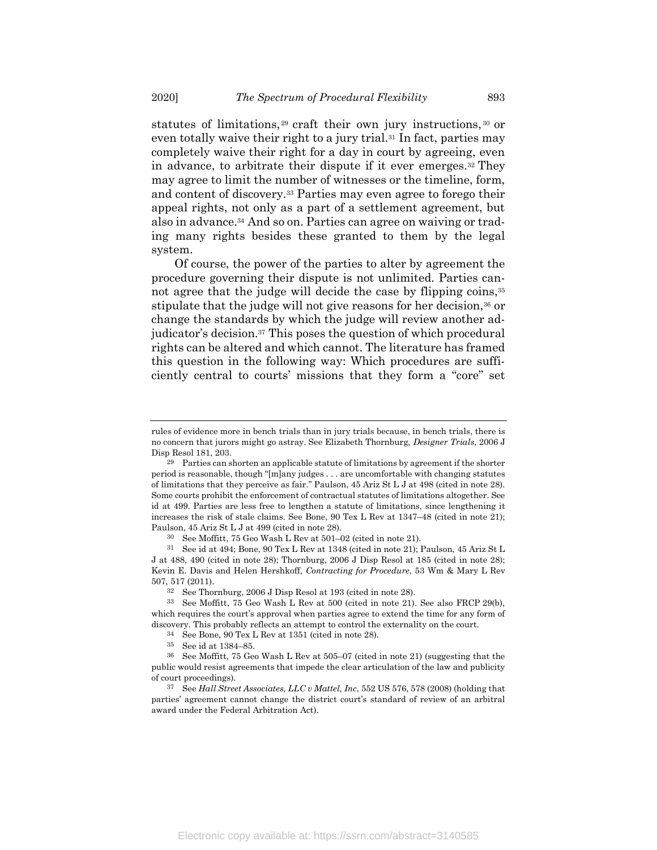statutes of limitations, <sup>29</sup> craft their own jury instructions, <sup>30</sup> or even totally waive their right to a jury trial.31 In fact, parties may completely waive their right for a day in court by agreeing, even in advance, to arbitrate their dispute if it ever emerges.32 They may agree to limit the number of witnesses or the timeline, form, and content of discovery.33 Parties may even agree to forego their appeal rights, not only as a part of a settlement agreement, but also in advance.34 And so on. Parties can agree on waiving or trading many rights besides these granted to them by the legal system.

Of course, the power of the parties to alter by agreement the procedure governing their dispute is not unlimited. Parties cannot agree that the judge will decide the case by flipping coins,<sup>35</sup> stipulate that the judge will not give reasons for her decision,<sup>36</sup> or change the standards by which the judge will review another adjudicator's decision.37 This poses the question of which procedural rights can be altered and which cannot. The literature has framed this question in the following way: Which procedures are sufficiently central to courts' missions that they form a "core" set

rules of evidence more in bench trials than in jury trials because, in bench trials, there is no concern that jurors might go astray. See Elizabeth Thornburg, Designer Trials, 2006 J Disp Resol 181, 203.

 $29$  Parties can shorten an applicable statute of limitations by agreement if the shorter period is reasonable, though "[m]any judges . . . are uncomfortable with changing statutes of limitations that they perceive as fair." Paulson, 45 Ariz St L J at 498 (cited in note 28). Some courts prohibit the enforcement of contractual statutes of limitations altogether. See id at 499. Parties are less free to lengthen a statute of limitations, since lengthening it increases the risk of stale claims. See Bone, 90 Tex L Rev at 1347–48 (cited in note 21); Paulson, 45 Ariz St L J at 499 (cited in note 28).

<sup>30</sup> See Moffitt, 75 Geo Wash L Rev at 501–02 (cited in note 21).

<sup>31</sup> See id at 494; Bone, 90 Tex L Rev at 1348 (cited in note 21); Paulson, 45 Ariz St L J at 488, 490 (cited in note 28); Thornburg, 2006 J Disp Resol at 185 (cited in note 28); Kevin E. Davis and Helen Hershkoff, Contracting for Procedure, 53 Wm & Mary L Rev 507, 517 (2011).

<sup>32</sup> See Thornburg, 2006 J Disp Resol at 193 (cited in note 28).

<sup>33</sup> See Moffitt, 75 Geo Wash L Rev at 500 (cited in note 21). See also FRCP 29(b), which requires the court's approval when parties agree to extend the time for any form of discovery. This probably reflects an attempt to control the externality on the court.

<sup>34</sup> See Bone, 90 Tex L Rev at 1351 (cited in note 28).

<sup>35</sup> See id at 1384–85.

<sup>36</sup> See Moffitt, 75 Geo Wash L Rev at 505–07 (cited in note 21) (suggesting that the public would resist agreements that impede the clear articulation of the law and publicity of court proceedings).

<sup>&</sup>lt;sup>37</sup> See Hall Street Associates, LLC v Mattel, Inc, 552 US 576, 578 (2008) (holding that parties' agreement cannot change the district court's standard of review of an arbitral award under the Federal Arbitration Act).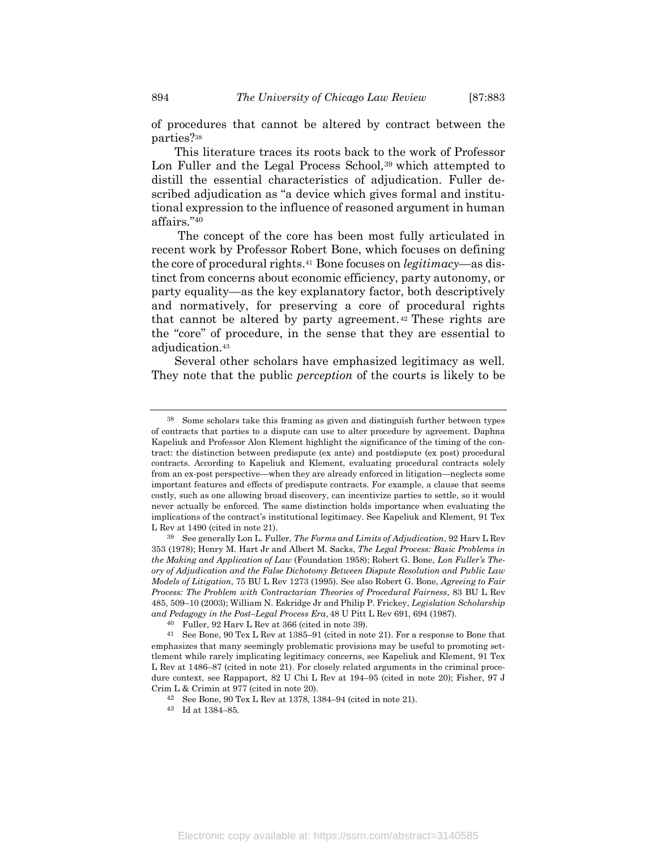of procedures that cannot be altered by contract between the parties?<sup>38</sup>

This literature traces its roots back to the work of Professor Lon Fuller and the Legal Process School,<sup>39</sup> which attempted to distill the essential characteristics of adjudication. Fuller described adjudication as "a device which gives formal and institutional expression to the influence of reasoned argument in human affairs."<sup>40</sup>

 The concept of the core has been most fully articulated in recent work by Professor Robert Bone, which focuses on defining the core of procedural rights.<sup>41</sup> Bone focuses on *legitimacy*—as distinct from concerns about economic efficiency, party autonomy, or party equality—as the key explanatory factor, both descriptively and normatively, for preserving a core of procedural rights that cannot be altered by party agreement. <sup>42</sup> These rights are the "core" of procedure, in the sense that they are essential to adjudication.<sup>43</sup>

Several other scholars have emphasized legitimacy as well. They note that the public *perception* of the courts is likely to be

Some scholars take this framing as given and distinguish further between types of contracts that parties to a dispute can use to alter procedure by agreement. Daphna Kapeliuk and Professor Alon Klement highlight the significance of the timing of the contract: the distinction between predispute (ex ante) and postdispute (ex post) procedural contracts. According to Kapeliuk and Klement, evaluating procedural contracts solely from an ex-post perspective—when they are already enforced in litigation—neglects some important features and effects of predispute contracts. For example, a clause that seems costly, such as one allowing broad discovery, can incentivize parties to settle, so it would never actually be enforced. The same distinction holds importance when evaluating the implications of the contract's institutional legitimacy. See Kapeliuk and Klement, 91 Tex L Rev at 1490 (cited in note 21).

<sup>&</sup>lt;sup>39</sup> See generally Lon L. Fuller, *The Forms and Limits of Adjudication*, 92 Harv L Rev 353 (1978); Henry M. Hart Jr and Albert M. Sacks, The Legal Process: Basic Problems in the Making and Application of Law (Foundation 1958); Robert G. Bone, Lon Fuller's Theory of Adjudication and the False Dichotomy Between Dispute Resolution and Public Law Models of Litigation, 75 BU L Rev 1273 (1995). See also Robert G. Bone, Agreeing to Fair Process: The Problem with Contractarian Theories of Procedural Fairness, 83 BU L Rev 485, 509–10 (2003); William N. Eskridge Jr and Philip P. Frickey, Legislation Scholarship and Pedagogy in the Post–Legal Process Era, 48 U Pitt L Rev 691, 694 (1987).

<sup>40</sup> Fuller, 92 Harv L Rev at 366 (cited in note 39).

<sup>41</sup> See Bone, 90 Tex L Rev at 1385–91 (cited in note 21). For a response to Bone that emphasizes that many seemingly problematic provisions may be useful to promoting settlement while rarely implicating legitimacy concerns, see Kapeliuk and Klement, 91 Tex L Rev at 1486–87 (cited in note 21). For closely related arguments in the criminal procedure context, see Rappaport, 82 U Chi L Rev at 194–95 (cited in note 20); Fisher, 97 J Crim L & Crimin at 977 (cited in note 20).

<sup>42</sup> See Bone, 90 Tex L Rev at 1378, 1384–94 (cited in note 21).

<sup>43</sup> Id at 1384–85.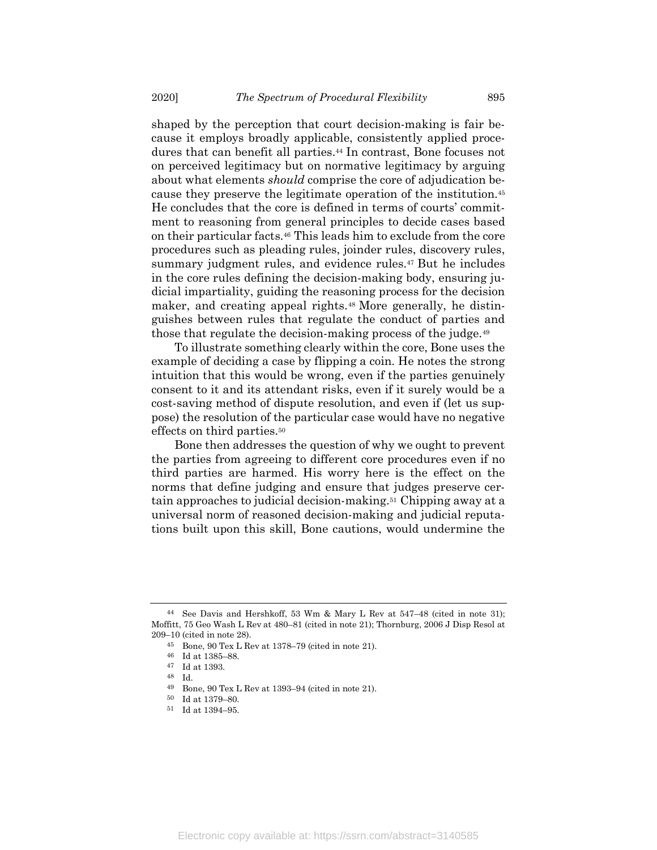shaped by the perception that court decision-making is fair because it employs broadly applicable, consistently applied procedures that can benefit all parties.44 In contrast, Bone focuses not on perceived legitimacy but on normative legitimacy by arguing about what elements *should* comprise the core of adjudication because they preserve the legitimate operation of the institution.<sup>45</sup> He concludes that the core is defined in terms of courts' commitment to reasoning from general principles to decide cases based on their particular facts.46 This leads him to exclude from the core procedures such as pleading rules, joinder rules, discovery rules, summary judgment rules, and evidence rules.<sup>47</sup> But he includes in the core rules defining the decision-making body, ensuring judicial impartiality, guiding the reasoning process for the decision maker, and creating appeal rights.48 More generally, he distinguishes between rules that regulate the conduct of parties and those that regulate the decision-making process of the judge.<sup>49</sup>

To illustrate something clearly within the core, Bone uses the example of deciding a case by flipping a coin. He notes the strong intuition that this would be wrong, even if the parties genuinely consent to it and its attendant risks, even if it surely would be a cost-saving method of dispute resolution, and even if (let us suppose) the resolution of the particular case would have no negative effects on third parties.<sup>50</sup>

Bone then addresses the question of why we ought to prevent the parties from agreeing to different core procedures even if no third parties are harmed. His worry here is the effect on the norms that define judging and ensure that judges preserve certain approaches to judicial decision-making.51 Chipping away at a universal norm of reasoned decision-making and judicial reputations built upon this skill, Bone cautions, would undermine the

<sup>44</sup> See Davis and Hershkoff, 53 Wm & Mary L Rev at 547–48 (cited in note 31); Moffitt, 75 Geo Wash L Rev at 480–81 (cited in note 21); Thornburg, 2006 J Disp Resol at 209–10 (cited in note 28).

<sup>45</sup> Bone, 90 Tex L Rev at 1378–79 (cited in note 21).

<sup>46</sup> Id at 1385–88.

<sup>47</sup> Id at 1393.

<sup>48</sup> Id.

<sup>49</sup> Bone, 90 Tex L Rev at 1393–94 (cited in note 21).

<sup>50</sup> Id at 1379–80.

<sup>51</sup> Id at 1394–95.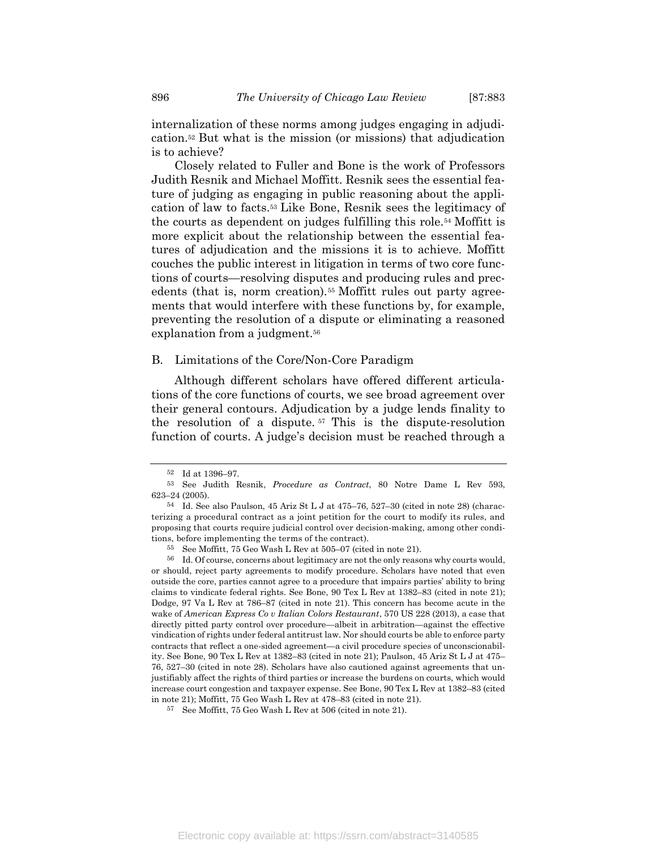internalization of these norms among judges engaging in adjudication.52 But what is the mission (or missions) that adjudication is to achieve?

Closely related to Fuller and Bone is the work of Professors Judith Resnik and Michael Moffitt. Resnik sees the essential feature of judging as engaging in public reasoning about the application of law to facts.53 Like Bone, Resnik sees the legitimacy of the courts as dependent on judges fulfilling this role.54 Moffitt is more explicit about the relationship between the essential features of adjudication and the missions it is to achieve. Moffitt couches the public interest in litigation in terms of two core functions of courts—resolving disputes and producing rules and precedents (that is, norm creation).<sup>55</sup> Moffitt rules out party agreements that would interfere with these functions by, for example, preventing the resolution of a dispute or eliminating a reasoned explanation from a judgment.<sup>56</sup>

#### B. Limitations of the Core/Non-Core Paradigm

Although different scholars have offered different articulations of the core functions of courts, we see broad agreement over their general contours. Adjudication by a judge lends finality to the resolution of a dispute. <sup>57</sup> This is the dispute-resolution function of courts. A judge's decision must be reached through a

<sup>52</sup> Id at 1396–97.

<sup>53</sup> See Judith Resnik, Procedure as Contract, 80 Notre Dame L Rev 593, 623–24 (2005).

<sup>54</sup> Id. See also Paulson, 45 Ariz St L J at 475–76, 527–30 (cited in note 28) (characterizing a procedural contract as a joint petition for the court to modify its rules, and proposing that courts require judicial control over decision-making, among other conditions, before implementing the terms of the contract).

<sup>55</sup> See Moffitt, 75 Geo Wash L Rev at 505–07 (cited in note 21).

<sup>56</sup> Id. Of course, concerns about legitimacy are not the only reasons why courts would, or should, reject party agreements to modify procedure. Scholars have noted that even outside the core, parties cannot agree to a procedure that impairs parties' ability to bring claims to vindicate federal rights. See Bone, 90 Tex L Rev at 1382–83 (cited in note 21); Dodge, 97 Va L Rev at 786–87 (cited in note 21). This concern has become acute in the wake of American Express Co v Italian Colors Restaurant, 570 US 228 (2013), a case that directly pitted party control over procedure—albeit in arbitration—against the effective vindication of rights under federal antitrust law. Nor should courts be able to enforce party contracts that reflect a one-sided agreement—a civil procedure species of unconscionability. See Bone, 90 Tex L Rev at 1382–83 (cited in note 21); Paulson, 45 Ariz St L J at 475– 76, 527–30 (cited in note 28). Scholars have also cautioned against agreements that unjustifiably affect the rights of third parties or increase the burdens on courts, which would increase court congestion and taxpayer expense. See Bone, 90 Tex L Rev at 1382–83 (cited in note 21); Moffitt, 75 Geo Wash L Rev at 478–83 (cited in note 21).

<sup>57</sup> See Moffitt, 75 Geo Wash L Rev at 506 (cited in note 21).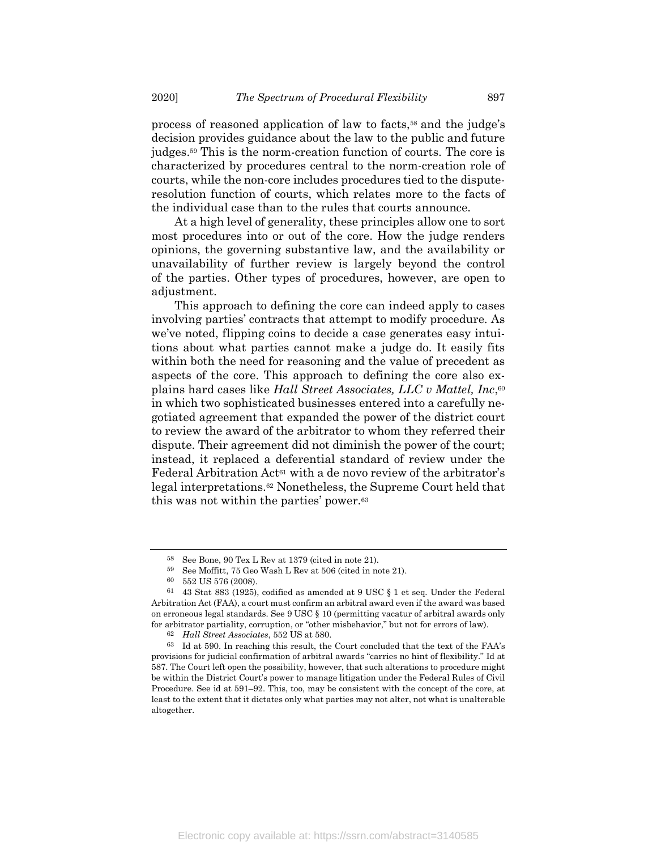process of reasoned application of law to facts,58 and the judge's decision provides guidance about the law to the public and future judges.59 This is the norm-creation function of courts. The core is characterized by procedures central to the norm-creation role of courts, while the non-core includes procedures tied to the disputeresolution function of courts, which relates more to the facts of the individual case than to the rules that courts announce.

At a high level of generality, these principles allow one to sort most procedures into or out of the core. How the judge renders opinions, the governing substantive law, and the availability or unavailability of further review is largely beyond the control of the parties. Other types of procedures, however, are open to adjustment.

This approach to defining the core can indeed apply to cases involving parties' contracts that attempt to modify procedure. As we've noted, flipping coins to decide a case generates easy intuitions about what parties cannot make a judge do. It easily fits within both the need for reasoning and the value of precedent as aspects of the core. This approach to defining the core also explains hard cases like Hall Street Associates, LLC v Mattel, Inc,<sup>60</sup> in which two sophisticated businesses entered into a carefully negotiated agreement that expanded the power of the district court to review the award of the arbitrator to whom they referred their dispute. Their agreement did not diminish the power of the court; instead, it replaced a deferential standard of review under the Federal Arbitration Act<sup>61</sup> with a de novo review of the arbitrator's legal interpretations.62 Nonetheless, the Supreme Court held that this was not within the parties' power.<sup>63</sup>

<sup>58</sup> See Bone, 90 Tex L Rev at 1379 (cited in note 21).

<sup>59</sup> See Moffitt, 75 Geo Wash L Rev at 506 (cited in note 21).

<sup>60</sup> 552 US 576 (2008).

 $61$  43 Stat 883 (1925), codified as amended at 9 USC  $\S 1$  et seq. Under the Federal Arbitration Act (FAA), a court must confirm an arbitral award even if the award was based on erroneous legal standards. See 9 USC § 10 (permitting vacatur of arbitral awards only for arbitrator partiality, corruption, or "other misbehavior," but not for errors of law).

<sup>62</sup> Hall Street Associates, 552 US at 580.

<sup>63</sup> Id at 590. In reaching this result, the Court concluded that the text of the FAA's provisions for judicial confirmation of arbitral awards "carries no hint of flexibility." Id at 587. The Court left open the possibility, however, that such alterations to procedure might be within the District Court's power to manage litigation under the Federal Rules of Civil Procedure. See id at 591–92. This, too, may be consistent with the concept of the core, at least to the extent that it dictates only what parties may not alter, not what is unalterable altogether.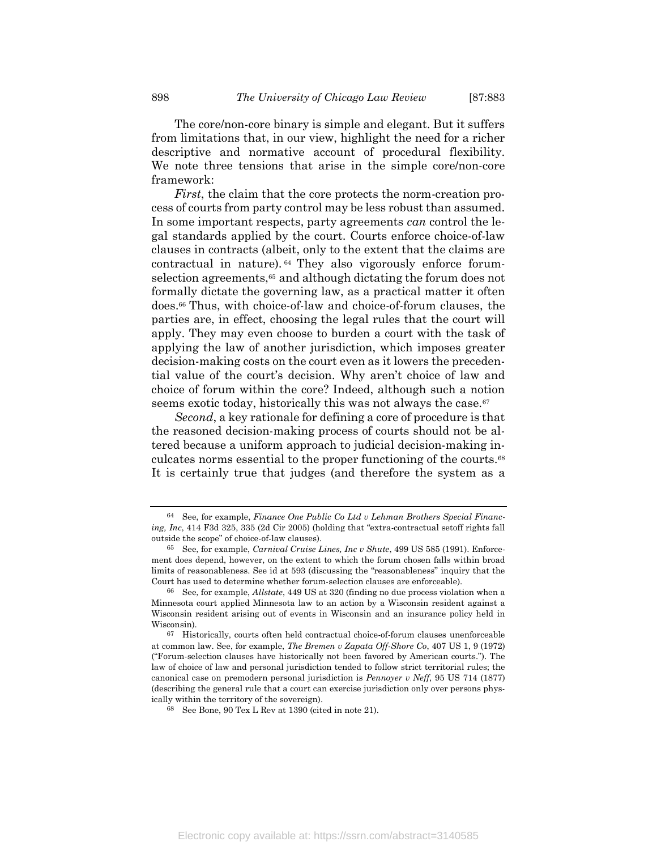The core/non-core binary is simple and elegant. But it suffers from limitations that, in our view, highlight the need for a richer descriptive and normative account of procedural flexibility. We note three tensions that arise in the simple core/non-core framework:

First, the claim that the core protects the norm-creation process of courts from party control may be less robust than assumed. In some important respects, party agreements can control the legal standards applied by the court. Courts enforce choice-of-law clauses in contracts (albeit, only to the extent that the claims are contractual in nature). <sup>64</sup> They also vigorously enforce forumselection agreements,<sup>65</sup> and although dictating the forum does not formally dictate the governing law, as a practical matter it often does.66 Thus, with choice-of-law and choice-of-forum clauses, the parties are, in effect, choosing the legal rules that the court will apply. They may even choose to burden a court with the task of applying the law of another jurisdiction, which imposes greater decision-making costs on the court even as it lowers the precedential value of the court's decision. Why aren't choice of law and choice of forum within the core? Indeed, although such a notion seems exotic today, historically this was not always the case.<sup>67</sup>

Second, a key rationale for defining a core of procedure is that the reasoned decision-making process of courts should not be altered because a uniform approach to judicial decision-making inculcates norms essential to the proper functioning of the courts.<sup>68</sup> It is certainly true that judges (and therefore the system as a

 $64$  See, for example, Finance One Public Co Ltd v Lehman Brothers Special Financing, Inc, 414 F3d 325, 335 (2d Cir 2005) (holding that "extra-contractual setoff rights fall outside the scope" of choice-of-law clauses).

<sup>65</sup> See, for example, Carnival Cruise Lines, Inc v Shute, 499 US 585 (1991). Enforcement does depend, however, on the extent to which the forum chosen falls within broad limits of reasonableness. See id at 593 (discussing the "reasonableness" inquiry that the Court has used to determine whether forum-selection clauses are enforceable).

 $66$  See, for example, *Allstate*, 449 US at 320 (finding no due process violation when a Minnesota court applied Minnesota law to an action by a Wisconsin resident against a Wisconsin resident arising out of events in Wisconsin and an insurance policy held in Wisconsin).

<sup>67</sup> Historically, courts often held contractual choice-of-forum clauses unenforceable at common law. See, for example, The Bremen v Zapata Off-Shore Co, 407 US 1, 9 (1972) ("Forum-selection clauses have historically not been favored by American courts."). The law of choice of law and personal jurisdiction tended to follow strict territorial rules; the canonical case on premodern personal jurisdiction is Pennoyer v Neff, 95 US 714 (1877) (describing the general rule that a court can exercise jurisdiction only over persons physically within the territory of the sovereign).

<sup>68</sup> See Bone, 90 Tex L Rev at 1390 (cited in note 21).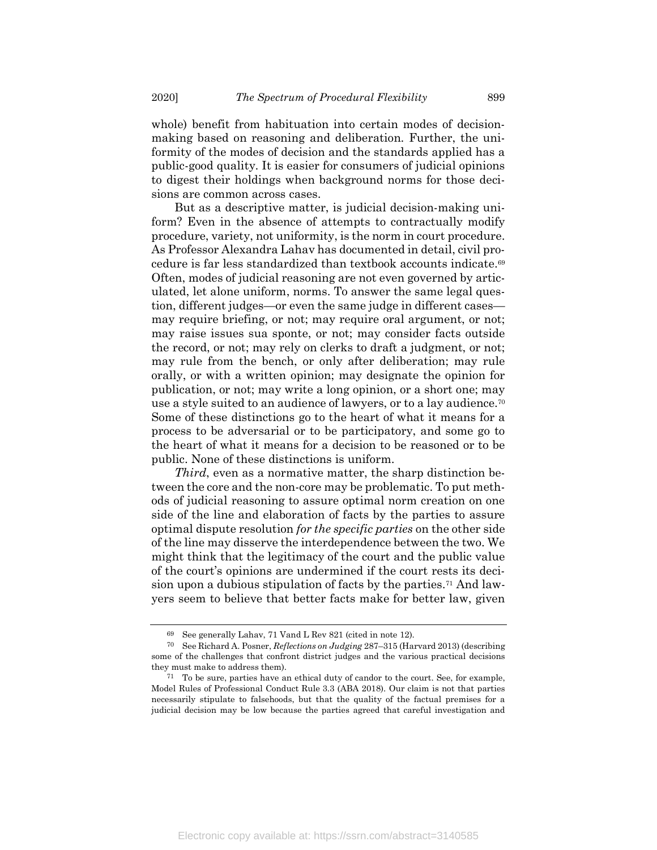whole) benefit from habituation into certain modes of decisionmaking based on reasoning and deliberation. Further, the uniformity of the modes of decision and the standards applied has a public-good quality. It is easier for consumers of judicial opinions to digest their holdings when background norms for those decisions are common across cases.

But as a descriptive matter, is judicial decision-making uniform? Even in the absence of attempts to contractually modify procedure, variety, not uniformity, is the norm in court procedure. As Professor Alexandra Lahav has documented in detail, civil procedure is far less standardized than textbook accounts indicate.<sup>69</sup> Often, modes of judicial reasoning are not even governed by articulated, let alone uniform, norms. To answer the same legal question, different judges—or even the same judge in different cases may require briefing, or not; may require oral argument, or not; may raise issues sua sponte, or not; may consider facts outside the record, or not; may rely on clerks to draft a judgment, or not; may rule from the bench, or only after deliberation; may rule orally, or with a written opinion; may designate the opinion for publication, or not; may write a long opinion, or a short one; may use a style suited to an audience of lawyers, or to a lay audience.<sup>70</sup> Some of these distinctions go to the heart of what it means for a process to be adversarial or to be participatory, and some go to the heart of what it means for a decision to be reasoned or to be public. None of these distinctions is uniform.

Third, even as a normative matter, the sharp distinction between the core and the non-core may be problematic. To put methods of judicial reasoning to assure optimal norm creation on one side of the line and elaboration of facts by the parties to assure optimal dispute resolution for the specific parties on the other side of the line may disserve the interdependence between the two. We might think that the legitimacy of the court and the public value of the court's opinions are undermined if the court rests its decision upon a dubious stipulation of facts by the parties.71 And lawyers seem to believe that better facts make for better law, given

<sup>69</sup> See generally Lahav, 71 Vand L Rev 821 (cited in note 12).<br>70 See Richard A Posner *Reflections on Judging* 287–315 (Ha

See Richard A. Posner, Reflections on Judging 287–315 (Harvard 2013) (describing some of the challenges that confront district judges and the various practical decisions they must make to address them).

<sup>71</sup> To be sure, parties have an ethical duty of candor to the court. See, for example, Model Rules of Professional Conduct Rule 3.3 (ABA 2018). Our claim is not that parties necessarily stipulate to falsehoods, but that the quality of the factual premises for a judicial decision may be low because the parties agreed that careful investigation and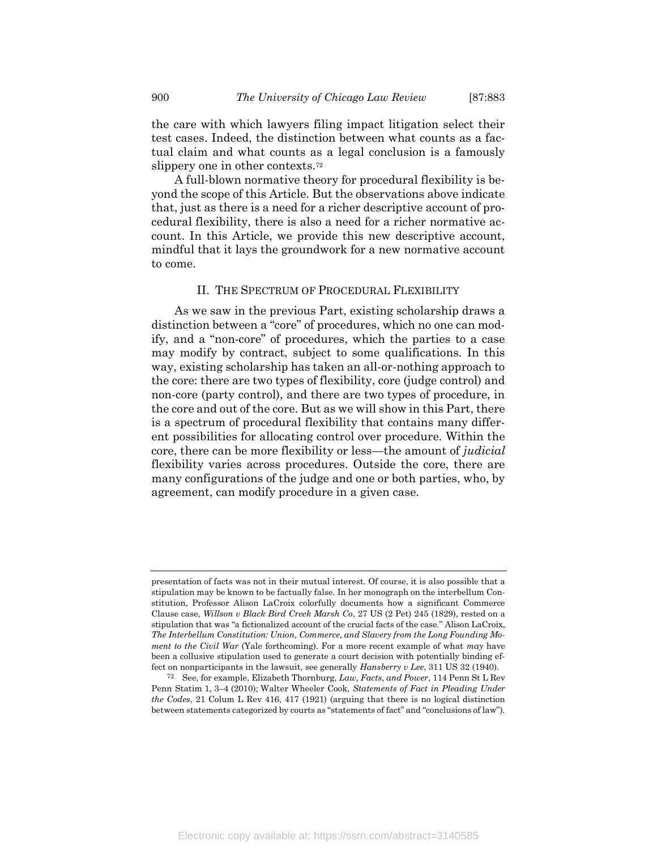the care with which lawyers filing impact litigation select their test cases. Indeed, the distinction between what counts as a factual claim and what counts as a legal conclusion is a famously slippery one in other contexts.<sup>72</sup>

A full-blown normative theory for procedural flexibility is beyond the scope of this Article. But the observations above indicate that, just as there is a need for a richer descriptive account of procedural flexibility, there is also a need for a richer normative account. In this Article, we provide this new descriptive account, mindful that it lays the groundwork for a new normative account to come.

#### II. THE SPECTRUM OF PROCEDURAL FLEXIBILITY

As we saw in the previous Part, existing scholarship draws a distinction between a "core" of procedures, which no one can modify, and a "non-core" of procedures, which the parties to a case may modify by contract, subject to some qualifications. In this way, existing scholarship has taken an all-or-nothing approach to the core: there are two types of flexibility, core (judge control) and non-core (party control), and there are two types of procedure, in the core and out of the core. But as we will show in this Part, there is a spectrum of procedural flexibility that contains many different possibilities for allocating control over procedure. Within the core, there can be more flexibility or less—the amount of *judicial* flexibility varies across procedures. Outside the core, there are many configurations of the judge and one or both parties, who, by agreement, can modify procedure in a given case.

presentation of facts was not in their mutual interest. Of course, it is also possible that a stipulation may be known to be factually false. In her monograph on the interbellum Constitution, Professor Alison LaCroix colorfully documents how a significant Commerce Clause case, Willson v Black Bird Creek Marsh Co, 27 US (2 Pet) 245 (1829), rested on a stipulation that was "a fictionalized account of the crucial facts of the case." Alison LaCroix, The Interbellum Constitution: Union, Commerce, and Slavery from the Long Founding Moment to the Civil War (Yale forthcoming). For a more recent example of what may have been a collusive stipulation used to generate a court decision with potentially binding effect on nonparticipants in the lawsuit, see generally Hansberry v Lee, 311 US 32 (1940).

 $72$  See, for example, Elizabeth Thornburg, Law, Facts, and Power, 114 Penn St L Rev Penn Statim 1, 3–4 (2010); Walter Wheeler Cook, Statements of Fact in Pleading Under the Codes, 21 Colum L Rev 416, 417 (1921) (arguing that there is no logical distinction between statements categorized by courts as "statements of fact" and "conclusions of law").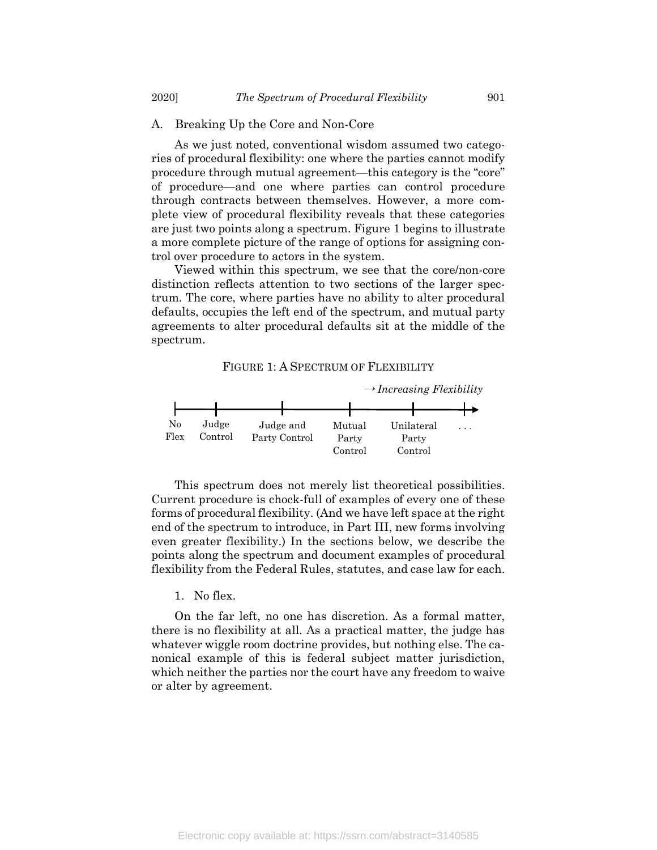#### A. Breaking Up the Core and Non-Core

As we just noted, conventional wisdom assumed two categories of procedural flexibility: one where the parties cannot modify procedure through mutual agreement—this category is the "core" of procedure—and one where parties can control procedure through contracts between themselves. However, a more complete view of procedural flexibility reveals that these categories are just two points along a spectrum. Figure 1 begins to illustrate a more complete picture of the range of options for assigning control over procedure to actors in the system.

Viewed within this spectrum, we see that the core/non-core distinction reflects attention to two sections of the larger spectrum. The core, where parties have no ability to alter procedural defaults, occupies the left end of the spectrum, and mutual party agreements to alter procedural defaults sit at the middle of the spectrum.

#### FIGURE 1: A SPECTRUM OF FLEXIBILITY



This spectrum does not merely list theoretical possibilities. Current procedure is chock-full of examples of every one of these forms of procedural flexibility. (And we have left space at the right end of the spectrum to introduce, in Part III, new forms involving even greater flexibility.) In the sections below, we describe the points along the spectrum and document examples of procedural flexibility from the Federal Rules, statutes, and case law for each.

#### 1. No flex.

On the far left, no one has discretion. As a formal matter, there is no flexibility at all. As a practical matter, the judge has whatever wiggle room doctrine provides, but nothing else. The canonical example of this is federal subject matter jurisdiction, which neither the parties nor the court have any freedom to waive or alter by agreement.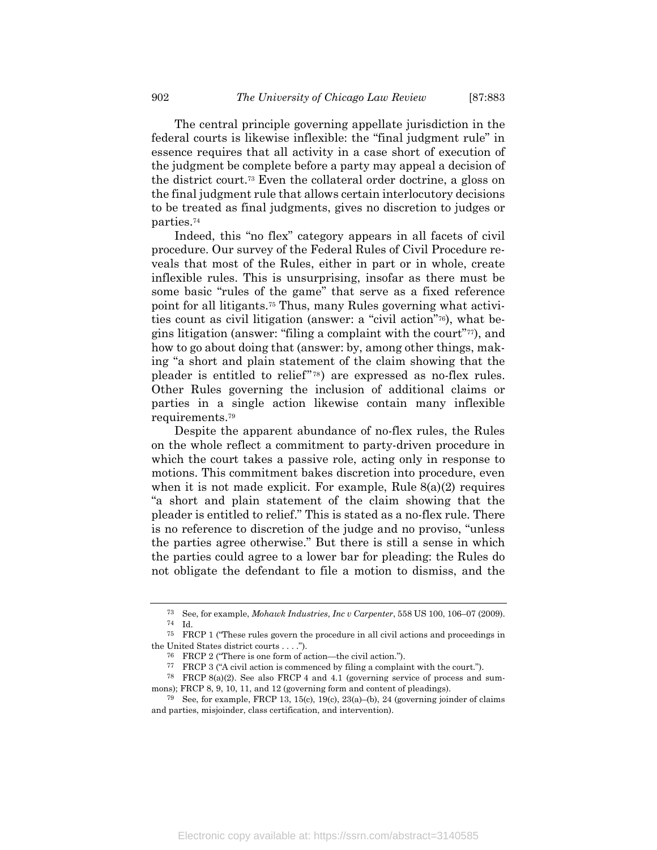The central principle governing appellate jurisdiction in the federal courts is likewise inflexible: the "final judgment rule" in essence requires that all activity in a case short of execution of the judgment be complete before a party may appeal a decision of the district court.73 Even the collateral order doctrine, a gloss on the final judgment rule that allows certain interlocutory decisions to be treated as final judgments, gives no discretion to judges or parties.<sup>74</sup>

Indeed, this "no flex" category appears in all facets of civil procedure. Our survey of the Federal Rules of Civil Procedure reveals that most of the Rules, either in part or in whole, create inflexible rules. This is unsurprising, insofar as there must be some basic "rules of the game" that serve as a fixed reference point for all litigants.75 Thus, many Rules governing what activities count as civil litigation (answer: a "civil action"76), what begins litigation (answer: "filing a complaint with the court"77), and how to go about doing that (answer: by, among other things, making "a short and plain statement of the claim showing that the pleader is entitled to relief" <sup>78</sup> ) are expressed as no-flex rules. Other Rules governing the inclusion of additional claims or parties in a single action likewise contain many inflexible requirements.<sup>79</sup>

Despite the apparent abundance of no-flex rules, the Rules on the whole reflect a commitment to party-driven procedure in which the court takes a passive role, acting only in response to motions. This commitment bakes discretion into procedure, even when it is not made explicit. For example, Rule  $8(a)(2)$  requires "a short and plain statement of the claim showing that the pleader is entitled to relief." This is stated as a no-flex rule. There is no reference to discretion of the judge and no proviso, "unless the parties agree otherwise." But there is still a sense in which the parties could agree to a lower bar for pleading: the Rules do not obligate the defendant to file a motion to dismiss, and the

<sup>73</sup> See, for example, Mohawk Industries, Inc v Carpenter, 558 US 100, 106–07 (2009). 74 Id.

<sup>75</sup> FRCP 1 ("These rules govern the procedure in all civil actions and proceedings in the United States district courts . . . .").

<sup>76</sup> FRCP 2 ("There is one form of action—the civil action.").

<sup>77</sup> FRCP 3 ("A civil action is commenced by filing a complaint with the court.").

<sup>78</sup> FRCP 8(a)(2). See also FRCP 4 and 4.1 (governing service of process and summons); FRCP 8, 9, 10, 11, and 12 (governing form and content of pleadings).

<sup>&</sup>lt;sup>79</sup> See, for example, FRCP 13, 15(c), 19(c), 23(a)–(b), 24 (governing joinder of claims and parties, misjoinder, class certification, and intervention).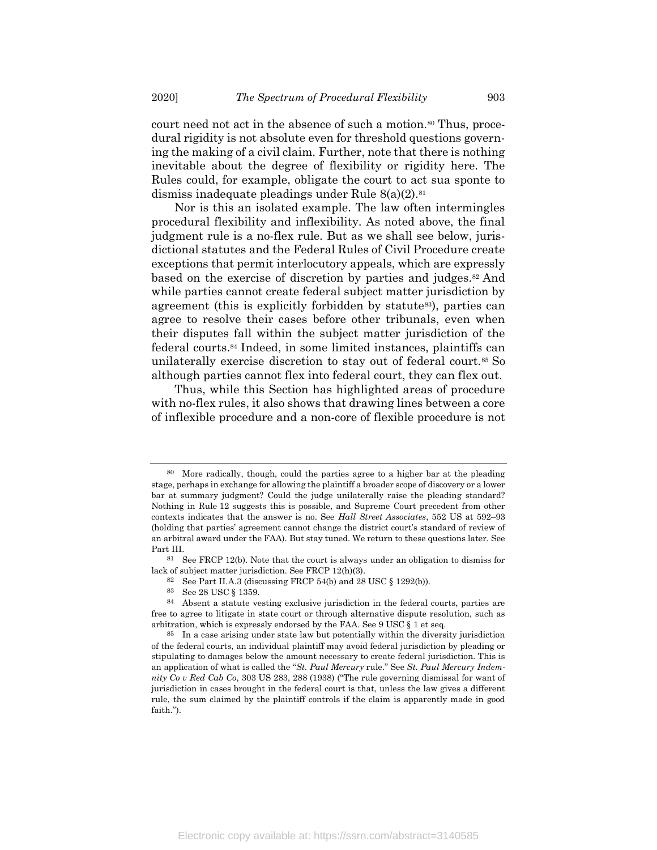court need not act in the absence of such a motion.<sup>80</sup> Thus, procedural rigidity is not absolute even for threshold questions governing the making of a civil claim. Further, note that there is nothing inevitable about the degree of flexibility or rigidity here. The Rules could, for example, obligate the court to act sua sponte to dismiss inadequate pleadings under Rule  $8(a)(2).$ <sup>81</sup>

Nor is this an isolated example. The law often intermingles procedural flexibility and inflexibility. As noted above, the final judgment rule is a no-flex rule. But as we shall see below, jurisdictional statutes and the Federal Rules of Civil Procedure create exceptions that permit interlocutory appeals, which are expressly based on the exercise of discretion by parties and judges.82 And while parties cannot create federal subject matter jurisdiction by agreement (this is explicitly forbidden by statute<sup>83</sup>), parties can agree to resolve their cases before other tribunals, even when their disputes fall within the subject matter jurisdiction of the federal courts.84 Indeed, in some limited instances, plaintiffs can unilaterally exercise discretion to stay out of federal court.85 So although parties cannot flex into federal court, they can flex out.

Thus, while this Section has highlighted areas of procedure with no-flex rules, it also shows that drawing lines between a core of inflexible procedure and a non-core of flexible procedure is not

<sup>80</sup> More radically, though, could the parties agree to a higher bar at the pleading stage, perhaps in exchange for allowing the plaintiff a broader scope of discovery or a lower bar at summary judgment? Could the judge unilaterally raise the pleading standard? Nothing in Rule 12 suggests this is possible, and Supreme Court precedent from other contexts indicates that the answer is no. See Hall Street Associates, 552 US at 592–93 (holding that parties' agreement cannot change the district court's standard of review of an arbitral award under the FAA). But stay tuned. We return to these questions later. See Part III.

 $81$  See FRCP 12(b). Note that the court is always under an obligation to dismiss for lack of subject matter jurisdiction. See FRCP 12(h)(3).

<sup>82</sup> See Part II.A.3 (discussing FRCP 54(b) and 28 USC  $\S$  1292(b)).

<sup>83</sup> See 28 USC § 1359.

<sup>84</sup> Absent a statute vesting exclusive jurisdiction in the federal courts, parties are free to agree to litigate in state court or through alternative dispute resolution, such as arbitration, which is expressly endorsed by the FAA. See 9 USC § 1 et seq.

<sup>85</sup> In a case arising under state law but potentially within the diversity jurisdiction of the federal courts, an individual plaintiff may avoid federal jurisdiction by pleading or stipulating to damages below the amount necessary to create federal jurisdiction. This is an application of what is called the "St. Paul Mercury rule." See St. Paul Mercury Indemnity Co v Red Cab Co, 303 US 283, 288 (1938) ("The rule governing dismissal for want of jurisdiction in cases brought in the federal court is that, unless the law gives a different rule, the sum claimed by the plaintiff controls if the claim is apparently made in good faith.").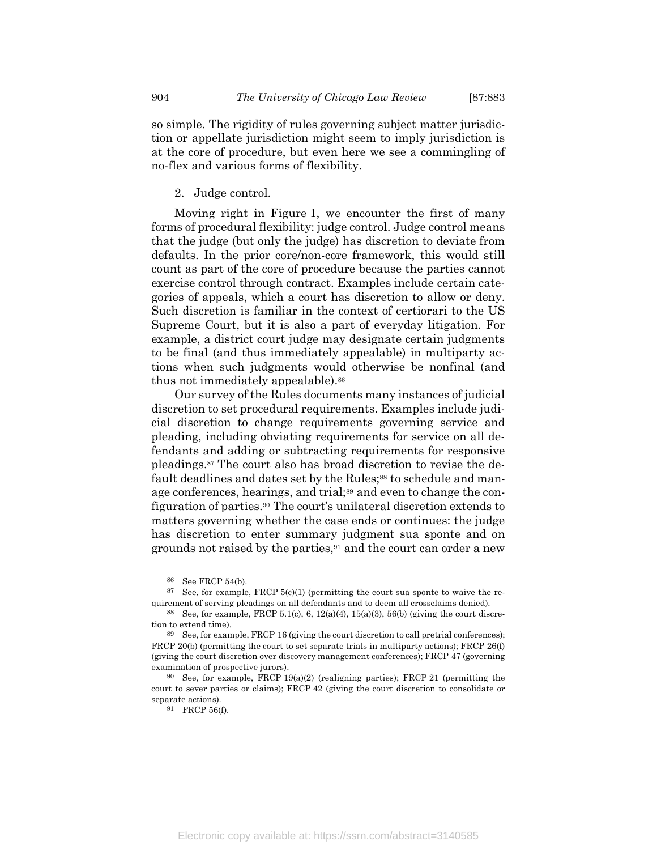so simple. The rigidity of rules governing subject matter jurisdiction or appellate jurisdiction might seem to imply jurisdiction is at the core of procedure, but even here we see a commingling of no-flex and various forms of flexibility.

2. Judge control.

Moving right in Figure 1, we encounter the first of many forms of procedural flexibility: judge control. Judge control means that the judge (but only the judge) has discretion to deviate from defaults. In the prior core/non-core framework, this would still count as part of the core of procedure because the parties cannot exercise control through contract. Examples include certain categories of appeals, which a court has discretion to allow or deny. Such discretion is familiar in the context of certiorari to the US Supreme Court, but it is also a part of everyday litigation. For example, a district court judge may designate certain judgments to be final (and thus immediately appealable) in multiparty actions when such judgments would otherwise be nonfinal (and thus not immediately appealable).<sup>86</sup>

Our survey of the Rules documents many instances of judicial discretion to set procedural requirements. Examples include judicial discretion to change requirements governing service and pleading, including obviating requirements for service on all defendants and adding or subtracting requirements for responsive pleadings.87 The court also has broad discretion to revise the default deadlines and dates set by the Rules;<sup>88</sup> to schedule and manage conferences, hearings, and trial;<sup>89</sup> and even to change the configuration of parties.90 The court's unilateral discretion extends to matters governing whether the case ends or continues: the judge has discretion to enter summary judgment sua sponte and on grounds not raised by the parties,<sup>91</sup> and the court can order a new

<sup>86</sup> See FRCP 54(b).

 $87$  See, for example, FRCP 5(c)(1) (permitting the court sua sponte to waive the requirement of serving pleadings on all defendants and to deem all crossclaims denied).

<sup>&</sup>lt;sup>88</sup> See, for example, FRCP 5.1(c), 6, 12(a)(4), 15(a)(3), 56(b) (giving the court discretion to extend time).

<sup>89</sup> See, for example, FRCP 16 (giving the court discretion to call pretrial conferences); FRCP 20(b) (permitting the court to set separate trials in multiparty actions); FRCP 26(f) (giving the court discretion over discovery management conferences); FRCP 47 (governing examination of prospective jurors).

<sup>90</sup> See, for example, FRCP 19(a)(2) (realigning parties); FRCP 21 (permitting the court to sever parties or claims); FRCP 42 (giving the court discretion to consolidate or separate actions).

<sup>91</sup> FRCP 56(f).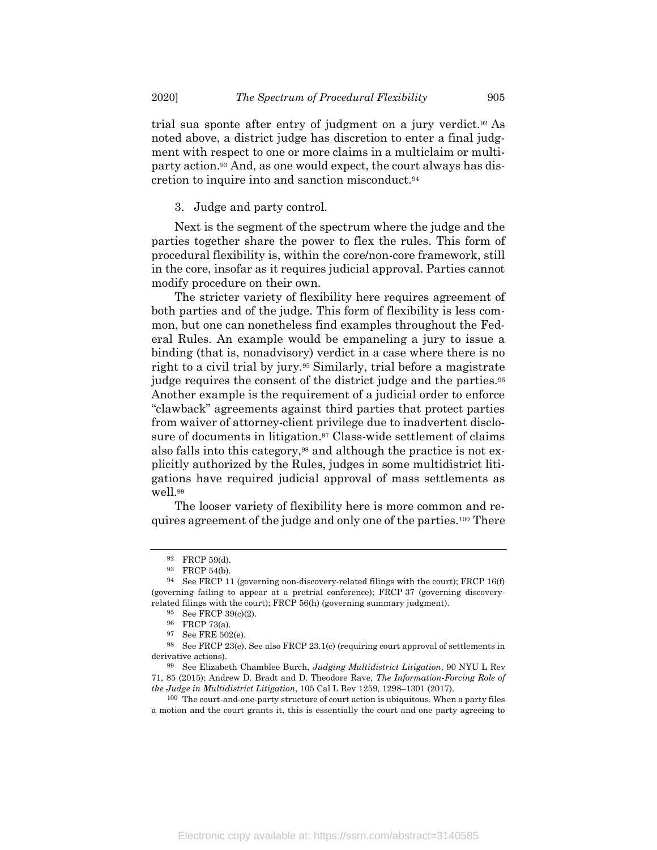trial sua sponte after entry of judgment on a jury verdict.92 As noted above, a district judge has discretion to enter a final judgment with respect to one or more claims in a multiclaim or multiparty action.93 And, as one would expect, the court always has discretion to inquire into and sanction misconduct.<sup>94</sup>

3. Judge and party control.

Next is the segment of the spectrum where the judge and the parties together share the power to flex the rules. This form of procedural flexibility is, within the core/non-core framework, still in the core, insofar as it requires judicial approval. Parties cannot modify procedure on their own.

The stricter variety of flexibility here requires agreement of both parties and of the judge. This form of flexibility is less common, but one can nonetheless find examples throughout the Federal Rules. An example would be empaneling a jury to issue a binding (that is, nonadvisory) verdict in a case where there is no right to a civil trial by jury.95 Similarly, trial before a magistrate judge requires the consent of the district judge and the parties.<sup>96</sup> Another example is the requirement of a judicial order to enforce "clawback" agreements against third parties that protect parties from waiver of attorney-client privilege due to inadvertent disclosure of documents in litigation.<sup>97</sup> Class-wide settlement of claims also falls into this category,98 and although the practice is not explicitly authorized by the Rules, judges in some multidistrict litigations have required judicial approval of mass settlements as well.<sup>99</sup>

The looser variety of flexibility here is more common and requires agreement of the judge and only one of the parties.100 There

<sup>92</sup> FRCP 59(d).

<sup>93</sup> FRCP 54(b).

<sup>94</sup> See FRCP 11 (governing non-discovery-related filings with the court); FRCP 16(f) (governing failing to appear at a pretrial conference); FRCP 37 (governing discoveryrelated filings with the court); FRCP 56(h) (governing summary judgment).

<sup>95</sup> See FRCP 39(c)(2).

<sup>96</sup> FRCP 73(a).

<sup>97</sup> See FRE 502(e).

<sup>98</sup> See FRCP 23(e). See also FRCP 23.1(c) (requiring court approval of settlements in derivative actions).

<sup>99</sup> See Elizabeth Chamblee Burch, Judging Multidistrict Litigation, 90 NYU L Rev 71, 85 (2015); Andrew D. Bradt and D. Theodore Rave, The Information-Forcing Role of the Judge in Multidistrict Litigation, 105 Cal L Rev 1259, 1298–1301 (2017).

<sup>100</sup> The court-and-one-party structure of court action is ubiquitous. When a party files a motion and the court grants it, this is essentially the court and one party agreeing to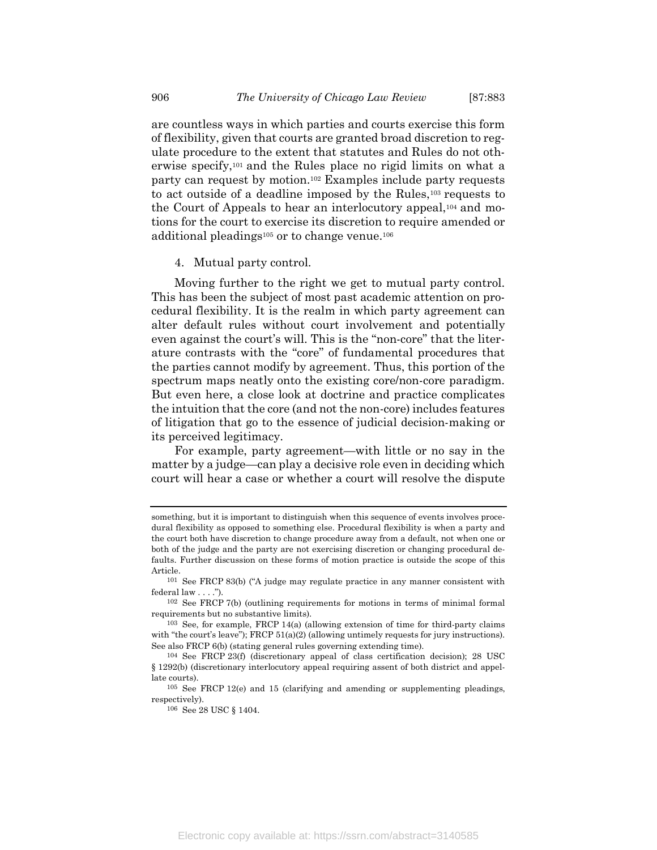are countless ways in which parties and courts exercise this form of flexibility, given that courts are granted broad discretion to regulate procedure to the extent that statutes and Rules do not otherwise specify,101 and the Rules place no rigid limits on what a party can request by motion.102 Examples include party requests to act outside of a deadline imposed by the Rules,103 requests to the Court of Appeals to hear an interlocutory appeal,104 and motions for the court to exercise its discretion to require amended or additional pleadings105 or to change venue.<sup>106</sup>

4. Mutual party control.

Moving further to the right we get to mutual party control. This has been the subject of most past academic attention on procedural flexibility. It is the realm in which party agreement can alter default rules without court involvement and potentially even against the court's will. This is the "non-core" that the literature contrasts with the "core" of fundamental procedures that the parties cannot modify by agreement. Thus, this portion of the spectrum maps neatly onto the existing core/non-core paradigm. But even here, a close look at doctrine and practice complicates the intuition that the core (and not the non-core) includes features of litigation that go to the essence of judicial decision-making or its perceived legitimacy.

For example, party agreement—with little or no say in the matter by a judge—can play a decisive role even in deciding which court will hear a case or whether a court will resolve the dispute

something, but it is important to distinguish when this sequence of events involves procedural flexibility as opposed to something else. Procedural flexibility is when a party and the court both have discretion to change procedure away from a default, not when one or both of the judge and the party are not exercising discretion or changing procedural defaults. Further discussion on these forms of motion practice is outside the scope of this Article.

<sup>101</sup> See FRCP 83(b) ("A judge may regulate practice in any manner consistent with federal law . . . .").

<sup>102</sup> See FRCP 7(b) (outlining requirements for motions in terms of minimal formal requirements but no substantive limits).

<sup>103</sup> See, for example, FRCP 14(a) (allowing extension of time for third-party claims with "the court's leave"); FRCP  $51(a)(2)$  (allowing untimely requests for jury instructions). See also FRCP 6(b) (stating general rules governing extending time).

<sup>104</sup> See FRCP 23(f) (discretionary appeal of class certification decision); 28 USC § 1292(b) (discretionary interlocutory appeal requiring assent of both district and appellate courts).

<sup>105</sup> See FRCP 12(e) and 15 (clarifying and amending or supplementing pleadings, respectively).

<sup>106</sup> See 28 USC § 1404.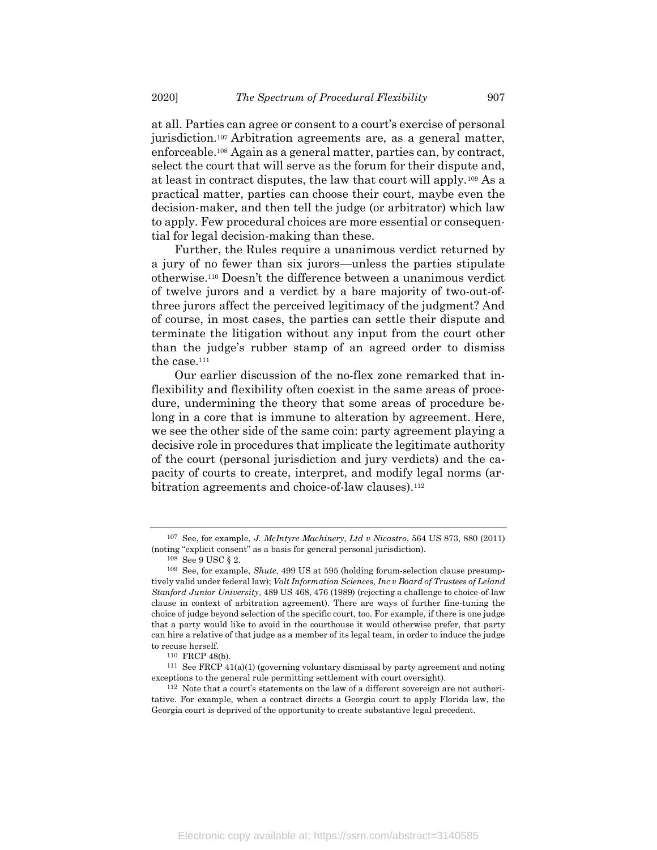at all. Parties can agree or consent to a court's exercise of personal jurisdiction.107 Arbitration agreements are, as a general matter, enforceable.108 Again as a general matter, parties can, by contract, select the court that will serve as the forum for their dispute and, at least in contract disputes, the law that court will apply.109 As a practical matter, parties can choose their court, maybe even the decision-maker, and then tell the judge (or arbitrator) which law to apply. Few procedural choices are more essential or consequential for legal decision-making than these.

Further, the Rules require a unanimous verdict returned by a jury of no fewer than six jurors—unless the parties stipulate otherwise.110 Doesn't the difference between a unanimous verdict of twelve jurors and a verdict by a bare majority of two-out-ofthree jurors affect the perceived legitimacy of the judgment? And of course, in most cases, the parties can settle their dispute and terminate the litigation without any input from the court other than the judge's rubber stamp of an agreed order to dismiss the case.<sup>111</sup>

Our earlier discussion of the no-flex zone remarked that inflexibility and flexibility often coexist in the same areas of procedure, undermining the theory that some areas of procedure belong in a core that is immune to alteration by agreement. Here, we see the other side of the same coin: party agreement playing a decisive role in procedures that implicate the legitimate authority of the court (personal jurisdiction and jury verdicts) and the capacity of courts to create, interpret, and modify legal norms (arbitration agreements and choice-of-law clauses).<sup>112</sup>

<sup>107</sup> See, for example, J. McIntyre Machinery, Ltd v Nicastro, 564 US 873, 880 (2011) (noting "explicit consent" as a basis for general personal jurisdiction).

<sup>108</sup> See 9 USC § 2.

<sup>109</sup> See, for example, Shute, 499 US at 595 (holding forum-selection clause presumptively valid under federal law); Volt Information Sciences, Inc v Board of Trustees of Leland Stanford Junior University, 489 US 468, 476 (1989) (rejecting a challenge to choice-of-law clause in context of arbitration agreement). There are ways of further fine-tuning the choice of judge beyond selection of the specific court, too. For example, if there is one judge that a party would like to avoid in the courthouse it would otherwise prefer, that party can hire a relative of that judge as a member of its legal team, in order to induce the judge to recuse herself.

<sup>110</sup> FRCP 48(b).

<sup>111</sup> See FRCP 41(a)(1) (governing voluntary dismissal by party agreement and noting exceptions to the general rule permitting settlement with court oversight).

<sup>112</sup> Note that a court's statements on the law of a different sovereign are not authoritative. For example, when a contract directs a Georgia court to apply Florida law, the Georgia court is deprived of the opportunity to create substantive legal precedent.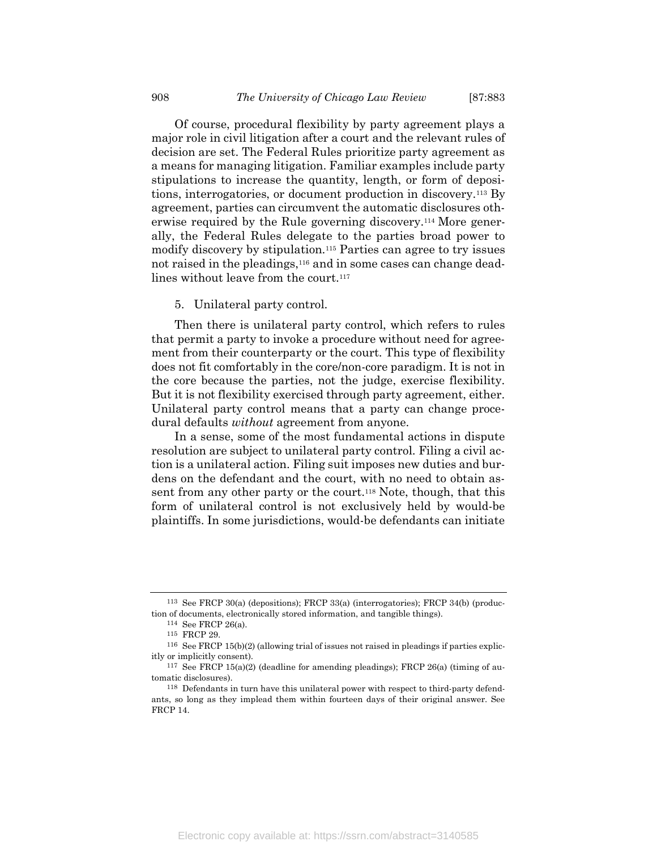Of course, procedural flexibility by party agreement plays a major role in civil litigation after a court and the relevant rules of decision are set. The Federal Rules prioritize party agreement as a means for managing litigation. Familiar examples include party stipulations to increase the quantity, length, or form of depositions, interrogatories, or document production in discovery.113 By agreement, parties can circumvent the automatic disclosures otherwise required by the Rule governing discovery.114 More generally, the Federal Rules delegate to the parties broad power to modify discovery by stipulation.115 Parties can agree to try issues not raised in the pleadings,<sup>116</sup> and in some cases can change deadlines without leave from the court.<sup>117</sup>

5. Unilateral party control.

Then there is unilateral party control, which refers to rules that permit a party to invoke a procedure without need for agreement from their counterparty or the court. This type of flexibility does not fit comfortably in the core/non-core paradigm. It is not in the core because the parties, not the judge, exercise flexibility. But it is not flexibility exercised through party agreement, either. Unilateral party control means that a party can change procedural defaults without agreement from anyone.

In a sense, some of the most fundamental actions in dispute resolution are subject to unilateral party control. Filing a civil action is a unilateral action. Filing suit imposes new duties and burdens on the defendant and the court, with no need to obtain assent from any other party or the court.118 Note, though, that this form of unilateral control is not exclusively held by would-be plaintiffs. In some jurisdictions, would-be defendants can initiate

<sup>113</sup> See FRCP 30(a) (depositions); FRCP 33(a) (interrogatories); FRCP 34(b) (production of documents, electronically stored information, and tangible things).

<sup>114</sup> See FRCP 26(a).

<sup>115</sup> FRCP 29.

<sup>116</sup> See FRCP 15(b)(2) (allowing trial of issues not raised in pleadings if parties explicitly or implicitly consent).

<sup>117</sup> See FRCP 15(a)(2) (deadline for amending pleadings); FRCP 26(a) (timing of automatic disclosures).

<sup>118</sup> Defendants in turn have this unilateral power with respect to third-party defendants, so long as they implead them within fourteen days of their original answer. See FRCP 14.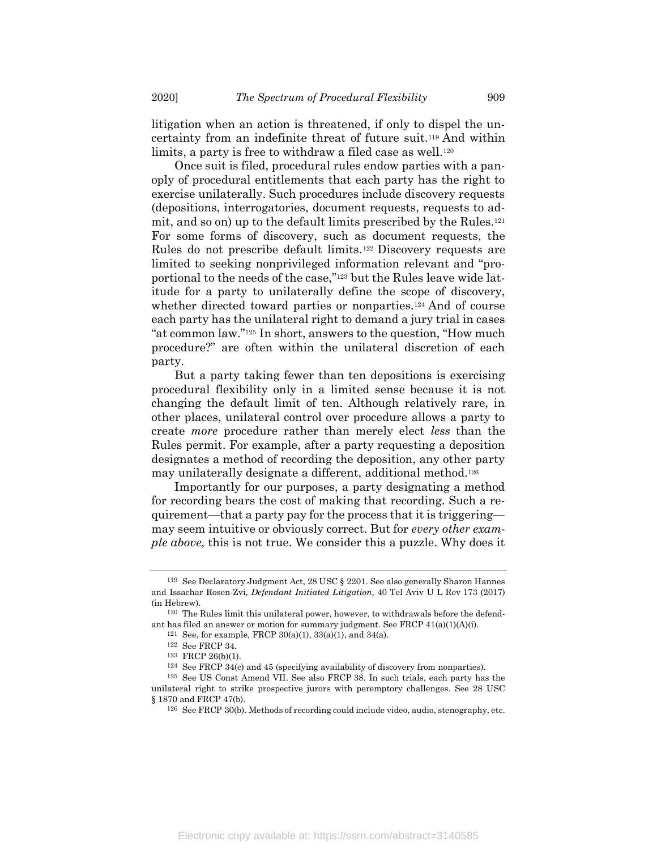litigation when an action is threatened, if only to dispel the uncertainty from an indefinite threat of future suit.119 And within limits, a party is free to withdraw a filed case as well.<sup>120</sup>

Once suit is filed, procedural rules endow parties with a panoply of procedural entitlements that each party has the right to exercise unilaterally. Such procedures include discovery requests (depositions, interrogatories, document requests, requests to admit, and so on) up to the default limits prescribed by the Rules.<sup>121</sup> For some forms of discovery, such as document requests, the Rules do not prescribe default limits.122 Discovery requests are limited to seeking nonprivileged information relevant and "proportional to the needs of the case,"123 but the Rules leave wide latitude for a party to unilaterally define the scope of discovery, whether directed toward parties or nonparties.<sup>124</sup> And of course each party has the unilateral right to demand a jury trial in cases "at common law."125 In short, answers to the question, "How much procedure?" are often within the unilateral discretion of each party.

But a party taking fewer than ten depositions is exercising procedural flexibility only in a limited sense because it is not changing the default limit of ten. Although relatively rare, in other places, unilateral control over procedure allows a party to create more procedure rather than merely elect less than the Rules permit. For example, after a party requesting a deposition designates a method of recording the deposition, any other party may unilaterally designate a different, additional method.<sup>126</sup>

Importantly for our purposes, a party designating a method for recording bears the cost of making that recording. Such a requirement—that a party pay for the process that it is triggering may seem intuitive or obviously correct. But for every other example above, this is not true. We consider this a puzzle. Why does it

<sup>119</sup> See Declaratory Judgment Act, 28 USC § 2201. See also generally Sharon Hannes and Issachar Rosen-Zvi, Defendant Initiated Litigation, 40 Tel Aviv U L Rev 173 (2017) (in Hebrew).

<sup>120</sup> The Rules limit this unilateral power, however, to withdrawals before the defendant has filed an answer or motion for summary judgment. See FRCP  $41(a)(1)(A)(i)$ .

<sup>121</sup> See, for example, FRCP 30(a)(1), 33(a)(1), and 34(a).

<sup>122</sup> See FRCP 34.

<sup>123</sup> FRCP 26(b)(1).

<sup>124</sup> See FRCP 34(c) and 45 (specifying availability of discovery from nonparties).

<sup>125</sup> See US Const Amend VII. See also FRCP 38. In such trials, each party has the unilateral right to strike prospective jurors with peremptory challenges. See 28 USC § 1870 and FRCP 47(b).

<sup>126</sup> See FRCP 30(b). Methods of recording could include video, audio, stenography, etc.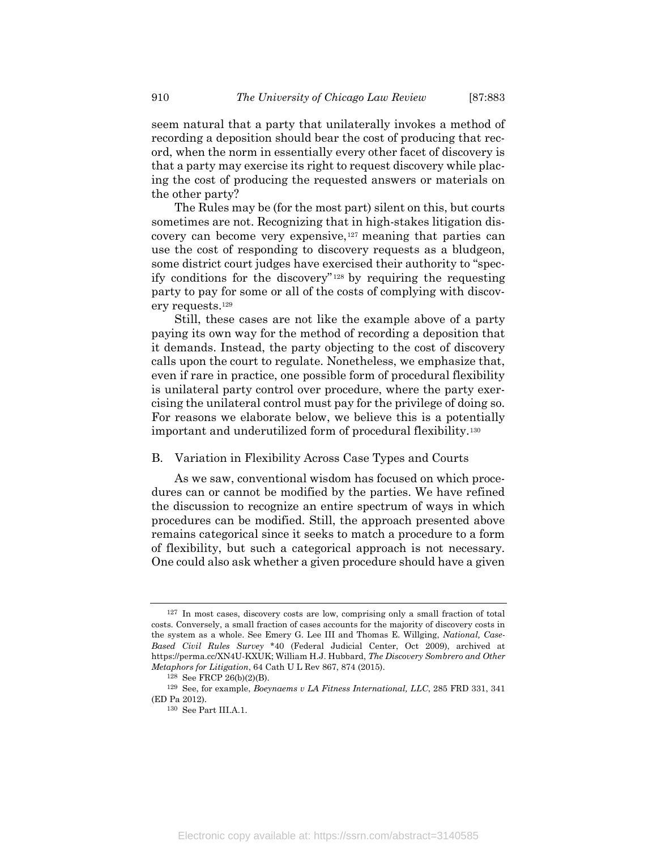seem natural that a party that unilaterally invokes a method of recording a deposition should bear the cost of producing that record, when the norm in essentially every other facet of discovery is that a party may exercise its right to request discovery while placing the cost of producing the requested answers or materials on the other party?

The Rules may be (for the most part) silent on this, but courts sometimes are not. Recognizing that in high-stakes litigation discovery can become very expensive,127 meaning that parties can use the cost of responding to discovery requests as a bludgeon, some district court judges have exercised their authority to "specify conditions for the discovery" <sup>128</sup> by requiring the requesting party to pay for some or all of the costs of complying with discovery requests.<sup>129</sup>

Still, these cases are not like the example above of a party paying its own way for the method of recording a deposition that it demands. Instead, the party objecting to the cost of discovery calls upon the court to regulate. Nonetheless, we emphasize that, even if rare in practice, one possible form of procedural flexibility is unilateral party control over procedure, where the party exercising the unilateral control must pay for the privilege of doing so. For reasons we elaborate below, we believe this is a potentially important and underutilized form of procedural flexibility.<sup>130</sup>

#### B. Variation in Flexibility Across Case Types and Courts

As we saw, conventional wisdom has focused on which procedures can or cannot be modified by the parties. We have refined the discussion to recognize an entire spectrum of ways in which procedures can be modified. Still, the approach presented above remains categorical since it seeks to match a procedure to a form of flexibility, but such a categorical approach is not necessary. One could also ask whether a given procedure should have a given

<sup>127</sup> In most cases, discovery costs are low, comprising only a small fraction of total costs. Conversely, a small fraction of cases accounts for the majority of discovery costs in the system as a whole. See Emery G. Lee III and Thomas E. Willging, National, Case-Based Civil Rules Survey \*40 (Federal Judicial Center, Oct 2009), archived at https://perma.cc/XN4U-KXUK; William H.J. Hubbard, The Discovery Sombrero and Other Metaphors for Litigation, 64 Cath U L Rev 867, 874 (2015).

<sup>128</sup> See FRCP 26(b)(2)(B).

<sup>129</sup> See, for example, Boeynaems v LA Fitness International, LLC, 285 FRD 331, 341 (ED Pa 2012).

<sup>130</sup> See Part III.A.1.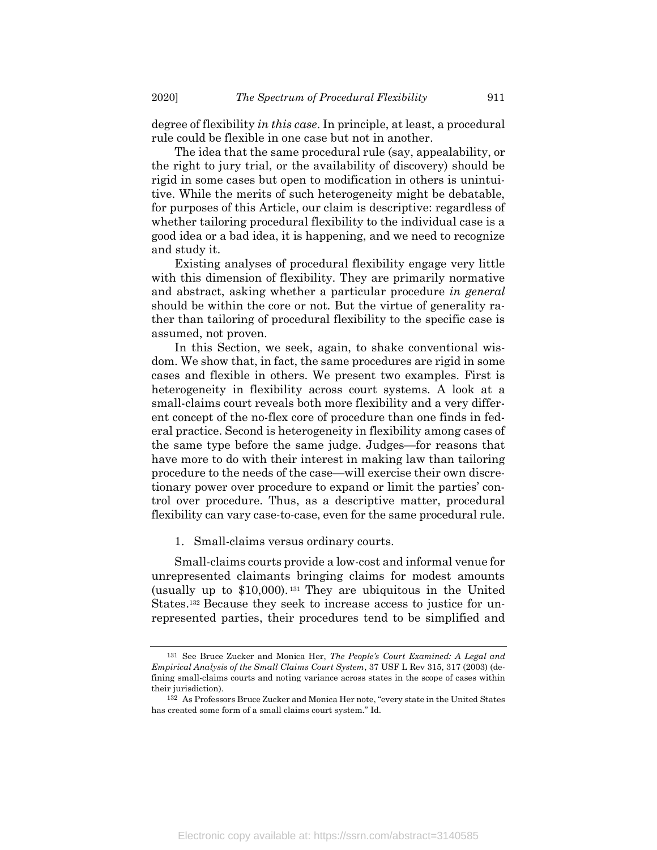degree of flexibility in this case. In principle, at least, a procedural rule could be flexible in one case but not in another.

The idea that the same procedural rule (say, appealability, or the right to jury trial, or the availability of discovery) should be rigid in some cases but open to modification in others is unintuitive. While the merits of such heterogeneity might be debatable, for purposes of this Article, our claim is descriptive: regardless of whether tailoring procedural flexibility to the individual case is a good idea or a bad idea, it is happening, and we need to recognize and study it.

Existing analyses of procedural flexibility engage very little with this dimension of flexibility. They are primarily normative and abstract, asking whether a particular procedure in general should be within the core or not. But the virtue of generality rather than tailoring of procedural flexibility to the specific case is assumed, not proven.

In this Section, we seek, again, to shake conventional wisdom. We show that, in fact, the same procedures are rigid in some cases and flexible in others. We present two examples. First is heterogeneity in flexibility across court systems. A look at a small-claims court reveals both more flexibility and a very different concept of the no-flex core of procedure than one finds in federal practice. Second is heterogeneity in flexibility among cases of the same type before the same judge. Judges—for reasons that have more to do with their interest in making law than tailoring procedure to the needs of the case—will exercise their own discretionary power over procedure to expand or limit the parties' control over procedure. Thus, as a descriptive matter, procedural flexibility can vary case-to-case, even for the same procedural rule.

1. Small-claims versus ordinary courts.

Small-claims courts provide a low-cost and informal venue for unrepresented claimants bringing claims for modest amounts (usually up to \$10,000). <sup>131</sup> They are ubiquitous in the United States.132 Because they seek to increase access to justice for unrepresented parties, their procedures tend to be simplified and

<sup>&</sup>lt;sup>131</sup> See Bruce Zucker and Monica Her, *The People's Court Examined: A Legal and* Empirical Analysis of the Small Claims Court System, 37 USF L Rev 315, 317 (2003) (defining small-claims courts and noting variance across states in the scope of cases within their jurisdiction).

<sup>132</sup> As Professors Bruce Zucker and Monica Her note, "every state in the United States has created some form of a small claims court system." Id.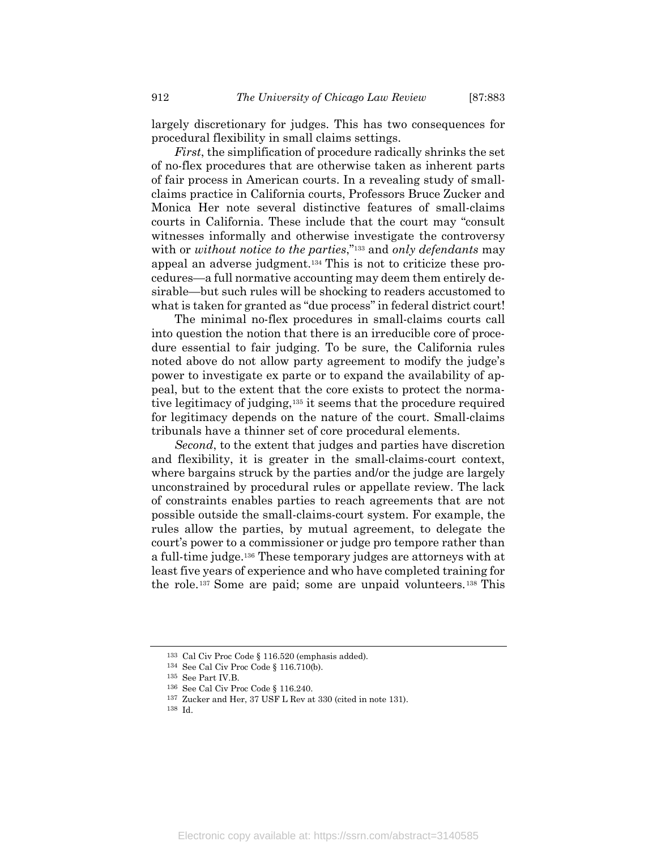largely discretionary for judges. This has two consequences for procedural flexibility in small claims settings.

First, the simplification of procedure radically shrinks the set of no-flex procedures that are otherwise taken as inherent parts of fair process in American courts. In a revealing study of smallclaims practice in California courts, Professors Bruce Zucker and Monica Her note several distinctive features of small-claims courts in California. These include that the court may "consult witnesses informally and otherwise investigate the controversy with or without notice to the parties,"<sup>133</sup> and only defendants may appeal an adverse judgment.134 This is not to criticize these procedures—a full normative accounting may deem them entirely desirable—but such rules will be shocking to readers accustomed to what is taken for granted as "due process" in federal district court!

The minimal no-flex procedures in small-claims courts call into question the notion that there is an irreducible core of procedure essential to fair judging. To be sure, the California rules noted above do not allow party agreement to modify the judge's power to investigate ex parte or to expand the availability of appeal, but to the extent that the core exists to protect the normative legitimacy of judging,135 it seems that the procedure required for legitimacy depends on the nature of the court. Small-claims tribunals have a thinner set of core procedural elements.

Second, to the extent that judges and parties have discretion and flexibility, it is greater in the small-claims-court context, where bargains struck by the parties and/or the judge are largely unconstrained by procedural rules or appellate review. The lack of constraints enables parties to reach agreements that are not possible outside the small-claims-court system. For example, the rules allow the parties, by mutual agreement, to delegate the court's power to a commissioner or judge pro tempore rather than a full-time judge.136 These temporary judges are attorneys with at least five years of experience and who have completed training for the role.137 Some are paid; some are unpaid volunteers.138 This

<sup>133</sup> Cal Civ Proc Code § 116.520 (emphasis added).

<sup>134</sup> See Cal Civ Proc Code § 116.710(b).

<sup>135</sup> See Part IV.B.

<sup>136</sup> See Cal Civ Proc Code § 116.240.

<sup>137</sup> Zucker and Her, 37 USF L Rev at 330 (cited in note 131).

<sup>138</sup> Id.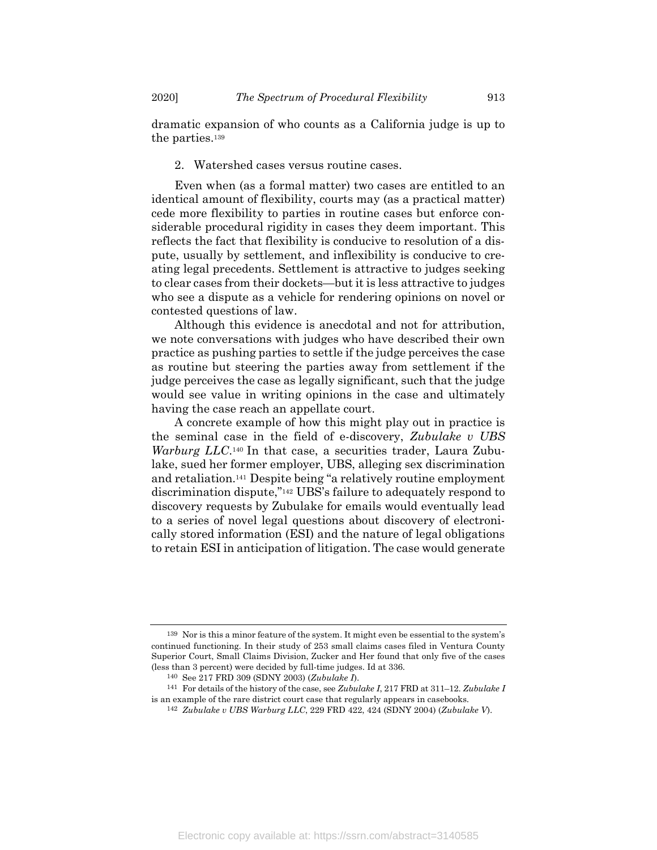dramatic expansion of who counts as a California judge is up to the parties.<sup>139</sup>

#### 2. Watershed cases versus routine cases.

Even when (as a formal matter) two cases are entitled to an identical amount of flexibility, courts may (as a practical matter) cede more flexibility to parties in routine cases but enforce considerable procedural rigidity in cases they deem important. This reflects the fact that flexibility is conducive to resolution of a dispute, usually by settlement, and inflexibility is conducive to creating legal precedents. Settlement is attractive to judges seeking to clear cases from their dockets—but it is less attractive to judges who see a dispute as a vehicle for rendering opinions on novel or contested questions of law.

Although this evidence is anecdotal and not for attribution, we note conversations with judges who have described their own practice as pushing parties to settle if the judge perceives the case as routine but steering the parties away from settlement if the judge perceives the case as legally significant, such that the judge would see value in writing opinions in the case and ultimately having the case reach an appellate court.

A concrete example of how this might play out in practice is the seminal case in the field of e-discovery, Zubulake v UBS Warburg LLC.<sup>140</sup> In that case, a securities trader, Laura Zubulake, sued her former employer, UBS, alleging sex discrimination and retaliation.141 Despite being "a relatively routine employment discrimination dispute,"142 UBS's failure to adequately respond to discovery requests by Zubulake for emails would eventually lead to a series of novel legal questions about discovery of electronically stored information (ESI) and the nature of legal obligations to retain ESI in anticipation of litigation. The case would generate

<sup>139</sup> Nor is this a minor feature of the system. It might even be essential to the system's continued functioning. In their study of 253 small claims cases filed in Ventura County Superior Court, Small Claims Division, Zucker and Her found that only five of the cases (less than 3 percent) were decided by full-time judges. Id at 336.

<sup>140</sup> See 217 FRD 309 (SDNY 2003) (Zubulake I).

<sup>&</sup>lt;sup>141</sup> For details of the history of the case, see Zubulake I, 217 FRD at 311–12. Zubulake I is an example of the rare district court case that regularly appears in casebooks.

<sup>142</sup> Zubulake v UBS Warburg LLC, 229 FRD 422, 424 (SDNY 2004) (Zubulake V).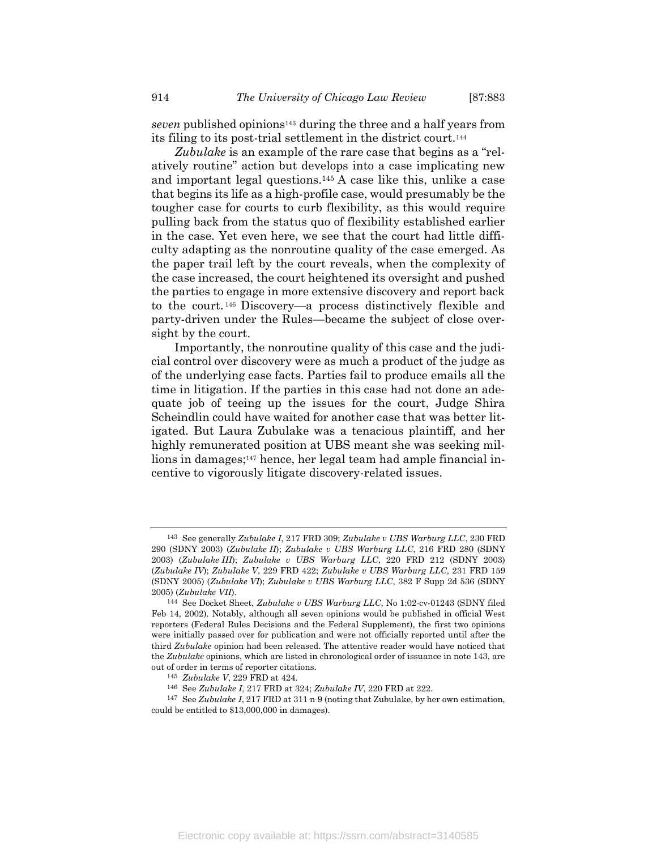seven published opinions<sup>143</sup> during the three and a half years from its filing to its post-trial settlement in the district court.<sup>144</sup>

Zubulake is an example of the rare case that begins as a "relatively routine" action but develops into a case implicating new and important legal questions.145 A case like this, unlike a case that begins its life as a high-profile case, would presumably be the tougher case for courts to curb flexibility, as this would require pulling back from the status quo of flexibility established earlier in the case. Yet even here, we see that the court had little difficulty adapting as the nonroutine quality of the case emerged. As the paper trail left by the court reveals, when the complexity of the case increased, the court heightened its oversight and pushed the parties to engage in more extensive discovery and report back to the court. <sup>146</sup> Discovery—a process distinctively flexible and party-driven under the Rules—became the subject of close oversight by the court.

Importantly, the nonroutine quality of this case and the judicial control over discovery were as much a product of the judge as of the underlying case facts. Parties fail to produce emails all the time in litigation. If the parties in this case had not done an adequate job of teeing up the issues for the court, Judge Shira Scheindlin could have waited for another case that was better litigated. But Laura Zubulake was a tenacious plaintiff, and her highly remunerated position at UBS meant she was seeking millions in damages;147 hence, her legal team had ample financial incentive to vigorously litigate discovery-related issues.

<sup>143</sup> See generally Zubulake I, 217 FRD 309; Zubulake v UBS Warburg LLC, 230 FRD 290 (SDNY 2003) (Zubulake II); Zubulake v UBS Warburg LLC, 216 FRD 280 (SDNY 2003) (Zubulake III); Zubulake v UBS Warburg LLC, 220 FRD 212 (SDNY 2003) (Zubulake IV); Zubulake V, 229 FRD 422; Zubulake v UBS Warburg LLC, 231 FRD 159 (SDNY 2005) (Zubulake VI); Zubulake v UBS Warburg LLC, 382 F Supp 2d 536 (SDNY 2005) (Zubulake VII).

<sup>144</sup> See Docket Sheet, Zubulake v UBS Warburg LLC, No 1:02-cv-01243 (SDNY filed Feb 14, 2002). Notably, although all seven opinions would be published in official West reporters (Federal Rules Decisions and the Federal Supplement), the first two opinions were initially passed over for publication and were not officially reported until after the third Zubulake opinion had been released. The attentive reader would have noticed that the Zubulake opinions, which are listed in chronological order of issuance in note 143, are out of order in terms of reporter citations.

<sup>145</sup> Zubulake V, 229 FRD at 424.

<sup>146</sup> See Zubulake I, 217 FRD at 324; Zubulake IV, 220 FRD at 222.

<sup>147</sup> See Zubulake I, 217 FRD at 311 n 9 (noting that Zubulake, by her own estimation, could be entitled to \$13,000,000 in damages).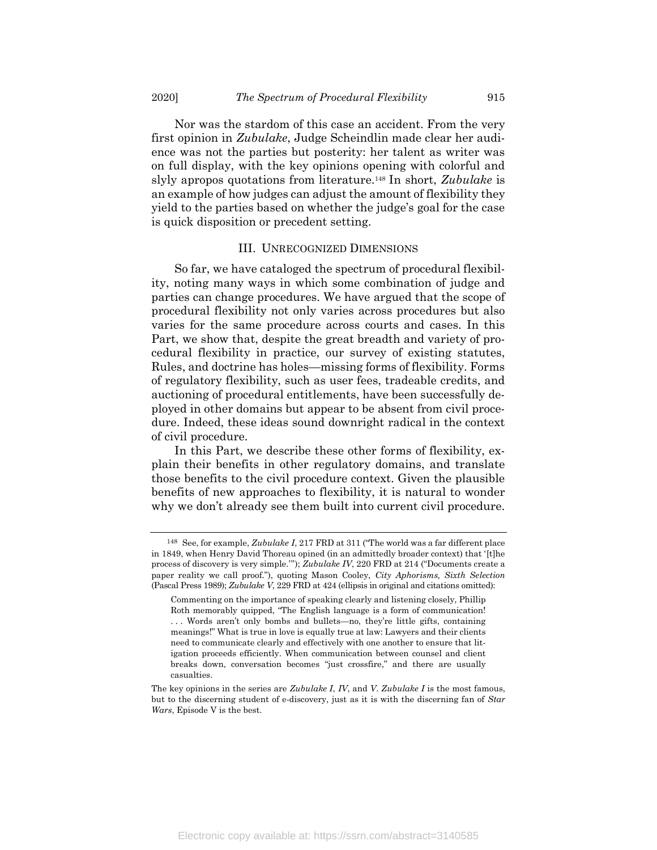Nor was the stardom of this case an accident. From the very first opinion in Zubulake, Judge Scheindlin made clear her audience was not the parties but posterity: her talent as writer was on full display, with the key opinions opening with colorful and slyly apropos quotations from literature.<sup>148</sup> In short, Zubulake is an example of how judges can adjust the amount of flexibility they yield to the parties based on whether the judge's goal for the case is quick disposition or precedent setting.

#### III. UNRECOGNIZED DIMENSIONS

So far, we have cataloged the spectrum of procedural flexibility, noting many ways in which some combination of judge and parties can change procedures. We have argued that the scope of procedural flexibility not only varies across procedures but also varies for the same procedure across courts and cases. In this Part, we show that, despite the great breadth and variety of procedural flexibility in practice, our survey of existing statutes, Rules, and doctrine has holes—missing forms of flexibility. Forms of regulatory flexibility, such as user fees, tradeable credits, and auctioning of procedural entitlements, have been successfully deployed in other domains but appear to be absent from civil procedure. Indeed, these ideas sound downright radical in the context of civil procedure.

In this Part, we describe these other forms of flexibility, explain their benefits in other regulatory domains, and translate those benefits to the civil procedure context. Given the plausible benefits of new approaches to flexibility, it is natural to wonder why we don't already see them built into current civil procedure.

<sup>148</sup> See, for example, Zubulake I, 217 FRD at 311 ("The world was a far different place in 1849, when Henry David Thoreau opined (in an admittedly broader context) that '[t]he process of discovery is very simple.'"); Zubulake IV, 220 FRD at 214 ("Documents create a paper reality we call proof."), quoting Mason Cooley, City Aphorisms, Sixth Selection (Pascal Press 1989); Zubulake V, 229 FRD at 424 (ellipsis in original and citations omitted):

Commenting on the importance of speaking clearly and listening closely, Phillip Roth memorably quipped, "The English language is a form of communication! . . . Words aren't only bombs and bullets—no, they're little gifts, containing meanings!" What is true in love is equally true at law: Lawyers and their clients need to communicate clearly and effectively with one another to ensure that litigation proceeds efficiently. When communication between counsel and client breaks down, conversation becomes "just crossfire," and there are usually casualties.

The key opinions in the series are Zubulake I, IV, and V. Zubulake I is the most famous, but to the discerning student of e-discovery, just as it is with the discerning fan of Star Wars, Episode V is the best.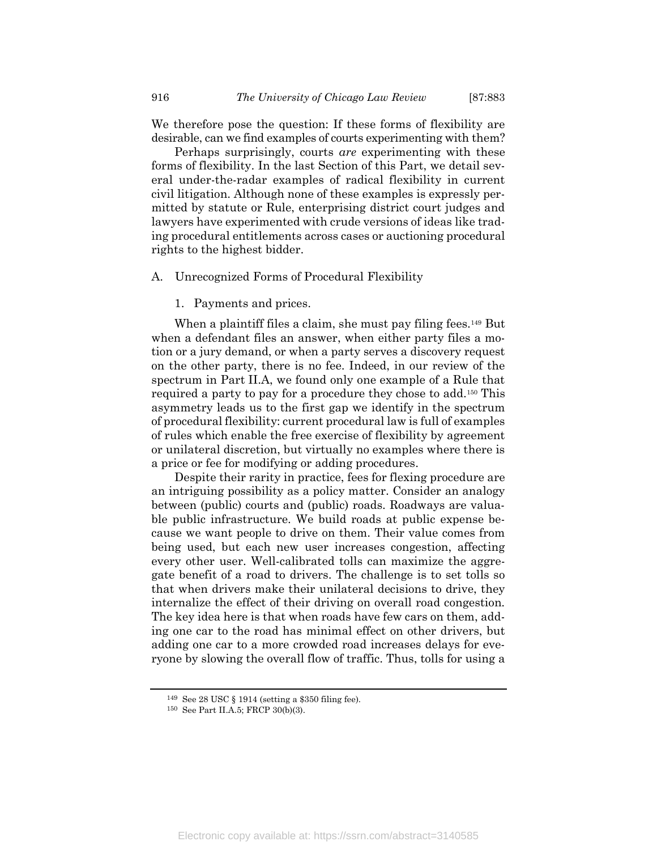We therefore pose the question: If these forms of flexibility are desirable, can we find examples of courts experimenting with them?

Perhaps surprisingly, courts are experimenting with these forms of flexibility. In the last Section of this Part, we detail several under-the-radar examples of radical flexibility in current civil litigation. Although none of these examples is expressly permitted by statute or Rule, enterprising district court judges and lawyers have experimented with crude versions of ideas like trading procedural entitlements across cases or auctioning procedural rights to the highest bidder.

#### A. Unrecognized Forms of Procedural Flexibility

1. Payments and prices.

When a plaintiff files a claim, she must pay filing fees.<sup>149</sup> But when a defendant files an answer, when either party files a motion or a jury demand, or when a party serves a discovery request on the other party, there is no fee. Indeed, in our review of the spectrum in Part II.A, we found only one example of a Rule that required a party to pay for a procedure they chose to add.150 This asymmetry leads us to the first gap we identify in the spectrum of procedural flexibility: current procedural law is full of examples of rules which enable the free exercise of flexibility by agreement or unilateral discretion, but virtually no examples where there is a price or fee for modifying or adding procedures.

Despite their rarity in practice, fees for flexing procedure are an intriguing possibility as a policy matter. Consider an analogy between (public) courts and (public) roads. Roadways are valuable public infrastructure. We build roads at public expense because we want people to drive on them. Their value comes from being used, but each new user increases congestion, affecting every other user. Well-calibrated tolls can maximize the aggregate benefit of a road to drivers. The challenge is to set tolls so that when drivers make their unilateral decisions to drive, they internalize the effect of their driving on overall road congestion. The key idea here is that when roads have few cars on them, adding one car to the road has minimal effect on other drivers, but adding one car to a more crowded road increases delays for everyone by slowing the overall flow of traffic. Thus, tolls for using a

<sup>149</sup> See 28 USC § 1914 (setting a \$350 filing fee).

<sup>150</sup> See Part II.A.5; FRCP 30(b)(3).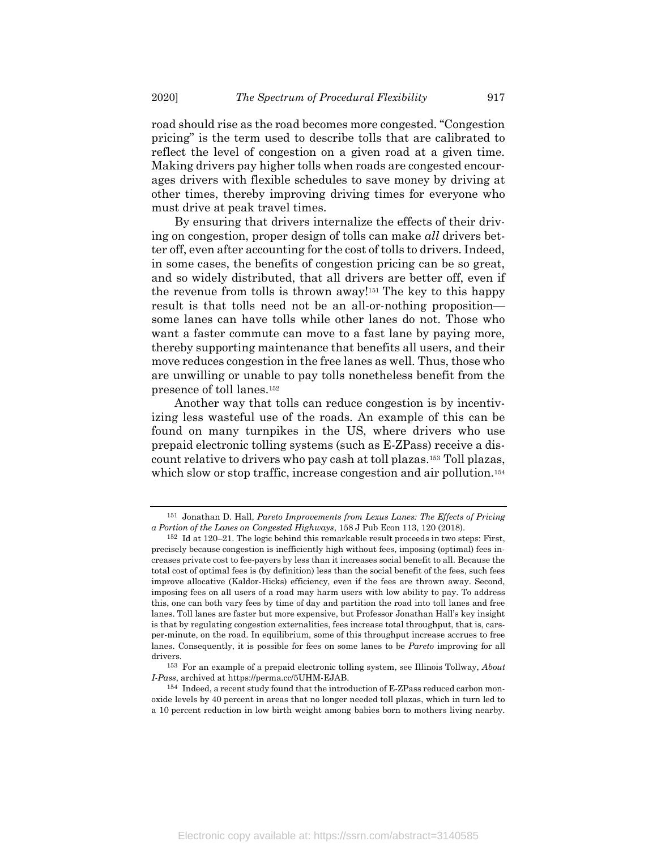road should rise as the road becomes more congested. "Congestion pricing" is the term used to describe tolls that are calibrated to reflect the level of congestion on a given road at a given time. Making drivers pay higher tolls when roads are congested encourages drivers with flexible schedules to save money by driving at other times, thereby improving driving times for everyone who must drive at peak travel times.

By ensuring that drivers internalize the effects of their driving on congestion, proper design of tolls can make all drivers better off, even after accounting for the cost of tolls to drivers. Indeed, in some cases, the benefits of congestion pricing can be so great, and so widely distributed, that all drivers are better off, even if the revenue from tolls is thrown away!151 The key to this happy result is that tolls need not be an all-or-nothing proposition some lanes can have tolls while other lanes do not. Those who want a faster commute can move to a fast lane by paying more, thereby supporting maintenance that benefits all users, and their move reduces congestion in the free lanes as well. Thus, those who are unwilling or unable to pay tolls nonetheless benefit from the presence of toll lanes.<sup>152</sup>

Another way that tolls can reduce congestion is by incentivizing less wasteful use of the roads. An example of this can be found on many turnpikes in the US, where drivers who use prepaid electronic tolling systems (such as E-ZPass) receive a discount relative to drivers who pay cash at toll plazas.153 Toll plazas, which slow or stop traffic, increase congestion and air pollution.<sup>154</sup>

<sup>151</sup> Jonathan D. Hall, Pareto Improvements from Lexus Lanes: The Effects of Pricing a Portion of the Lanes on Congested Highways, 158 J Pub Econ 113, 120 (2018).

<sup>152</sup> Id at 120–21. The logic behind this remarkable result proceeds in two steps: First, precisely because congestion is inefficiently high without fees, imposing (optimal) fees increases private cost to fee-payers by less than it increases social benefit to all. Because the total cost of optimal fees is (by definition) less than the social benefit of the fees, such fees improve allocative (Kaldor-Hicks) efficiency, even if the fees are thrown away. Second, imposing fees on all users of a road may harm users with low ability to pay. To address this, one can both vary fees by time of day and partition the road into toll lanes and free lanes. Toll lanes are faster but more expensive, but Professor Jonathan Hall's key insight is that by regulating congestion externalities, fees increase total throughput, that is, carsper-minute, on the road. In equilibrium, some of this throughput increase accrues to free lanes. Consequently, it is possible for fees on some lanes to be *Pareto* improving for all drivers.

 $^{153}\,$  For an example of a prepaid electronic tolling system, see Illinois Tollway,  $About$ I-Pass, archived at https://perma.cc/5UHM-EJAB.

<sup>154</sup> Indeed, a recent study found that the introduction of E-ZPass reduced carbon monoxide levels by 40 percent in areas that no longer needed toll plazas, which in turn led to a 10 percent reduction in low birth weight among babies born to mothers living nearby.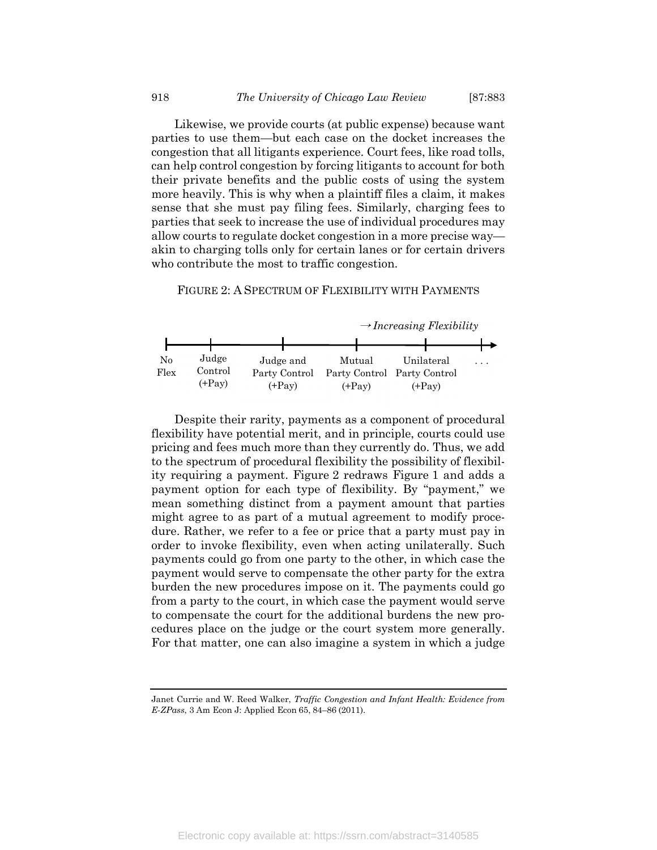Likewise, we provide courts (at public expense) because want parties to use them—but each case on the docket increases the congestion that all litigants experience. Court fees, like road tolls, can help control congestion by forcing litigants to account for both their private benefits and the public costs of using the system more heavily. This is why when a plaintiff files a claim, it makes sense that she must pay filing fees. Similarly, charging fees to parties that seek to increase the use of individual procedures may allow courts to regulate docket congestion in a more precise way akin to charging tolls only for certain lanes or for certain drivers who contribute the most to traffic congestion.

FIGURE 2: A SPECTRUM OF FLEXIBILITY WITH PAYMENTS



Despite their rarity, payments as a component of procedural flexibility have potential merit, and in principle, courts could use pricing and fees much more than they currently do. Thus, we add to the spectrum of procedural flexibility the possibility of flexibility requiring a payment. Figure 2 redraws Figure 1 and adds a payment option for each type of flexibility. By "payment," we mean something distinct from a payment amount that parties might agree to as part of a mutual agreement to modify procedure. Rather, we refer to a fee or price that a party must pay in order to invoke flexibility, even when acting unilaterally. Such payments could go from one party to the other, in which case the payment would serve to compensate the other party for the extra burden the new procedures impose on it. The payments could go from a party to the court, in which case the payment would serve to compensate the court for the additional burdens the new procedures place on the judge or the court system more generally. For that matter, one can also imagine a system in which a judge

Janet Currie and W. Reed Walker, Traffic Congestion and Infant Health: Evidence from E-ZPass, 3 Am Econ J: Applied Econ 65, 84–86 (2011).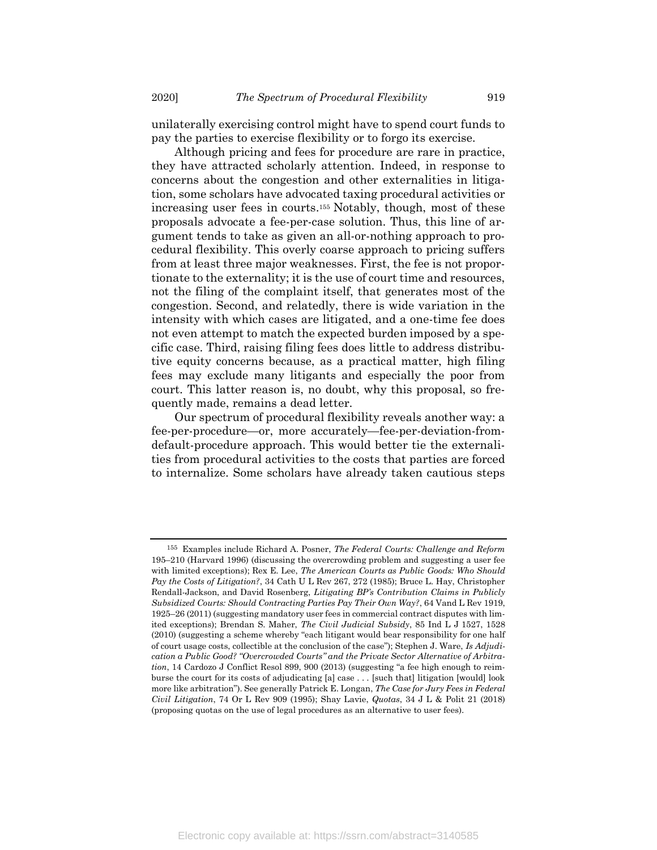unilaterally exercising control might have to spend court funds to pay the parties to exercise flexibility or to forgo its exercise.

Although pricing and fees for procedure are rare in practice, they have attracted scholarly attention. Indeed, in response to concerns about the congestion and other externalities in litigation, some scholars have advocated taxing procedural activities or increasing user fees in courts.155 Notably, though, most of these proposals advocate a fee-per-case solution. Thus, this line of argument tends to take as given an all-or-nothing approach to procedural flexibility. This overly coarse approach to pricing suffers from at least three major weaknesses. First, the fee is not proportionate to the externality; it is the use of court time and resources, not the filing of the complaint itself, that generates most of the congestion. Second, and relatedly, there is wide variation in the intensity with which cases are litigated, and a one-time fee does not even attempt to match the expected burden imposed by a specific case. Third, raising filing fees does little to address distributive equity concerns because, as a practical matter, high filing fees may exclude many litigants and especially the poor from court. This latter reason is, no doubt, why this proposal, so frequently made, remains a dead letter.

Our spectrum of procedural flexibility reveals another way: a fee-per-procedure—or, more accurately—fee-per-deviation-fromdefault-procedure approach. This would better tie the externalities from procedural activities to the costs that parties are forced to internalize. Some scholars have already taken cautious steps

<sup>155</sup> Examples include Richard A. Posner, The Federal Courts: Challenge and Reform 195–210 (Harvard 1996) (discussing the overcrowding problem and suggesting a user fee with limited exceptions); Rex E. Lee, The American Courts as Public Goods: Who Should Pay the Costs of Litigation?, 34 Cath U L Rev 267, 272 (1985); Bruce L. Hay, Christopher Rendall-Jackson, and David Rosenberg, Litigating BP's Contribution Claims in Publicly Subsidized Courts: Should Contracting Parties Pay Their Own Way?, 64 Vand L Rev 1919, 1925–26 (2011) (suggesting mandatory user fees in commercial contract disputes with limited exceptions); Brendan S. Maher, The Civil Judicial Subsidy, 85 Ind L J 1527, 1528 (2010) (suggesting a scheme whereby "each litigant would bear responsibility for one half of court usage costs, collectible at the conclusion of the case"); Stephen J. Ware, Is Adjudication a Public Good? "Overcrowded Courts" and the Private Sector Alternative of Arbitration, 14 Cardozo J Conflict Resol 899, 900 (2013) (suggesting "a fee high enough to reimburse the court for its costs of adjudicating [a] case . . . [such that] litigation [would] look more like arbitration"). See generally Patrick E. Longan, The Case for Jury Fees in Federal Civil Litigation, 74 Or L Rev 909 (1995); Shay Lavie, Quotas, 34 J L & Polit 21 (2018) (proposing quotas on the use of legal procedures as an alternative to user fees).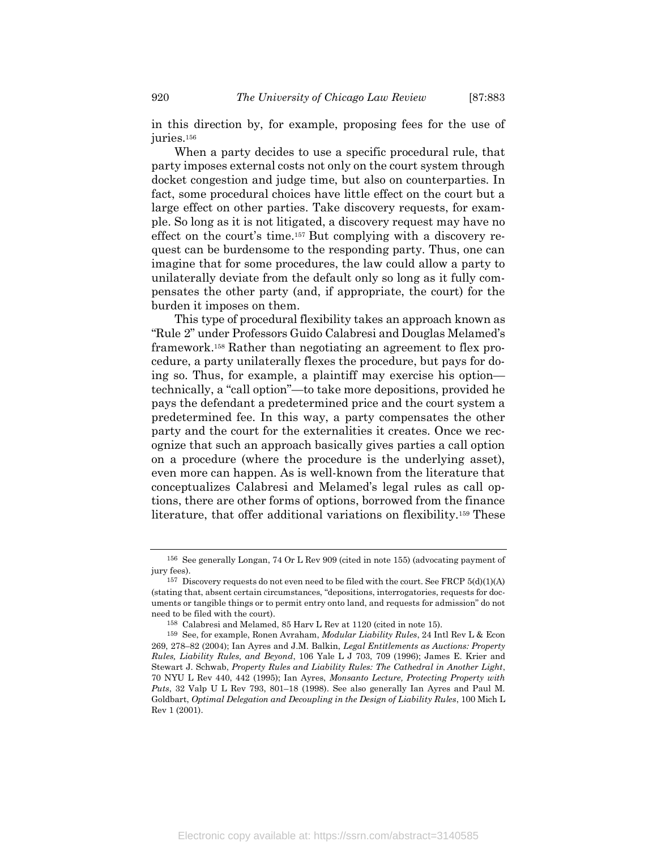in this direction by, for example, proposing fees for the use of juries.<sup>156</sup>

When a party decides to use a specific procedural rule, that party imposes external costs not only on the court system through docket congestion and judge time, but also on counterparties. In fact, some procedural choices have little effect on the court but a large effect on other parties. Take discovery requests, for example. So long as it is not litigated, a discovery request may have no effect on the court's time.157 But complying with a discovery request can be burdensome to the responding party. Thus, one can imagine that for some procedures, the law could allow a party to unilaterally deviate from the default only so long as it fully compensates the other party (and, if appropriate, the court) for the burden it imposes on them.

This type of procedural flexibility takes an approach known as "Rule 2" under Professors Guido Calabresi and Douglas Melamed's framework.158 Rather than negotiating an agreement to flex procedure, a party unilaterally flexes the procedure, but pays for doing so. Thus, for example, a plaintiff may exercise his option technically, a "call option"—to take more depositions, provided he pays the defendant a predetermined price and the court system a predetermined fee. In this way, a party compensates the other party and the court for the externalities it creates. Once we recognize that such an approach basically gives parties a call option on a procedure (where the procedure is the underlying asset), even more can happen. As is well-known from the literature that conceptualizes Calabresi and Melamed's legal rules as call options, there are other forms of options, borrowed from the finance literature, that offer additional variations on flexibility.159 These

<sup>156</sup> See generally Longan, 74 Or L Rev 909 (cited in note 155) (advocating payment of jury fees).

<sup>157</sup> Discovery requests do not even need to be filed with the court. See FRCP 5(d)(1)(A) (stating that, absent certain circumstances, "depositions, interrogatories, requests for documents or tangible things or to permit entry onto land, and requests for admission" do not need to be filed with the court).

<sup>158</sup> Calabresi and Melamed, 85 Harv L Rev at 1120 (cited in note 15).

<sup>159</sup> See, for example, Ronen Avraham, Modular Liability Rules, 24 Intl Rev L & Econ 269, 278–82 (2004); Ian Ayres and J.M. Balkin, Legal Entitlements as Auctions: Property Rules, Liability Rules, and Beyond, 106 Yale L J 703, 709 (1996); James E. Krier and Stewart J. Schwab, Property Rules and Liability Rules: The Cathedral in Another Light, 70 NYU L Rev 440, 442 (1995); Ian Ayres, Monsanto Lecture, Protecting Property with Puts, 32 Valp U L Rev 793, 801–18 (1998). See also generally Ian Ayres and Paul M. Goldbart, Optimal Delegation and Decoupling in the Design of Liability Rules, 100 Mich L Rev 1 (2001).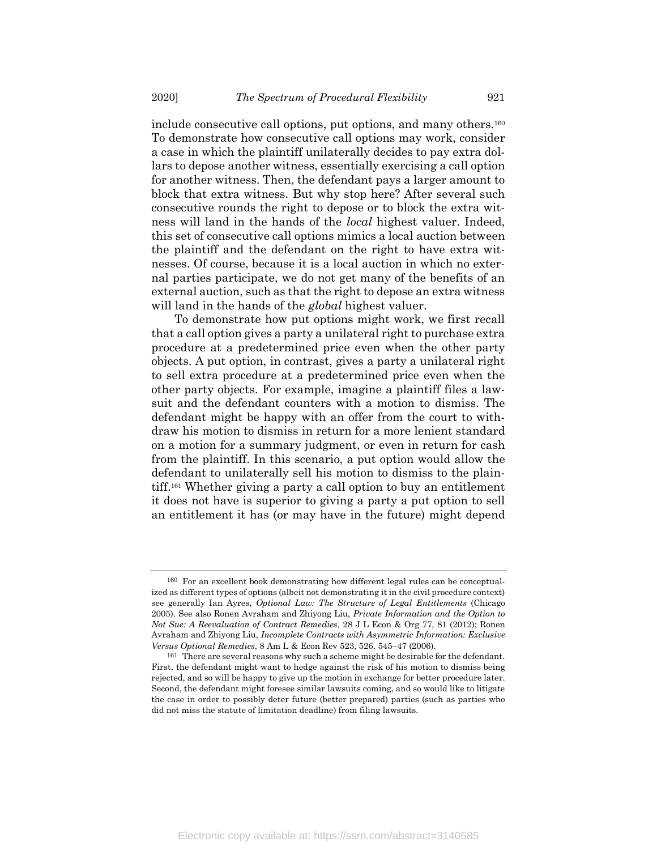include consecutive call options, put options, and many others.<sup>160</sup> To demonstrate how consecutive call options may work, consider a case in which the plaintiff unilaterally decides to pay extra dollars to depose another witness, essentially exercising a call option for another witness. Then, the defendant pays a larger amount to block that extra witness. But why stop here? After several such consecutive rounds the right to depose or to block the extra witness will land in the hands of the *local* highest valuer. Indeed, this set of consecutive call options mimics a local auction between the plaintiff and the defendant on the right to have extra witnesses. Of course, because it is a local auction in which no external parties participate, we do not get many of the benefits of an external auction, such as that the right to depose an extra witness will land in the hands of the *global* highest valuer.

To demonstrate how put options might work, we first recall that a call option gives a party a unilateral right to purchase extra procedure at a predetermined price even when the other party objects. A put option, in contrast, gives a party a unilateral right to sell extra procedure at a predetermined price even when the other party objects. For example, imagine a plaintiff files a lawsuit and the defendant counters with a motion to dismiss. The defendant might be happy with an offer from the court to withdraw his motion to dismiss in return for a more lenient standard on a motion for a summary judgment, or even in return for cash from the plaintiff. In this scenario, a put option would allow the defendant to unilaterally sell his motion to dismiss to the plaintiff.161 Whether giving a party a call option to buy an entitlement it does not have is superior to giving a party a put option to sell an entitlement it has (or may have in the future) might depend

<sup>160</sup> For an excellent book demonstrating how different legal rules can be conceptualized as different types of options (albeit not demonstrating it in the civil procedure context) see generally Ian Ayres, Optional Law: The Structure of Legal Entitlements (Chicago 2005). See also Ronen Avraham and Zhiyong Liu, Private Information and the Option to Not Sue: A Reevaluation of Contract Remedies, 28 J L Econ & Org 77, 81 (2012); Ronen Avraham and Zhiyong Liu, Incomplete Contracts with Asymmetric Information: Exclusive Versus Optional Remedies, 8 Am L & Econ Rev 523, 526, 545–47 (2006).

<sup>161</sup> There are several reasons why such a scheme might be desirable for the defendant. First, the defendant might want to hedge against the risk of his motion to dismiss being rejected, and so will be happy to give up the motion in exchange for better procedure later. Second, the defendant might foresee similar lawsuits coming, and so would like to litigate the case in order to possibly deter future (better prepared) parties (such as parties who did not miss the statute of limitation deadline) from filing lawsuits.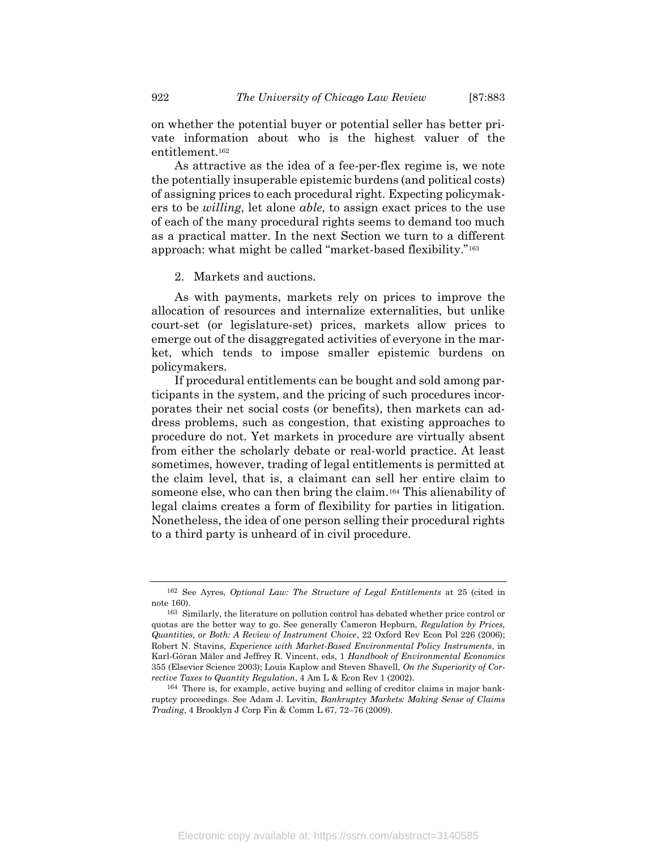on whether the potential buyer or potential seller has better private information about who is the highest valuer of the entitlement.<sup>162</sup>

As attractive as the idea of a fee-per-flex regime is, we note the potentially insuperable epistemic burdens (and political costs) of assigning prices to each procedural right. Expecting policymakers to be *willing*, let alone *able*, to assign exact prices to the use of each of the many procedural rights seems to demand too much as a practical matter. In the next Section we turn to a different approach: what might be called "market-based flexibility."<sup>163</sup>

2. Markets and auctions.

As with payments, markets rely on prices to improve the allocation of resources and internalize externalities, but unlike court-set (or legislature-set) prices, markets allow prices to emerge out of the disaggregated activities of everyone in the market, which tends to impose smaller epistemic burdens on policymakers.

If procedural entitlements can be bought and sold among participants in the system, and the pricing of such procedures incorporates their net social costs (or benefits), then markets can address problems, such as congestion, that existing approaches to procedure do not. Yet markets in procedure are virtually absent from either the scholarly debate or real-world practice. At least sometimes, however, trading of legal entitlements is permitted at the claim level, that is, a claimant can sell her entire claim to someone else, who can then bring the claim.164 This alienability of legal claims creates a form of flexibility for parties in litigation. Nonetheless, the idea of one person selling their procedural rights to a third party is unheard of in civil procedure.

<sup>162</sup> See Ayres, Optional Law: The Structure of Legal Entitlements at 25 (cited in note 160).

<sup>163</sup> Similarly, the literature on pollution control has debated whether price control or quotas are the better way to go. See generally Cameron Hepburn, Regulation by Prices, Quantities, or Both: A Review of Instrument Choice, 22 Oxford Rev Econ Pol 226 (2006); Robert N. Stavins, Experience with Market-Based Environmental Policy Instruments, in Karl-Göran Mäler and Jeffrey R. Vincent, eds, 1 Handbook of Environmental Economics 355 (Elsevier Science 2003); Louis Kaplow and Steven Shavell, On the Superiority of Corrective Taxes to Quantity Regulation, 4 Am L & Econ Rev 1 (2002).

<sup>164</sup> There is, for example, active buying and selling of creditor claims in major bankruptcy proceedings. See Adam J. Levitin, Bankruptcy Markets: Making Sense of Claims Trading, 4 Brooklyn J Corp Fin & Comm L 67, 72–76 (2009).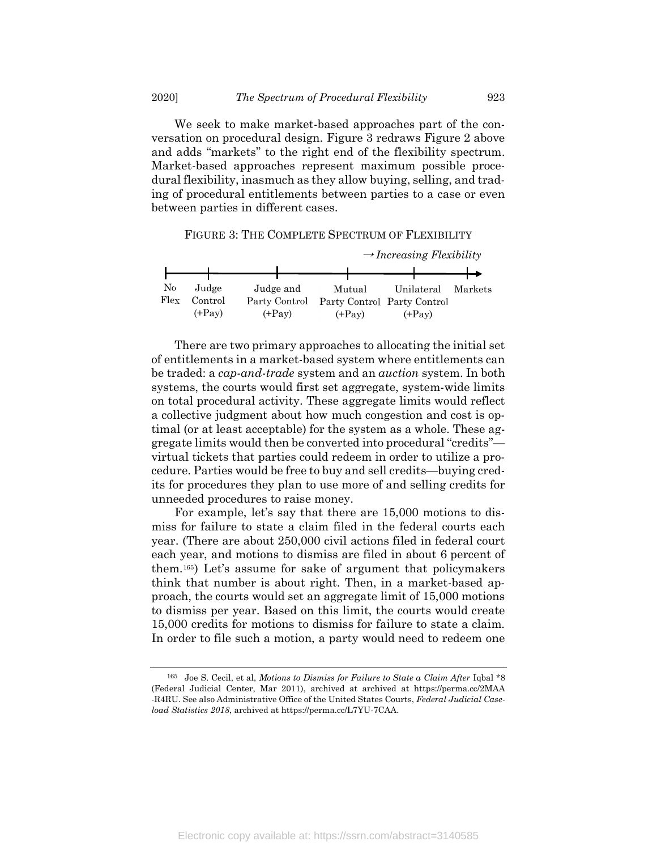We seek to make market-based approaches part of the conversation on procedural design. Figure 3 redraws Figure 2 above and adds "markets" to the right end of the flexibility spectrum. Market-based approaches represent maximum possible procedural flexibility, inasmuch as they allow buying, selling, and trading of procedural entitlements between parties to a case or even between parties in different cases.

FIGURE 3: THE COMPLETE SPECTRUM OF FLEXIBILITY



There are two primary approaches to allocating the initial set of entitlements in a market-based system where entitlements can be traded: a cap-and-trade system and an *auction* system. In both systems, the courts would first set aggregate, system-wide limits on total procedural activity. These aggregate limits would reflect a collective judgment about how much congestion and cost is optimal (or at least acceptable) for the system as a whole. These aggregate limits would then be converted into procedural "credits" virtual tickets that parties could redeem in order to utilize a procedure. Parties would be free to buy and sell credits—buying credits for procedures they plan to use more of and selling credits for unneeded procedures to raise money.

For example, let's say that there are 15,000 motions to dismiss for failure to state a claim filed in the federal courts each year. (There are about 250,000 civil actions filed in federal court each year, and motions to dismiss are filed in about 6 percent of them.165) Let's assume for sake of argument that policymakers think that number is about right. Then, in a market-based approach, the courts would set an aggregate limit of 15,000 motions to dismiss per year. Based on this limit, the courts would create 15,000 credits for motions to dismiss for failure to state a claim. In order to file such a motion, a party would need to redeem one

<sup>165</sup> Joe S. Cecil, et al, Motions to Dismiss for Failure to State a Claim After Iqbal \*8 (Federal Judicial Center, Mar 2011), archived at archived at https://perma.cc/2MAA -R4RU. See also Administrative Office of the United States Courts, Federal Judicial Caseload Statistics 2018, archived at https://perma.cc/L7YU-7CAA.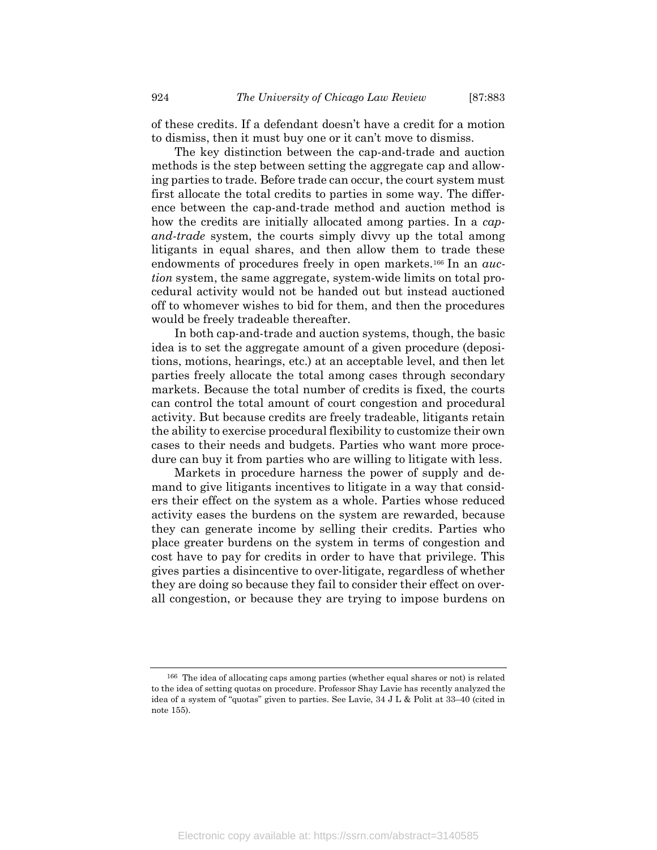of these credits. If a defendant doesn't have a credit for a motion to dismiss, then it must buy one or it can't move to dismiss.

The key distinction between the cap-and-trade and auction methods is the step between setting the aggregate cap and allowing parties to trade. Before trade can occur, the court system must first allocate the total credits to parties in some way. The difference between the cap-and-trade method and auction method is how the credits are initially allocated among parties. In a capand-trade system, the courts simply divvy up the total among litigants in equal shares, and then allow them to trade these endowments of procedures freely in open markets.<sup>166</sup> In an *auc*tion system, the same aggregate, system-wide limits on total procedural activity would not be handed out but instead auctioned off to whomever wishes to bid for them, and then the procedures would be freely tradeable thereafter.

In both cap-and-trade and auction systems, though, the basic idea is to set the aggregate amount of a given procedure (depositions, motions, hearings, etc.) at an acceptable level, and then let parties freely allocate the total among cases through secondary markets. Because the total number of credits is fixed, the courts can control the total amount of court congestion and procedural activity. But because credits are freely tradeable, litigants retain the ability to exercise procedural flexibility to customize their own cases to their needs and budgets. Parties who want more procedure can buy it from parties who are willing to litigate with less.

Markets in procedure harness the power of supply and demand to give litigants incentives to litigate in a way that considers their effect on the system as a whole. Parties whose reduced activity eases the burdens on the system are rewarded, because they can generate income by selling their credits. Parties who place greater burdens on the system in terms of congestion and cost have to pay for credits in order to have that privilege. This gives parties a disincentive to over-litigate, regardless of whether they are doing so because they fail to consider their effect on overall congestion, or because they are trying to impose burdens on

<sup>166</sup> The idea of allocating caps among parties (whether equal shares or not) is related to the idea of setting quotas on procedure. Professor Shay Lavie has recently analyzed the idea of a system of "quotas" given to parties. See Lavie, 34 J L & Polit at 33–40 (cited in note 155).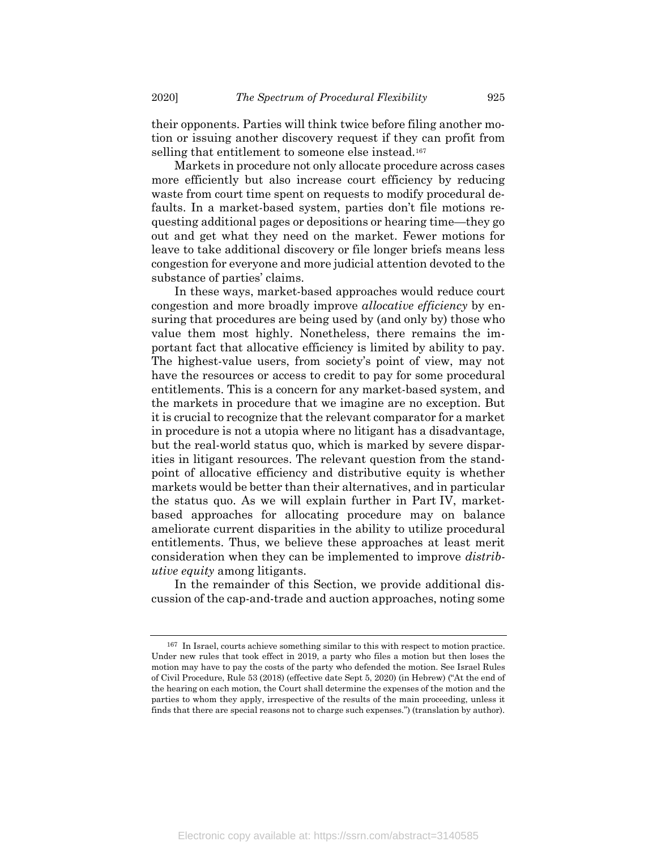their opponents. Parties will think twice before filing another motion or issuing another discovery request if they can profit from selling that entitlement to someone else instead.<sup>167</sup>

Markets in procedure not only allocate procedure across cases more efficiently but also increase court efficiency by reducing waste from court time spent on requests to modify procedural defaults. In a market-based system, parties don't file motions requesting additional pages or depositions or hearing time—they go out and get what they need on the market. Fewer motions for leave to take additional discovery or file longer briefs means less congestion for everyone and more judicial attention devoted to the substance of parties' claims.

In these ways, market-based approaches would reduce court congestion and more broadly improve *allocative efficiency* by ensuring that procedures are being used by (and only by) those who value them most highly. Nonetheless, there remains the important fact that allocative efficiency is limited by ability to pay. The highest-value users, from society's point of view, may not have the resources or access to credit to pay for some procedural entitlements. This is a concern for any market-based system, and the markets in procedure that we imagine are no exception. But it is crucial to recognize that the relevant comparator for a market in procedure is not a utopia where no litigant has a disadvantage, but the real-world status quo, which is marked by severe disparities in litigant resources. The relevant question from the standpoint of allocative efficiency and distributive equity is whether markets would be better than their alternatives, and in particular the status quo. As we will explain further in Part IV, marketbased approaches for allocating procedure may on balance ameliorate current disparities in the ability to utilize procedural entitlements. Thus, we believe these approaches at least merit consideration when they can be implemented to improve *distrib*utive equity among litigants.

In the remainder of this Section, we provide additional discussion of the cap-and-trade and auction approaches, noting some

<sup>167</sup> In Israel, courts achieve something similar to this with respect to motion practice. Under new rules that took effect in 2019, a party who files a motion but then loses the motion may have to pay the costs of the party who defended the motion. See Israel Rules of Civil Procedure, Rule 53 (2018) (effective date Sept 5, 2020) (in Hebrew) ("At the end of the hearing on each motion, the Court shall determine the expenses of the motion and the parties to whom they apply, irrespective of the results of the main proceeding, unless it finds that there are special reasons not to charge such expenses.") (translation by author).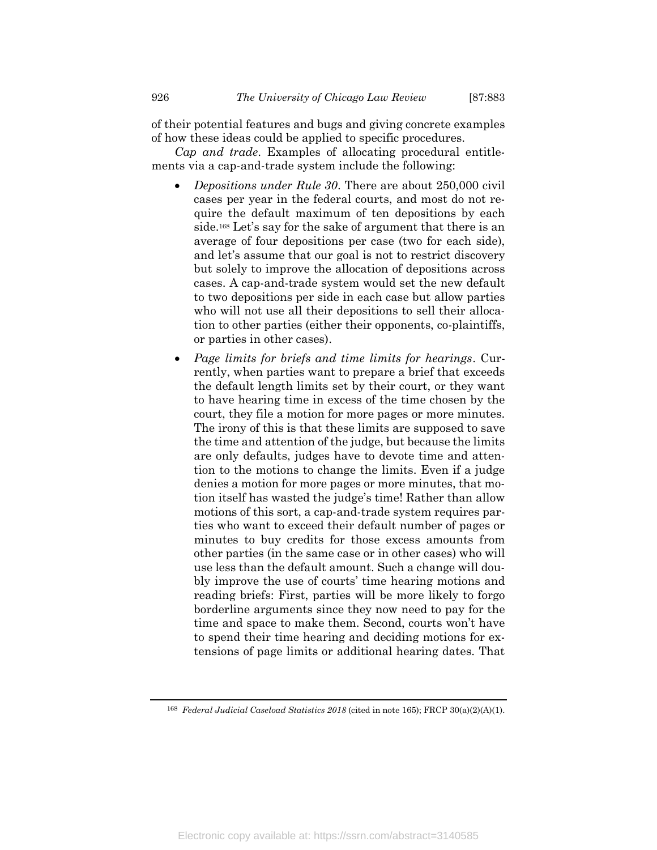of their potential features and bugs and giving concrete examples of how these ideas could be applied to specific procedures.

Cap and trade. Examples of allocating procedural entitlements via a cap-and-trade system include the following:

- Depositions under Rule 30. There are about 250,000 civil cases per year in the federal courts, and most do not require the default maximum of ten depositions by each side.<sup>168</sup> Let's say for the sake of argument that there is an average of four depositions per case (two for each side), and let's assume that our goal is not to restrict discovery but solely to improve the allocation of depositions across cases. A cap-and-trade system would set the new default to two depositions per side in each case but allow parties who will not use all their depositions to sell their allocation to other parties (either their opponents, co-plaintiffs, or parties in other cases).
- Page limits for briefs and time limits for hearings. Currently, when parties want to prepare a brief that exceeds the default length limits set by their court, or they want to have hearing time in excess of the time chosen by the court, they file a motion for more pages or more minutes. The irony of this is that these limits are supposed to save the time and attention of the judge, but because the limits are only defaults, judges have to devote time and attention to the motions to change the limits. Even if a judge denies a motion for more pages or more minutes, that motion itself has wasted the judge's time! Rather than allow motions of this sort, a cap-and-trade system requires parties who want to exceed their default number of pages or minutes to buy credits for those excess amounts from other parties (in the same case or in other cases) who will use less than the default amount. Such a change will doubly improve the use of courts' time hearing motions and reading briefs: First, parties will be more likely to forgo borderline arguments since they now need to pay for the time and space to make them. Second, courts won't have to spend their time hearing and deciding motions for extensions of page limits or additional hearing dates. That

<sup>168</sup> Federal Judicial Caseload Statistics 2018 (cited in note 165); FRCP 30(a)(2)(A)(1).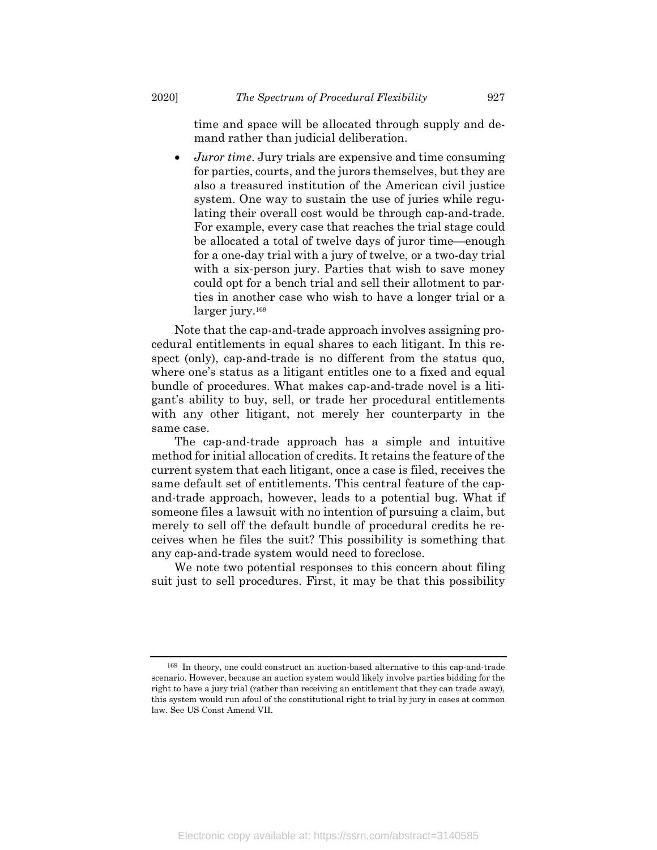time and space will be allocated through supply and demand rather than judicial deliberation.

 Juror time. Jury trials are expensive and time consuming for parties, courts, and the jurors themselves, but they are also a treasured institution of the American civil justice system. One way to sustain the use of juries while regulating their overall cost would be through cap-and-trade. For example, every case that reaches the trial stage could be allocated a total of twelve days of juror time—enough for a one-day trial with a jury of twelve, or a two-day trial with a six-person jury. Parties that wish to save money could opt for a bench trial and sell their allotment to parties in another case who wish to have a longer trial or a larger jury.<sup>169</sup>

Note that the cap-and-trade approach involves assigning procedural entitlements in equal shares to each litigant. In this respect (only), cap-and-trade is no different from the status quo, where one's status as a litigant entitles one to a fixed and equal bundle of procedures. What makes cap-and-trade novel is a litigant's ability to buy, sell, or trade her procedural entitlements with any other litigant, not merely her counterparty in the same case.

The cap-and-trade approach has a simple and intuitive method for initial allocation of credits. It retains the feature of the current system that each litigant, once a case is filed, receives the same default set of entitlements. This central feature of the capand-trade approach, however, leads to a potential bug. What if someone files a lawsuit with no intention of pursuing a claim, but merely to sell off the default bundle of procedural credits he receives when he files the suit? This possibility is something that any cap-and-trade system would need to foreclose.

We note two potential responses to this concern about filing suit just to sell procedures. First, it may be that this possibility

<sup>169</sup> In theory, one could construct an auction-based alternative to this cap-and-trade scenario. However, because an auction system would likely involve parties bidding for the right to have a jury trial (rather than receiving an entitlement that they can trade away), this system would run afoul of the constitutional right to trial by jury in cases at common law. See US Const Amend VII.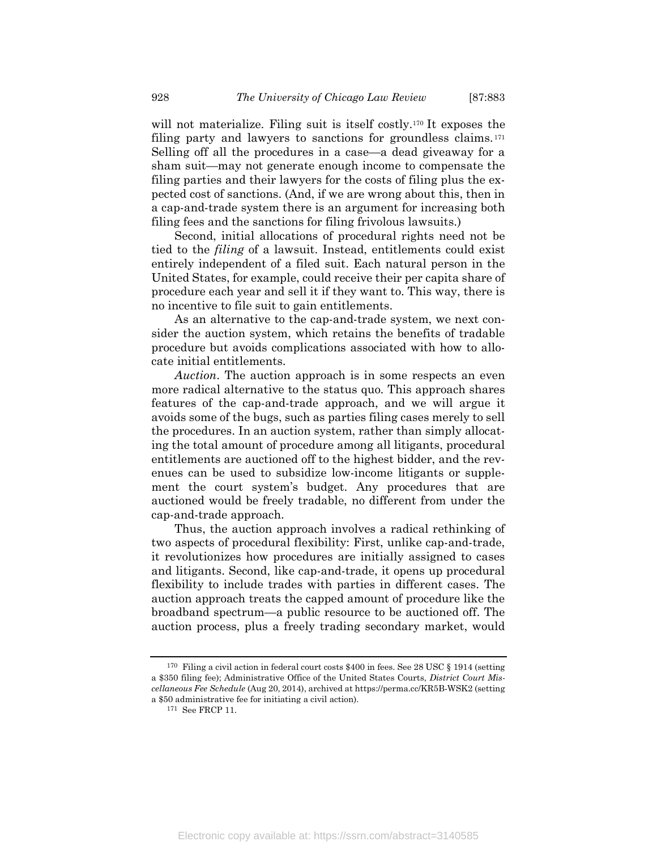will not materialize. Filing suit is itself costly.<sup>170</sup> It exposes the filing party and lawyers to sanctions for groundless claims. <sup>171</sup> Selling off all the procedures in a case—a dead giveaway for a sham suit—may not generate enough income to compensate the filing parties and their lawyers for the costs of filing plus the expected cost of sanctions. (And, if we are wrong about this, then in a cap-and-trade system there is an argument for increasing both filing fees and the sanctions for filing frivolous lawsuits.)

Second, initial allocations of procedural rights need not be tied to the filing of a lawsuit. Instead, entitlements could exist entirely independent of a filed suit. Each natural person in the United States, for example, could receive their per capita share of procedure each year and sell it if they want to. This way, there is no incentive to file suit to gain entitlements.

As an alternative to the cap-and-trade system, we next consider the auction system, which retains the benefits of tradable procedure but avoids complications associated with how to allocate initial entitlements.

Auction. The auction approach is in some respects an even more radical alternative to the status quo. This approach shares features of the cap-and-trade approach, and we will argue it avoids some of the bugs, such as parties filing cases merely to sell the procedures. In an auction system, rather than simply allocating the total amount of procedure among all litigants, procedural entitlements are auctioned off to the highest bidder, and the revenues can be used to subsidize low-income litigants or supplement the court system's budget. Any procedures that are auctioned would be freely tradable, no different from under the cap-and-trade approach.

Thus, the auction approach involves a radical rethinking of two aspects of procedural flexibility: First, unlike cap-and-trade, it revolutionizes how procedures are initially assigned to cases and litigants. Second, like cap-and-trade, it opens up procedural flexibility to include trades with parties in different cases. The auction approach treats the capped amount of procedure like the broadband spectrum—a public resource to be auctioned off. The auction process, plus a freely trading secondary market, would

170 Filing a civil action in federal court costs \$400 in fees. See 28 USC § 1914 (setting a \$350 filing fee); Administrative Office of the United States Courts, District Court Miscellaneous Fee Schedule (Aug 20, 2014), archived at https://perma.cc/KR5B-WSK2 (setting a \$50 administrative fee for initiating a civil action).

<sup>171</sup> See FRCP 11.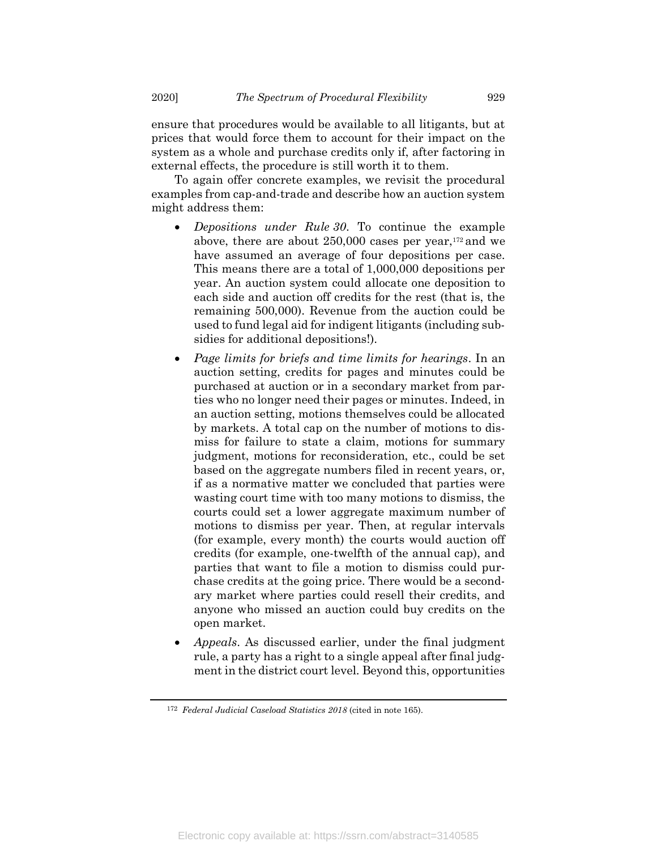ensure that procedures would be available to all litigants, but at prices that would force them to account for their impact on the system as a whole and purchase credits only if, after factoring in external effects, the procedure is still worth it to them.

To again offer concrete examples, we revisit the procedural examples from cap-and-trade and describe how an auction system might address them:

- Depositions under Rule 30. To continue the example above, there are about 250,000 cases per year,172 and we have assumed an average of four depositions per case. This means there are a total of 1,000,000 depositions per year. An auction system could allocate one deposition to each side and auction off credits for the rest (that is, the remaining 500,000). Revenue from the auction could be used to fund legal aid for indigent litigants (including subsidies for additional depositions!).
- Page limits for briefs and time limits for hearings. In an auction setting, credits for pages and minutes could be purchased at auction or in a secondary market from parties who no longer need their pages or minutes. Indeed, in an auction setting, motions themselves could be allocated by markets. A total cap on the number of motions to dismiss for failure to state a claim, motions for summary judgment, motions for reconsideration, etc., could be set based on the aggregate numbers filed in recent years, or, if as a normative matter we concluded that parties were wasting court time with too many motions to dismiss, the courts could set a lower aggregate maximum number of motions to dismiss per year. Then, at regular intervals (for example, every month) the courts would auction off credits (for example, one-twelfth of the annual cap), and parties that want to file a motion to dismiss could purchase credits at the going price. There would be a secondary market where parties could resell their credits, and anyone who missed an auction could buy credits on the open market.
- Appeals. As discussed earlier, under the final judgment rule, a party has a right to a single appeal after final judgment in the district court level. Beyond this, opportunities

<sup>172</sup> Federal Judicial Caseload Statistics 2018 (cited in note 165).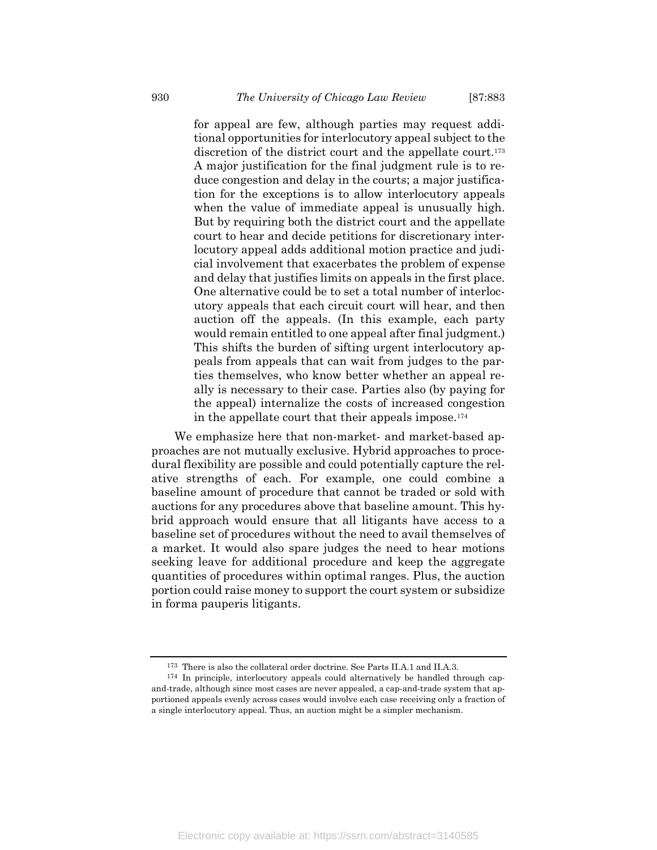for appeal are few, although parties may request additional opportunities for interlocutory appeal subject to the discretion of the district court and the appellate court.<sup>173</sup> A major justification for the final judgment rule is to reduce congestion and delay in the courts; a major justification for the exceptions is to allow interlocutory appeals when the value of immediate appeal is unusually high. But by requiring both the district court and the appellate court to hear and decide petitions for discretionary interlocutory appeal adds additional motion practice and judicial involvement that exacerbates the problem of expense and delay that justifies limits on appeals in the first place. One alternative could be to set a total number of interlocutory appeals that each circuit court will hear, and then auction off the appeals. (In this example, each party would remain entitled to one appeal after final judgment.) This shifts the burden of sifting urgent interlocutory appeals from appeals that can wait from judges to the parties themselves, who know better whether an appeal really is necessary to their case. Parties also (by paying for the appeal) internalize the costs of increased congestion in the appellate court that their appeals impose.<sup>174</sup>

We emphasize here that non-market- and market-based approaches are not mutually exclusive. Hybrid approaches to procedural flexibility are possible and could potentially capture the relative strengths of each. For example, one could combine a baseline amount of procedure that cannot be traded or sold with auctions for any procedures above that baseline amount. This hybrid approach would ensure that all litigants have access to a baseline set of procedures without the need to avail themselves of a market. It would also spare judges the need to hear motions seeking leave for additional procedure and keep the aggregate quantities of procedures within optimal ranges. Plus, the auction portion could raise money to support the court system or subsidize in forma pauperis litigants.

<sup>173</sup> There is also the collateral order doctrine. See Parts II.A.1 and II.A.3.

<sup>174</sup> In principle, interlocutory appeals could alternatively be handled through capand-trade, although since most cases are never appealed, a cap-and-trade system that apportioned appeals evenly across cases would involve each case receiving only a fraction of a single interlocutory appeal. Thus, an auction might be a simpler mechanism.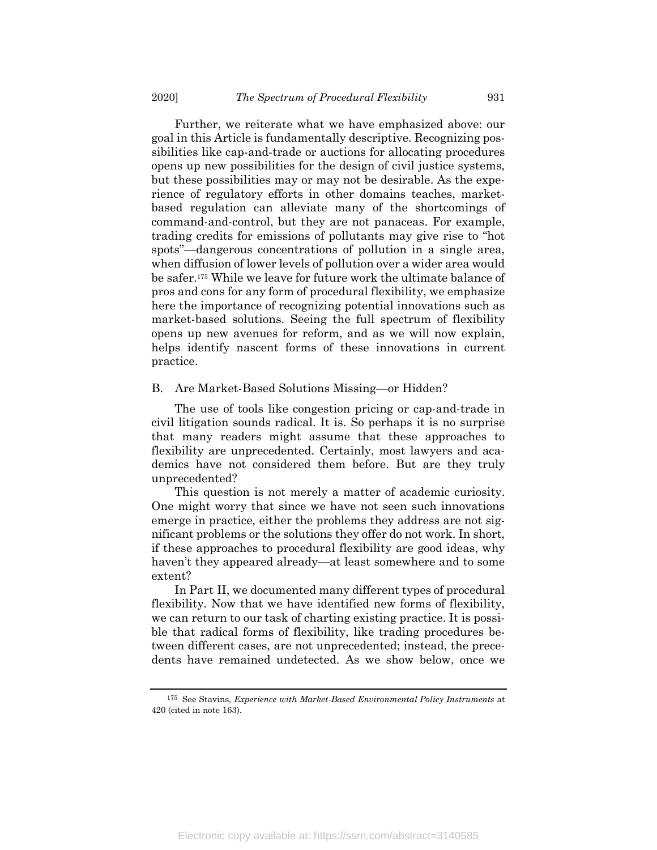Further, we reiterate what we have emphasized above: our goal in this Article is fundamentally descriptive. Recognizing possibilities like cap-and-trade or auctions for allocating procedures opens up new possibilities for the design of civil justice systems, but these possibilities may or may not be desirable. As the experience of regulatory efforts in other domains teaches, marketbased regulation can alleviate many of the shortcomings of command-and-control, but they are not panaceas. For example, trading credits for emissions of pollutants may give rise to "hot spots"—dangerous concentrations of pollution in a single area, when diffusion of lower levels of pollution over a wider area would be safer.175 While we leave for future work the ultimate balance of pros and cons for any form of procedural flexibility, we emphasize here the importance of recognizing potential innovations such as market-based solutions. Seeing the full spectrum of flexibility opens up new avenues for reform, and as we will now explain, helps identify nascent forms of these innovations in current practice.

#### B. Are Market-Based Solutions Missing—or Hidden?

The use of tools like congestion pricing or cap-and-trade in civil litigation sounds radical. It is. So perhaps it is no surprise that many readers might assume that these approaches to flexibility are unprecedented. Certainly, most lawyers and academics have not considered them before. But are they truly unprecedented?

This question is not merely a matter of academic curiosity. One might worry that since we have not seen such innovations emerge in practice, either the problems they address are not significant problems or the solutions they offer do not work. In short, if these approaches to procedural flexibility are good ideas, why haven't they appeared already—at least somewhere and to some extent?

In Part II, we documented many different types of procedural flexibility. Now that we have identified new forms of flexibility, we can return to our task of charting existing practice. It is possible that radical forms of flexibility, like trading procedures between different cases, are not unprecedented; instead, the precedents have remained undetected. As we show below, once we

<sup>175</sup> See Stavins, Experience with Market-Based Environmental Policy Instruments at 420 (cited in note 163).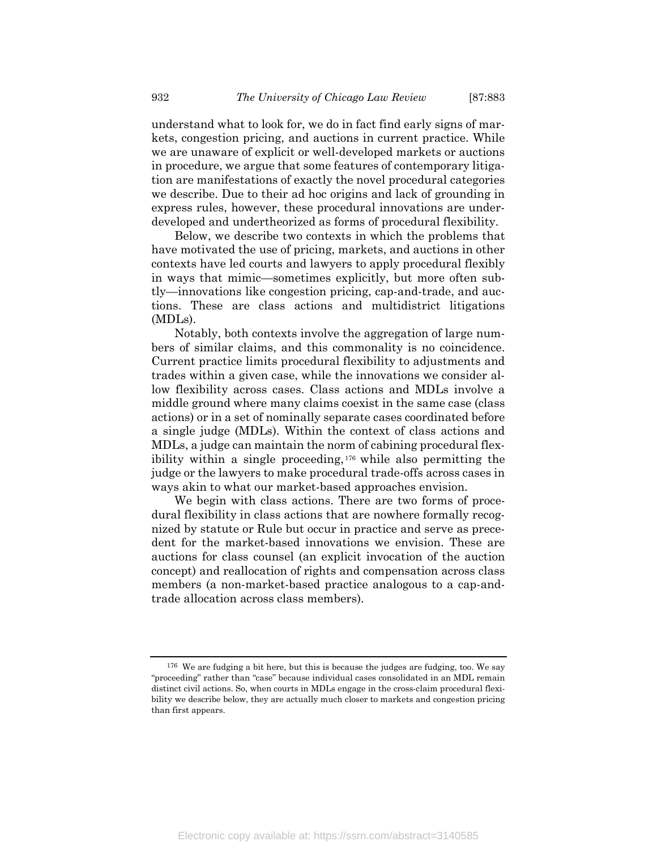understand what to look for, we do in fact find early signs of markets, congestion pricing, and auctions in current practice. While we are unaware of explicit or well-developed markets or auctions in procedure, we argue that some features of contemporary litigation are manifestations of exactly the novel procedural categories we describe. Due to their ad hoc origins and lack of grounding in express rules, however, these procedural innovations are underdeveloped and undertheorized as forms of procedural flexibility.

Below, we describe two contexts in which the problems that have motivated the use of pricing, markets, and auctions in other contexts have led courts and lawyers to apply procedural flexibly in ways that mimic—sometimes explicitly, but more often subtly—innovations like congestion pricing, cap-and-trade, and auctions. These are class actions and multidistrict litigations (MDLs).

Notably, both contexts involve the aggregation of large numbers of similar claims, and this commonality is no coincidence. Current practice limits procedural flexibility to adjustments and trades within a given case, while the innovations we consider allow flexibility across cases. Class actions and MDLs involve a middle ground where many claims coexist in the same case (class actions) or in a set of nominally separate cases coordinated before a single judge (MDLs). Within the context of class actions and MDLs, a judge can maintain the norm of cabining procedural flexibility within a single proceeding, <sup>176</sup> while also permitting the judge or the lawyers to make procedural trade-offs across cases in ways akin to what our market-based approaches envision.

We begin with class actions. There are two forms of procedural flexibility in class actions that are nowhere formally recognized by statute or Rule but occur in practice and serve as precedent for the market-based innovations we envision. These are auctions for class counsel (an explicit invocation of the auction concept) and reallocation of rights and compensation across class members (a non-market-based practice analogous to a cap-andtrade allocation across class members).

<sup>176</sup> We are fudging a bit here, but this is because the judges are fudging, too. We say "proceeding" rather than "case" because individual cases consolidated in an MDL remain distinct civil actions. So, when courts in MDLs engage in the cross-claim procedural flexibility we describe below, they are actually much closer to markets and congestion pricing than first appears.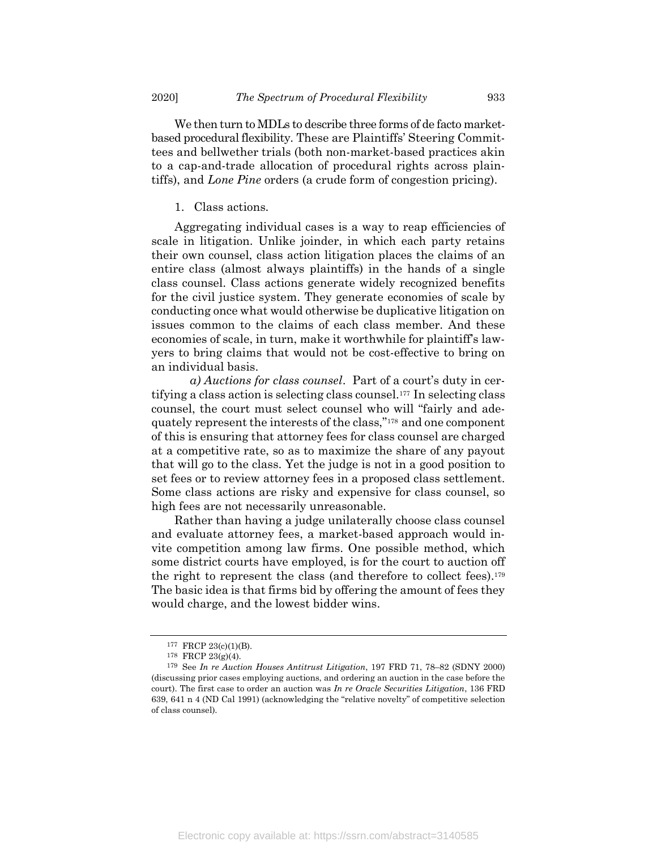We then turn to MDLs to describe three forms of de facto marketbased procedural flexibility. These are Plaintiffs' Steering Committees and bellwether trials (both non-market-based practices akin to a cap-and-trade allocation of procedural rights across plaintiffs), and Lone Pine orders (a crude form of congestion pricing).

#### 1. Class actions.

Aggregating individual cases is a way to reap efficiencies of scale in litigation. Unlike joinder, in which each party retains their own counsel, class action litigation places the claims of an entire class (almost always plaintiffs) in the hands of a single class counsel. Class actions generate widely recognized benefits for the civil justice system. They generate economies of scale by conducting once what would otherwise be duplicative litigation on issues common to the claims of each class member. And these economies of scale, in turn, make it worthwhile for plaintiff's lawyers to bring claims that would not be cost-effective to bring on an individual basis.

a) Auctions for class counsel. Part of a court's duty in certifying a class action is selecting class counsel.177 In selecting class counsel, the court must select counsel who will "fairly and adequately represent the interests of the class,"178 and one component of this is ensuring that attorney fees for class counsel are charged at a competitive rate, so as to maximize the share of any payout that will go to the class. Yet the judge is not in a good position to set fees or to review attorney fees in a proposed class settlement. Some class actions are risky and expensive for class counsel, so high fees are not necessarily unreasonable.

Rather than having a judge unilaterally choose class counsel and evaluate attorney fees, a market-based approach would invite competition among law firms. One possible method, which some district courts have employed, is for the court to auction off the right to represent the class (and therefore to collect fees).<sup>179</sup> The basic idea is that firms bid by offering the amount of fees they would charge, and the lowest bidder wins.

<sup>177</sup> FRCP 23(c)(1)(B).

<sup>178</sup> FRCP 23(g)(4).

<sup>179</sup> See In re Auction Houses Antitrust Litigation, 197 FRD 71, 78–82 (SDNY 2000) (discussing prior cases employing auctions, and ordering an auction in the case before the court). The first case to order an auction was  $In$  re Oracle Securities Litigation, 136 FRD 639, 641 n 4 (ND Cal 1991) (acknowledging the "relative novelty" of competitive selection of class counsel).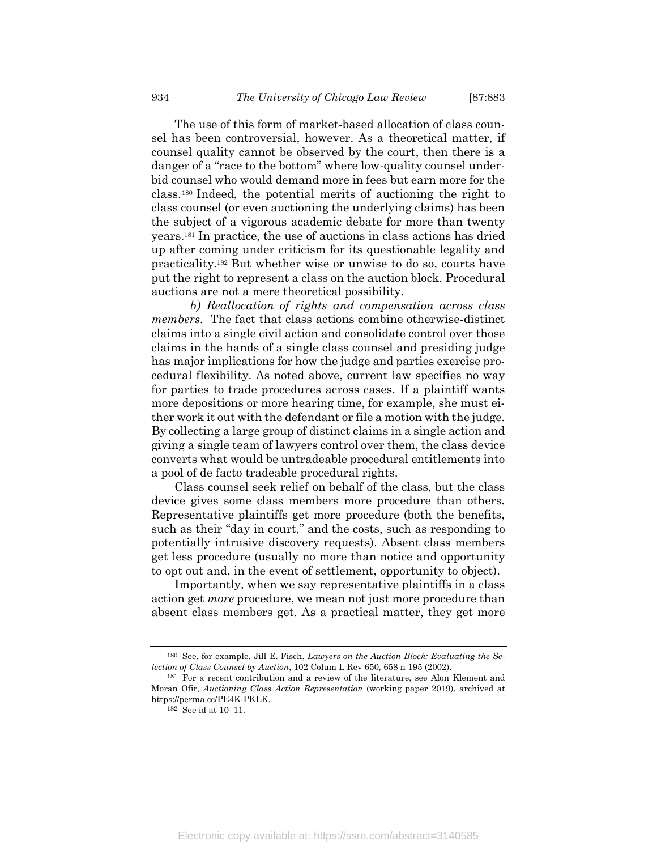The use of this form of market-based allocation of class counsel has been controversial, however. As a theoretical matter, if counsel quality cannot be observed by the court, then there is a danger of a "race to the bottom" where low-quality counsel underbid counsel who would demand more in fees but earn more for the class.180 Indeed, the potential merits of auctioning the right to class counsel (or even auctioning the underlying claims) has been the subject of a vigorous academic debate for more than twenty years.181 In practice, the use of auctions in class actions has dried up after coming under criticism for its questionable legality and practicality.182 But whether wise or unwise to do so, courts have put the right to represent a class on the auction block. Procedural auctions are not a mere theoretical possibility.

b) Reallocation of rights and compensation across class members. The fact that class actions combine otherwise-distinct claims into a single civil action and consolidate control over those claims in the hands of a single class counsel and presiding judge has major implications for how the judge and parties exercise procedural flexibility. As noted above, current law specifies no way for parties to trade procedures across cases. If a plaintiff wants more depositions or more hearing time, for example, she must either work it out with the defendant or file a motion with the judge. By collecting a large group of distinct claims in a single action and giving a single team of lawyers control over them, the class device converts what would be untradeable procedural entitlements into a pool of de facto tradeable procedural rights.

Class counsel seek relief on behalf of the class, but the class device gives some class members more procedure than others. Representative plaintiffs get more procedure (both the benefits, such as their "day in court," and the costs, such as responding to potentially intrusive discovery requests). Absent class members get less procedure (usually no more than notice and opportunity to opt out and, in the event of settlement, opportunity to object).

Importantly, when we say representative plaintiffs in a class action get more procedure, we mean not just more procedure than absent class members get. As a practical matter, they get more

<sup>180</sup> See, for example, Jill E. Fisch, Lawyers on the Auction Block: Evaluating the Selection of Class Counsel by Auction, 102 Colum L Rev 650, 658 n 195 (2002).

<sup>181</sup> For a recent contribution and a review of the literature, see Alon Klement and Moran Ofir, Auctioning Class Action Representation (working paper 2019), archived at https://perma.cc/PE4K-PKLK.

<sup>182</sup> See id at 10–11.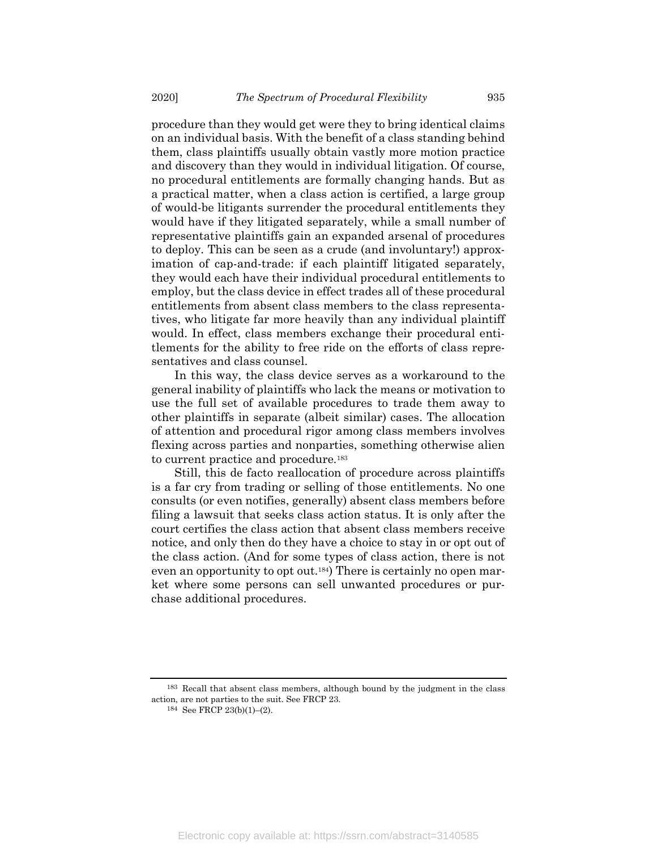procedure than they would get were they to bring identical claims on an individual basis. With the benefit of a class standing behind them, class plaintiffs usually obtain vastly more motion practice and discovery than they would in individual litigation. Of course, no procedural entitlements are formally changing hands. But as a practical matter, when a class action is certified, a large group of would-be litigants surrender the procedural entitlements they would have if they litigated separately, while a small number of representative plaintiffs gain an expanded arsenal of procedures to deploy. This can be seen as a crude (and involuntary!) approximation of cap-and-trade: if each plaintiff litigated separately, they would each have their individual procedural entitlements to employ, but the class device in effect trades all of these procedural entitlements from absent class members to the class representatives, who litigate far more heavily than any individual plaintiff would. In effect, class members exchange their procedural entitlements for the ability to free ride on the efforts of class representatives and class counsel.

In this way, the class device serves as a workaround to the general inability of plaintiffs who lack the means or motivation to use the full set of available procedures to trade them away to other plaintiffs in separate (albeit similar) cases. The allocation of attention and procedural rigor among class members involves flexing across parties and nonparties, something otherwise alien to current practice and procedure.<sup>183</sup>

Still, this de facto reallocation of procedure across plaintiffs is a far cry from trading or selling of those entitlements. No one consults (or even notifies, generally) absent class members before filing a lawsuit that seeks class action status. It is only after the court certifies the class action that absent class members receive notice, and only then do they have a choice to stay in or opt out of the class action. (And for some types of class action, there is not even an opportunity to opt out.184) There is certainly no open market where some persons can sell unwanted procedures or purchase additional procedures.

183 Recall that absent class members, although bound by the judgment in the class action, are not parties to the suit. See FRCP 23.

<sup>184</sup> See FRCP 23(b)(1)–(2).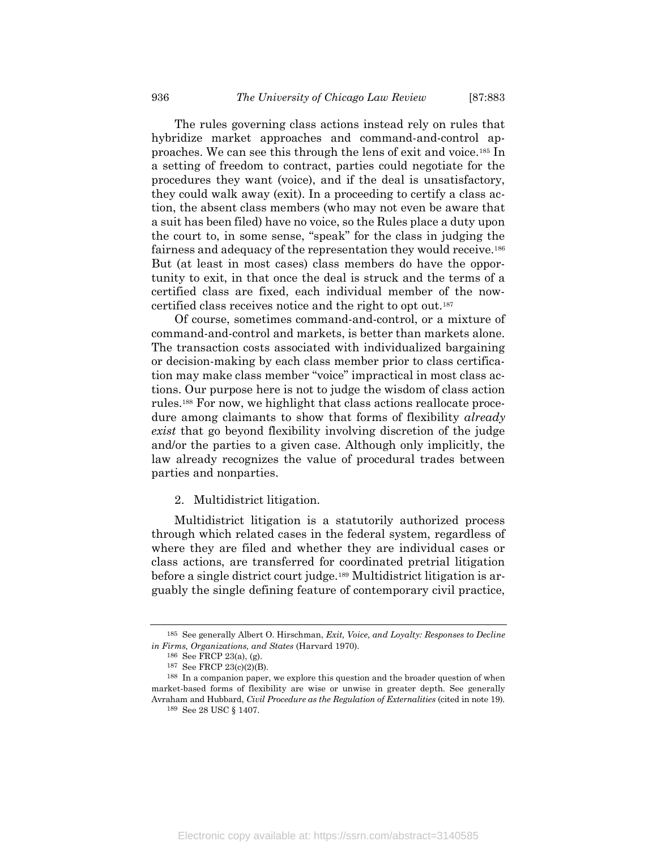The rules governing class actions instead rely on rules that hybridize market approaches and command-and-control approaches. We can see this through the lens of exit and voice.185 In a setting of freedom to contract, parties could negotiate for the procedures they want (voice), and if the deal is unsatisfactory, they could walk away (exit). In a proceeding to certify a class action, the absent class members (who may not even be aware that a suit has been filed) have no voice, so the Rules place a duty upon the court to, in some sense, "speak" for the class in judging the fairness and adequacy of the representation they would receive.<sup>186</sup> But (at least in most cases) class members do have the opportunity to exit, in that once the deal is struck and the terms of a certified class are fixed, each individual member of the nowcertified class receives notice and the right to opt out.<sup>187</sup>

Of course, sometimes command-and-control, or a mixture of command-and-control and markets, is better than markets alone. The transaction costs associated with individualized bargaining or decision-making by each class member prior to class certification may make class member "voice" impractical in most class actions. Our purpose here is not to judge the wisdom of class action rules.188 For now, we highlight that class actions reallocate procedure among claimants to show that forms of flexibility *already* exist that go beyond flexibility involving discretion of the judge and/or the parties to a given case. Although only implicitly, the law already recognizes the value of procedural trades between parties and nonparties.

2. Multidistrict litigation.

Multidistrict litigation is a statutorily authorized process through which related cases in the federal system, regardless of where they are filed and whether they are individual cases or class actions, are transferred for coordinated pretrial litigation before a single district court judge.189 Multidistrict litigation is arguably the single defining feature of contemporary civil practice,

<sup>185</sup> See generally Albert O. Hirschman, Exit, Voice, and Loyalty: Responses to Decline in Firms, Organizations, and States (Harvard 1970).

<sup>186</sup> See FRCP 23(a), (g).

<sup>187</sup> See FRCP 23(c)(2)(B).

<sup>188</sup> In a companion paper, we explore this question and the broader question of when market-based forms of flexibility are wise or unwise in greater depth. See generally Avraham and Hubbard, Civil Procedure as the Regulation of Externalities (cited in note 19). 189 See 28 USC § 1407.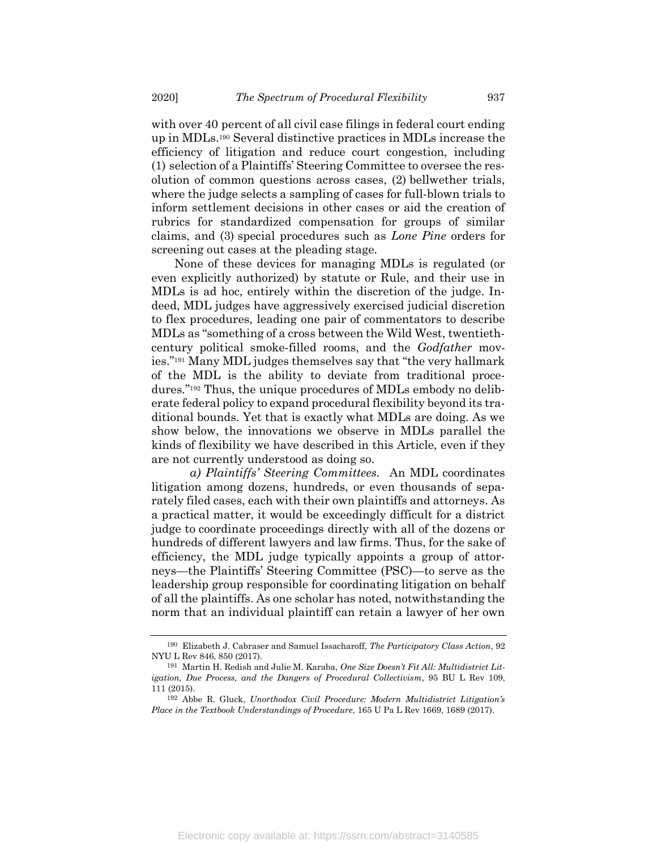with over 40 percent of all civil case filings in federal court ending up in MDLs.190 Several distinctive practices in MDLs increase the efficiency of litigation and reduce court congestion, including (1) selection of a Plaintiffs' Steering Committee to oversee the resolution of common questions across cases, (2) bellwether trials, where the judge selects a sampling of cases for full-blown trials to inform settlement decisions in other cases or aid the creation of rubrics for standardized compensation for groups of similar claims, and (3) special procedures such as Lone Pine orders for screening out cases at the pleading stage.

None of these devices for managing MDLs is regulated (or even explicitly authorized) by statute or Rule, and their use in MDLs is ad hoc, entirely within the discretion of the judge. Indeed, MDL judges have aggressively exercised judicial discretion to flex procedures, leading one pair of commentators to describe MDLs as "something of a cross between the Wild West, twentiethcentury political smoke-filled rooms, and the Godfather movies."191 Many MDL judges themselves say that "the very hallmark of the MDL is the ability to deviate from traditional procedures."192 Thus, the unique procedures of MDLs embody no deliberate federal policy to expand procedural flexibility beyond its traditional bounds. Yet that is exactly what MDLs are doing. As we show below, the innovations we observe in MDLs parallel the kinds of flexibility we have described in this Article, even if they are not currently understood as doing so.

a) Plaintiffs' Steering Committees. An MDL coordinates litigation among dozens, hundreds, or even thousands of separately filed cases, each with their own plaintiffs and attorneys. As a practical matter, it would be exceedingly difficult for a district judge to coordinate proceedings directly with all of the dozens or hundreds of different lawyers and law firms. Thus, for the sake of efficiency, the MDL judge typically appoints a group of attorneys—the Plaintiffs' Steering Committee (PSC)—to serve as the leadership group responsible for coordinating litigation on behalf of all the plaintiffs. As one scholar has noted, notwithstanding the norm that an individual plaintiff can retain a lawyer of her own

<sup>190</sup> Elizabeth J. Cabraser and Samuel Issacharoff, The Participatory Class Action, 92 NYU L Rev 846, 850 (2017).

<sup>191</sup> Martin H. Redish and Julie M. Karaba, One Size Doesn't Fit All: Multidistrict Litigation, Due Process, and the Dangers of Procedural Collectivism, 95 BU L Rev 109, 111 (2015).

<sup>192</sup> Abbe R. Gluck, Unorthodox Civil Procedure: Modern Multidistrict Litigation's Place in the Textbook Understandings of Procedure, 165 U Pa L Rev 1669, 1689 (2017).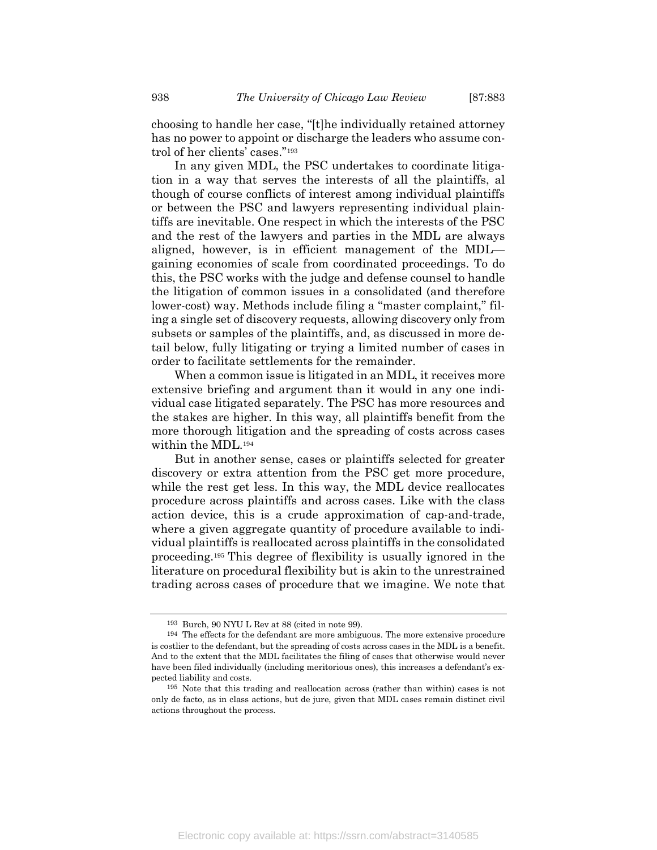choosing to handle her case, "[t]he individually retained attorney has no power to appoint or discharge the leaders who assume control of her clients' cases."<sup>193</sup>

In any given MDL, the PSC undertakes to coordinate litigation in a way that serves the interests of all the plaintiffs, al though of course conflicts of interest among individual plaintiffs or between the PSC and lawyers representing individual plaintiffs are inevitable. One respect in which the interests of the PSC and the rest of the lawyers and parties in the MDL are always aligned, however, is in efficient management of the MDL gaining economies of scale from coordinated proceedings. To do this, the PSC works with the judge and defense counsel to handle the litigation of common issues in a consolidated (and therefore lower-cost) way. Methods include filing a "master complaint," filing a single set of discovery requests, allowing discovery only from subsets or samples of the plaintiffs, and, as discussed in more detail below, fully litigating or trying a limited number of cases in order to facilitate settlements for the remainder.

When a common issue is litigated in an MDL, it receives more extensive briefing and argument than it would in any one individual case litigated separately. The PSC has more resources and the stakes are higher. In this way, all plaintiffs benefit from the more thorough litigation and the spreading of costs across cases within the MDL.<sup>194</sup>

But in another sense, cases or plaintiffs selected for greater discovery or extra attention from the PSC get more procedure, while the rest get less. In this way, the MDL device reallocates procedure across plaintiffs and across cases. Like with the class action device, this is a crude approximation of cap-and-trade, where a given aggregate quantity of procedure available to individual plaintiffs is reallocated across plaintiffs in the consolidated proceeding.195 This degree of flexibility is usually ignored in the literature on procedural flexibility but is akin to the unrestrained trading across cases of procedure that we imagine. We note that

<sup>193</sup> Burch, 90 NYU L Rev at 88 (cited in note 99).

<sup>194</sup> The effects for the defendant are more ambiguous. The more extensive procedure is costlier to the defendant, but the spreading of costs across cases in the MDL is a benefit. And to the extent that the MDL facilitates the filing of cases that otherwise would never have been filed individually (including meritorious ones), this increases a defendant's expected liability and costs.

<sup>195</sup> Note that this trading and reallocation across (rather than within) cases is not only de facto, as in class actions, but de jure, given that MDL cases remain distinct civil actions throughout the process.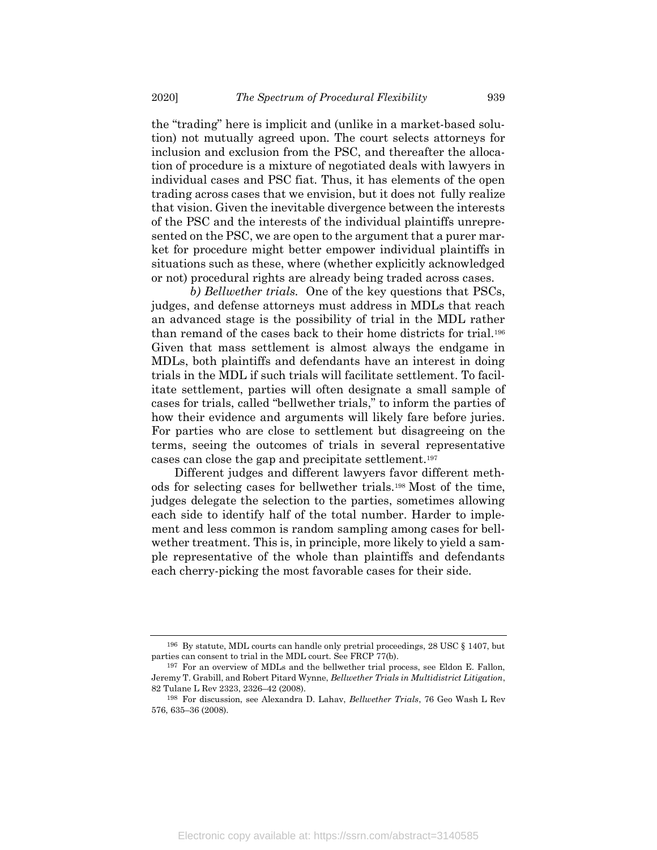the "trading" here is implicit and (unlike in a market-based solution) not mutually agreed upon. The court selects attorneys for inclusion and exclusion from the PSC, and thereafter the allocation of procedure is a mixture of negotiated deals with lawyers in individual cases and PSC fiat. Thus, it has elements of the open trading across cases that we envision, but it does not fully realize that vision. Given the inevitable divergence between the interests of the PSC and the interests of the individual plaintiffs unrepresented on the PSC, we are open to the argument that a purer market for procedure might better empower individual plaintiffs in situations such as these, where (whether explicitly acknowledged or not) procedural rights are already being traded across cases.

b) Bellwether trials. One of the key questions that PSCs, judges, and defense attorneys must address in MDLs that reach an advanced stage is the possibility of trial in the MDL rather than remand of the cases back to their home districts for trial.<sup>196</sup> Given that mass settlement is almost always the endgame in MDLs, both plaintiffs and defendants have an interest in doing trials in the MDL if such trials will facilitate settlement. To facilitate settlement, parties will often designate a small sample of cases for trials, called "bellwether trials," to inform the parties of how their evidence and arguments will likely fare before juries. For parties who are close to settlement but disagreeing on the terms, seeing the outcomes of trials in several representative cases can close the gap and precipitate settlement.<sup>197</sup>

Different judges and different lawyers favor different methods for selecting cases for bellwether trials.198 Most of the time, judges delegate the selection to the parties, sometimes allowing each side to identify half of the total number. Harder to implement and less common is random sampling among cases for bellwether treatment. This is, in principle, more likely to yield a sample representative of the whole than plaintiffs and defendants each cherry-picking the most favorable cases for their side.

<sup>196</sup> By statute, MDL courts can handle only pretrial proceedings, 28 USC § 1407, but parties can consent to trial in the MDL court. See FRCP 77(b).

<sup>197</sup> For an overview of MDLs and the bellwether trial process, see Eldon E. Fallon, Jeremy T. Grabill, and Robert Pitard Wynne, Bellwether Trials in Multidistrict Litigation, 82 Tulane L Rev 2323, 2326–42 (2008).

<sup>198</sup> For discussion, see Alexandra D. Lahav, Bellwether Trials, 76 Geo Wash L Rev 576, 635–36 (2008).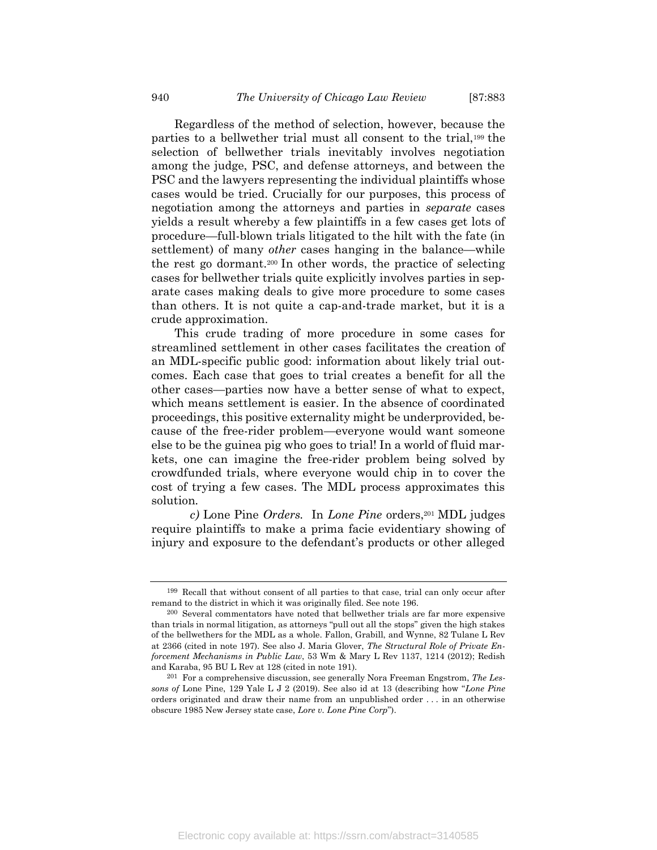Regardless of the method of selection, however, because the parties to a bellwether trial must all consent to the trial,199 the selection of bellwether trials inevitably involves negotiation among the judge, PSC, and defense attorneys, and between the PSC and the lawyers representing the individual plaintiffs whose cases would be tried. Crucially for our purposes, this process of negotiation among the attorneys and parties in separate cases yields a result whereby a few plaintiffs in a few cases get lots of procedure—full-blown trials litigated to the hilt with the fate (in settlement) of many *other* cases hanging in the balance—while the rest go dormant.200 In other words, the practice of selecting cases for bellwether trials quite explicitly involves parties in separate cases making deals to give more procedure to some cases than others. It is not quite a cap-and-trade market, but it is a crude approximation.

This crude trading of more procedure in some cases for streamlined settlement in other cases facilitates the creation of an MDL-specific public good: information about likely trial outcomes. Each case that goes to trial creates a benefit for all the other cases—parties now have a better sense of what to expect, which means settlement is easier. In the absence of coordinated proceedings, this positive externality might be underprovided, because of the free-rider problem—everyone would want someone else to be the guinea pig who goes to trial! In a world of fluid markets, one can imagine the free-rider problem being solved by crowdfunded trials, where everyone would chip in to cover the cost of trying a few cases. The MDL process approximates this solution.

c) Lone Pine Orders. In Lone Pine orders,  $201 \text{ MDL}$  judges require plaintiffs to make a prima facie evidentiary showing of injury and exposure to the defendant's products or other alleged

<sup>199</sup> Recall that without consent of all parties to that case, trial can only occur after remand to the district in which it was originally filed. See note 196.

<sup>200</sup> Several commentators have noted that bellwether trials are far more expensive than trials in normal litigation, as attorneys "pull out all the stops" given the high stakes of the bellwethers for the MDL as a whole. Fallon, Grabill, and Wynne, 82 Tulane L Rev at 2366 (cited in note 197). See also J. Maria Glover, The Structural Role of Private Enforcement Mechanisms in Public Law, 53 Wm & Mary L Rev 1137, 1214 (2012); Redish and Karaba, 95 BU L Rev at 128 (cited in note 191).

 $201$  For a comprehensive discussion, see generally Nora Freeman Engstrom, The Lessons of Lone Pine, 129 Yale L J 2 (2019). See also id at 13 (describing how "Lone Pine orders originated and draw their name from an unpublished order . . . in an otherwise obscure 1985 New Jersey state case, Lore v. Lone Pine Corp").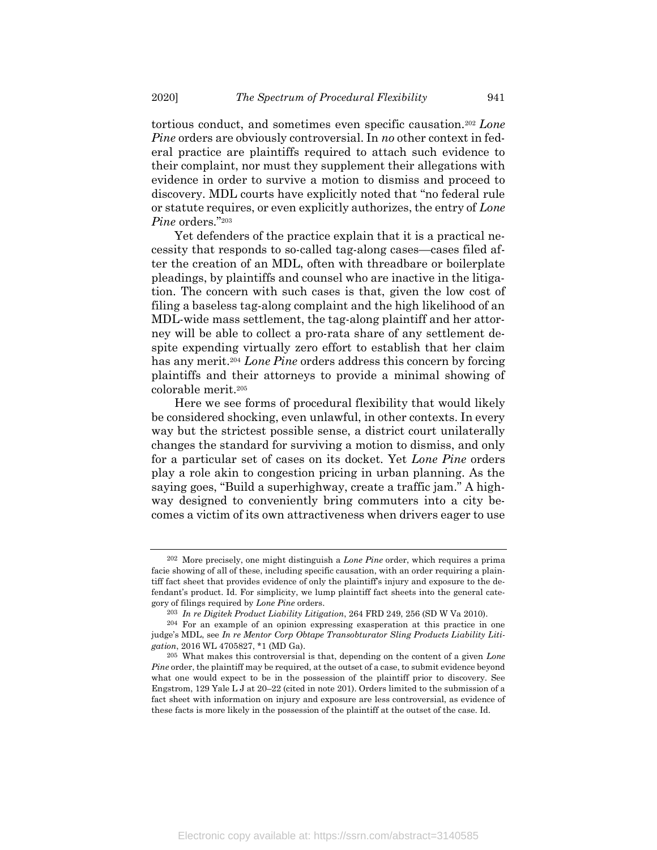tortious conduct, and sometimes even specific causation.<sup>202</sup> Lone Pine orders are obviously controversial. In no other context in federal practice are plaintiffs required to attach such evidence to their complaint, nor must they supplement their allegations with evidence in order to survive a motion to dismiss and proceed to discovery. MDL courts have explicitly noted that "no federal rule or statute requires, or even explicitly authorizes, the entry of Lone Pine orders."203

Yet defenders of the practice explain that it is a practical necessity that responds to so-called tag-along cases—cases filed after the creation of an MDL, often with threadbare or boilerplate pleadings, by plaintiffs and counsel who are inactive in the litigation. The concern with such cases is that, given the low cost of filing a baseless tag-along complaint and the high likelihood of an MDL-wide mass settlement, the tag-along plaintiff and her attorney will be able to collect a pro-rata share of any settlement despite expending virtually zero effort to establish that her claim has any merit.<sup>204</sup> Lone Pine orders address this concern by forcing plaintiffs and their attorneys to provide a minimal showing of colorable merit.<sup>205</sup>

Here we see forms of procedural flexibility that would likely be considered shocking, even unlawful, in other contexts. In every way but the strictest possible sense, a district court unilaterally changes the standard for surviving a motion to dismiss, and only for a particular set of cases on its docket. Yet Lone Pine orders play a role akin to congestion pricing in urban planning. As the saying goes, "Build a superhighway, create a traffic jam." A highway designed to conveniently bring commuters into a city becomes a victim of its own attractiveness when drivers eager to use

 $202$  More precisely, one might distinguish a *Lone Pine* order, which requires a prima facie showing of all of these, including specific causation, with an order requiring a plaintiff fact sheet that provides evidence of only the plaintiff's injury and exposure to the defendant's product. Id. For simplicity, we lump plaintiff fact sheets into the general category of filings required by Lone Pine orders.

<sup>203</sup> In re Digitek Product Liability Litigation, 264 FRD 249, 256 (SD W Va 2010).

 $204$  For an example of an opinion expressing exasperation at this practice in one judge's MDL, see In re Mentor Corp Obtape Transobturator Sling Products Liability Litigation, 2016 WL 4705827, \*1 (MD Ga).

 $205$  What makes this controversial is that, depending on the content of a given Lone Pine order, the plaintiff may be required, at the outset of a case, to submit evidence beyond what one would expect to be in the possession of the plaintiff prior to discovery. See Engstrom, 129 Yale L J at 20–22 (cited in note 201). Orders limited to the submission of a fact sheet with information on injury and exposure are less controversial, as evidence of these facts is more likely in the possession of the plaintiff at the outset of the case. Id.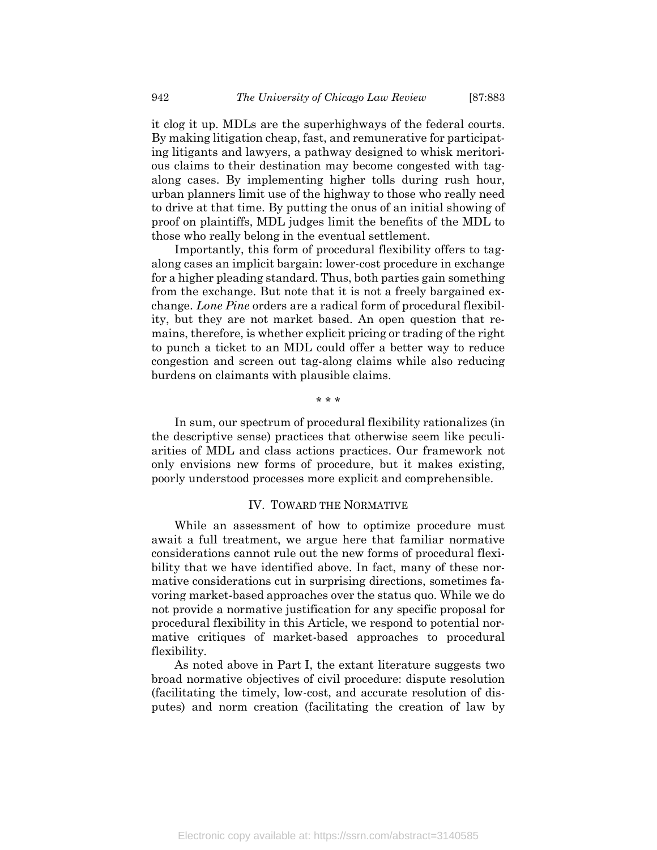it clog it up. MDLs are the superhighways of the federal courts. By making litigation cheap, fast, and remunerative for participating litigants and lawyers, a pathway designed to whisk meritorious claims to their destination may become congested with tagalong cases. By implementing higher tolls during rush hour, urban planners limit use of the highway to those who really need to drive at that time. By putting the onus of an initial showing of proof on plaintiffs, MDL judges limit the benefits of the MDL to those who really belong in the eventual settlement.

Importantly, this form of procedural flexibility offers to tagalong cases an implicit bargain: lower-cost procedure in exchange for a higher pleading standard. Thus, both parties gain something from the exchange. But note that it is not a freely bargained exchange. Lone Pine orders are a radical form of procedural flexibility, but they are not market based. An open question that remains, therefore, is whether explicit pricing or trading of the right to punch a ticket to an MDL could offer a better way to reduce congestion and screen out tag-along claims while also reducing burdens on claimants with plausible claims.

\* \* \*

In sum, our spectrum of procedural flexibility rationalizes (in the descriptive sense) practices that otherwise seem like peculiarities of MDL and class actions practices. Our framework not only envisions new forms of procedure, but it makes existing, poorly understood processes more explicit and comprehensible.

#### IV. TOWARD THE NORMATIVE

While an assessment of how to optimize procedure must await a full treatment, we argue here that familiar normative considerations cannot rule out the new forms of procedural flexibility that we have identified above. In fact, many of these normative considerations cut in surprising directions, sometimes favoring market-based approaches over the status quo. While we do not provide a normative justification for any specific proposal for procedural flexibility in this Article, we respond to potential normative critiques of market-based approaches to procedural flexibility.

As noted above in Part I, the extant literature suggests two broad normative objectives of civil procedure: dispute resolution (facilitating the timely, low-cost, and accurate resolution of disputes) and norm creation (facilitating the creation of law by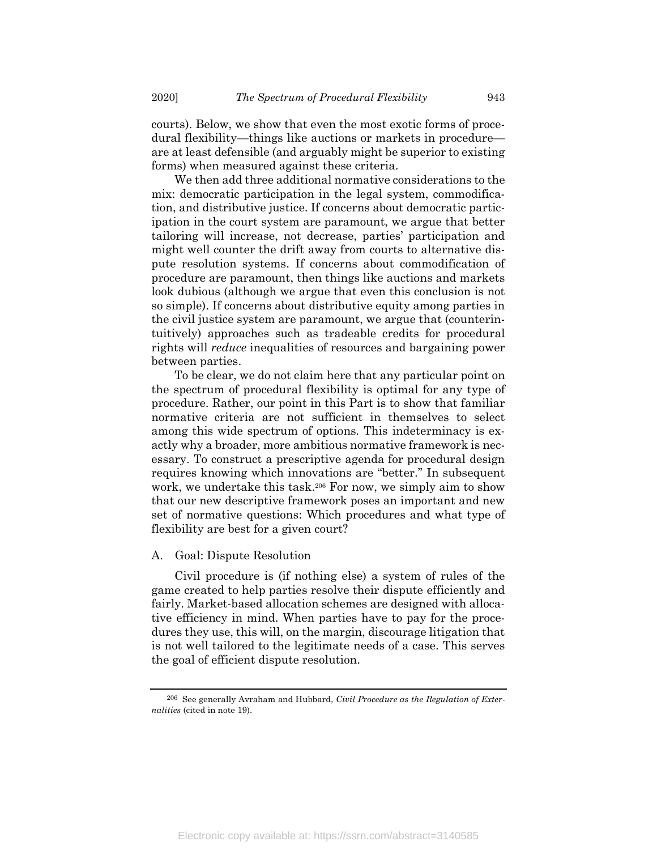courts). Below, we show that even the most exotic forms of procedural flexibility—things like auctions or markets in procedure are at least defensible (and arguably might be superior to existing forms) when measured against these criteria.

We then add three additional normative considerations to the mix: democratic participation in the legal system, commodification, and distributive justice. If concerns about democratic participation in the court system are paramount, we argue that better tailoring will increase, not decrease, parties' participation and might well counter the drift away from courts to alternative dispute resolution systems. If concerns about commodification of procedure are paramount, then things like auctions and markets look dubious (although we argue that even this conclusion is not so simple). If concerns about distributive equity among parties in the civil justice system are paramount, we argue that (counterintuitively) approaches such as tradeable credits for procedural rights will reduce inequalities of resources and bargaining power between parties.

To be clear, we do not claim here that any particular point on the spectrum of procedural flexibility is optimal for any type of procedure. Rather, our point in this Part is to show that familiar normative criteria are not sufficient in themselves to select among this wide spectrum of options. This indeterminacy is exactly why a broader, more ambitious normative framework is necessary. To construct a prescriptive agenda for procedural design requires knowing which innovations are "better." In subsequent work, we undertake this task.206 For now, we simply aim to show that our new descriptive framework poses an important and new set of normative questions: Which procedures and what type of flexibility are best for a given court?

#### A. Goal: Dispute Resolution

Civil procedure is (if nothing else) a system of rules of the game created to help parties resolve their dispute efficiently and fairly. Market-based allocation schemes are designed with allocative efficiency in mind. When parties have to pay for the procedures they use, this will, on the margin, discourage litigation that is not well tailored to the legitimate needs of a case. This serves the goal of efficient dispute resolution.

 $206$  See generally Avraham and Hubbard, *Civil Procedure as the Regulation of Exter*nalities (cited in note 19).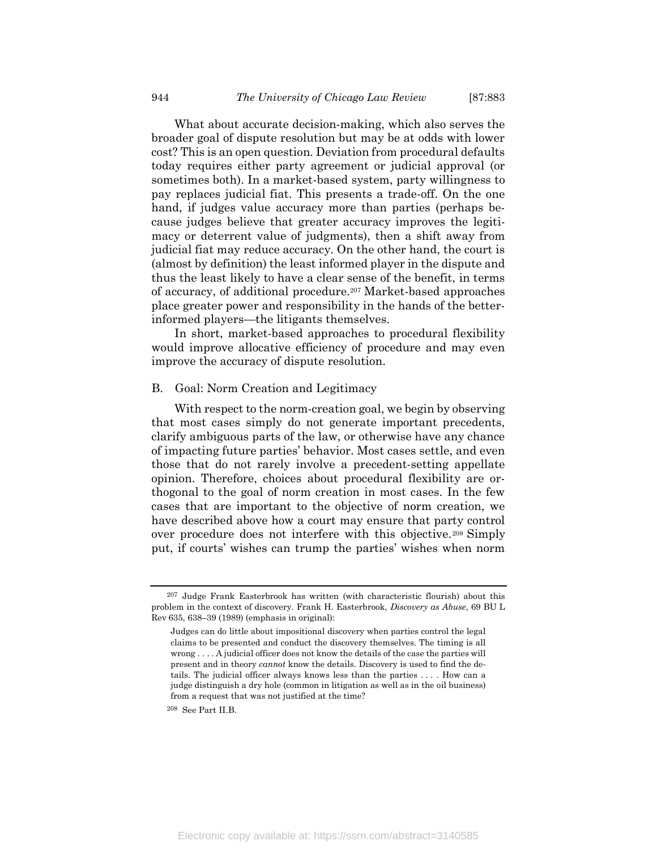What about accurate decision-making, which also serves the broader goal of dispute resolution but may be at odds with lower cost? This is an open question. Deviation from procedural defaults today requires either party agreement or judicial approval (or sometimes both). In a market-based system, party willingness to pay replaces judicial fiat. This presents a trade-off. On the one hand, if judges value accuracy more than parties (perhaps because judges believe that greater accuracy improves the legitimacy or deterrent value of judgments), then a shift away from judicial fiat may reduce accuracy. On the other hand, the court is (almost by definition) the least informed player in the dispute and thus the least likely to have a clear sense of the benefit, in terms of accuracy, of additional procedure.207 Market-based approaches place greater power and responsibility in the hands of the betterinformed players—the litigants themselves.

In short, market-based approaches to procedural flexibility would improve allocative efficiency of procedure and may even improve the accuracy of dispute resolution.

#### B. Goal: Norm Creation and Legitimacy

With respect to the norm-creation goal, we begin by observing that most cases simply do not generate important precedents, clarify ambiguous parts of the law, or otherwise have any chance of impacting future parties' behavior. Most cases settle, and even those that do not rarely involve a precedent-setting appellate opinion. Therefore, choices about procedural flexibility are orthogonal to the goal of norm creation in most cases. In the few cases that are important to the objective of norm creation, we have described above how a court may ensure that party control over procedure does not interfere with this objective.208 Simply put, if courts' wishes can trump the parties' wishes when norm

<sup>207</sup> Judge Frank Easterbrook has written (with characteristic flourish) about this problem in the context of discovery. Frank H. Easterbrook, Discovery as Abuse, 69 BU L Rev 635, 638–39 (1989) (emphasis in original):

Judges can do little about impositional discovery when parties control the legal claims to be presented and conduct the discovery themselves. The timing is all wrong . . . . A judicial officer does not know the details of the case the parties will present and in theory cannot know the details. Discovery is used to find the details. The judicial officer always knows less than the parties . . . . How can a judge distinguish a dry hole (common in litigation as well as in the oil business) from a request that was not justified at the time?

<sup>208</sup> See Part II.B.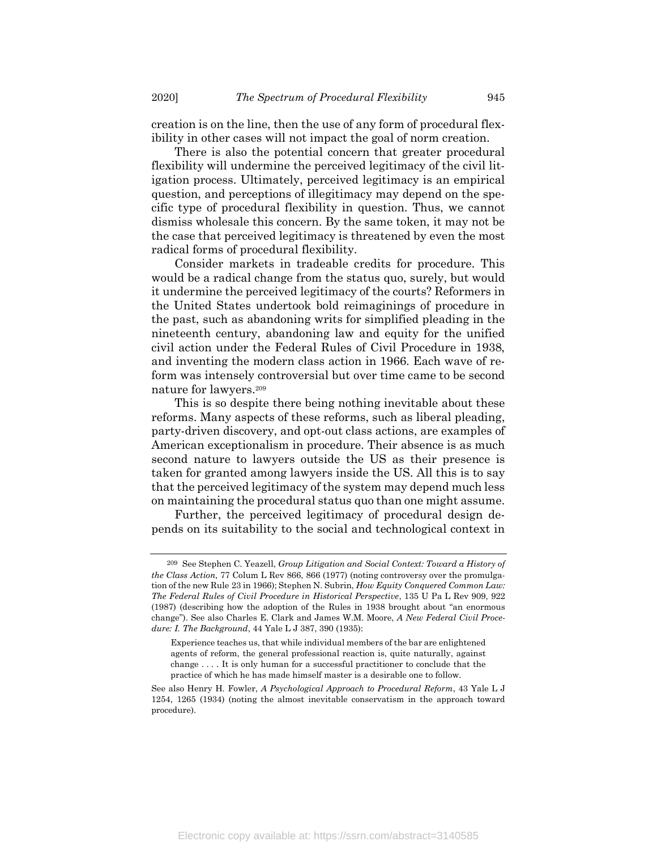creation is on the line, then the use of any form of procedural flexibility in other cases will not impact the goal of norm creation.

There is also the potential concern that greater procedural flexibility will undermine the perceived legitimacy of the civil litigation process. Ultimately, perceived legitimacy is an empirical question, and perceptions of illegitimacy may depend on the specific type of procedural flexibility in question. Thus, we cannot dismiss wholesale this concern. By the same token, it may not be the case that perceived legitimacy is threatened by even the most radical forms of procedural flexibility.

Consider markets in tradeable credits for procedure. This would be a radical change from the status quo, surely, but would it undermine the perceived legitimacy of the courts? Reformers in the United States undertook bold reimaginings of procedure in the past, such as abandoning writs for simplified pleading in the nineteenth century, abandoning law and equity for the unified civil action under the Federal Rules of Civil Procedure in 1938, and inventing the modern class action in 1966. Each wave of reform was intensely controversial but over time came to be second nature for lawyers.<sup>209</sup>

This is so despite there being nothing inevitable about these reforms. Many aspects of these reforms, such as liberal pleading, party-driven discovery, and opt-out class actions, are examples of American exceptionalism in procedure. Their absence is as much second nature to lawyers outside the US as their presence is taken for granted among lawyers inside the US. All this is to say that the perceived legitimacy of the system may depend much less on maintaining the procedural status quo than one might assume.

Further, the perceived legitimacy of procedural design depends on its suitability to the social and technological context in

<sup>209</sup> See Stephen C. Yeazell, Group Litigation and Social Context: Toward a History of the Class Action, 77 Colum L Rev 866, 866 (1977) (noting controversy over the promulgation of the new Rule 23 in 1966); Stephen N. Subrin, How Equity Conquered Common Law: The Federal Rules of Civil Procedure in Historical Perspective, 135 U Pa L Rev 909, 922 (1987) (describing how the adoption of the Rules in 1938 brought about "an enormous change"). See also Charles E. Clark and James W.M. Moore, A New Federal Civil Procedure: I. The Background, 44 Yale L J 387, 390 (1935):

Experience teaches us, that while individual members of the bar are enlightened agents of reform, the general professional reaction is, quite naturally, against change . . . . It is only human for a successful practitioner to conclude that the practice of which he has made himself master is a desirable one to follow.

See also Henry H. Fowler, A Psychological Approach to Procedural Reform, 43 Yale L J 1254, 1265 (1934) (noting the almost inevitable conservatism in the approach toward procedure).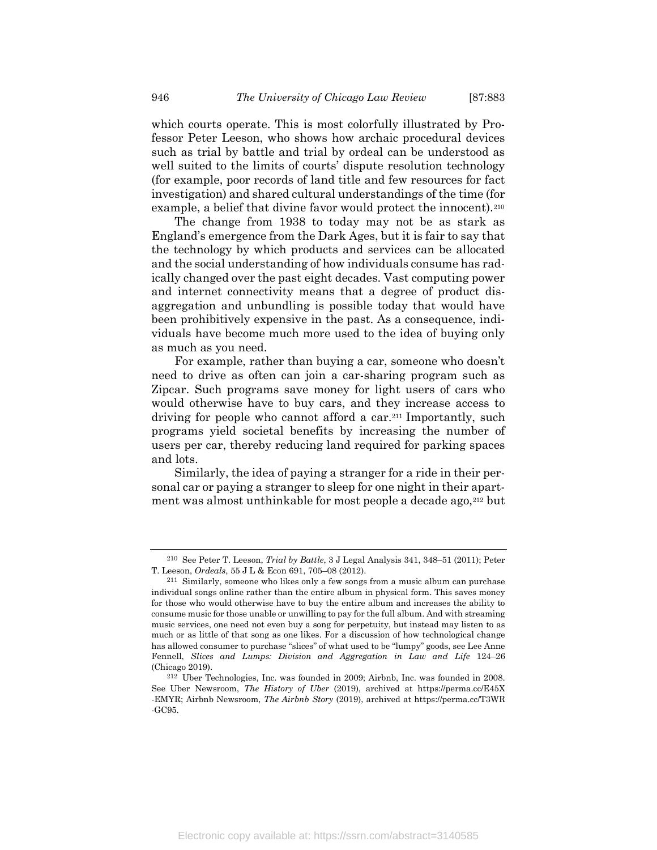which courts operate. This is most colorfully illustrated by Professor Peter Leeson, who shows how archaic procedural devices such as trial by battle and trial by ordeal can be understood as well suited to the limits of courts' dispute resolution technology (for example, poor records of land title and few resources for fact investigation) and shared cultural understandings of the time (for example, a belief that divine favor would protect the innocent).<sup>210</sup>

The change from 1938 to today may not be as stark as England's emergence from the Dark Ages, but it is fair to say that the technology by which products and services can be allocated and the social understanding of how individuals consume has radically changed over the past eight decades. Vast computing power and internet connectivity means that a degree of product disaggregation and unbundling is possible today that would have been prohibitively expensive in the past. As a consequence, individuals have become much more used to the idea of buying only as much as you need.

For example, rather than buying a car, someone who doesn't need to drive as often can join a car-sharing program such as Zipcar. Such programs save money for light users of cars who would otherwise have to buy cars, and they increase access to driving for people who cannot afford a car.211 Importantly, such programs yield societal benefits by increasing the number of users per car, thereby reducing land required for parking spaces and lots.

Similarly, the idea of paying a stranger for a ride in their personal car or paying a stranger to sleep for one night in their apartment was almost unthinkable for most people a decade ago,212 but

<sup>210</sup> See Peter T. Leeson, Trial by Battle, 3 J Legal Analysis 341, 348–51 (2011); Peter T. Leeson, Ordeals, 55 J L & Econ 691, 705–08 (2012).

<sup>211</sup> Similarly, someone who likes only a few songs from a music album can purchase individual songs online rather than the entire album in physical form. This saves money for those who would otherwise have to buy the entire album and increases the ability to consume music for those unable or unwilling to pay for the full album. And with streaming music services, one need not even buy a song for perpetuity, but instead may listen to as much or as little of that song as one likes. For a discussion of how technological change has allowed consumer to purchase "slices" of what used to be "lumpy" goods, see Lee Anne Fennell, Slices and Lumps: Division and Aggregation in Law and Life 124–26 (Chicago 2019).

<sup>212</sup> Uber Technologies, Inc. was founded in 2009; Airbnb, Inc. was founded in 2008. See Uber Newsroom, The History of Uber (2019), archived at https://perma.cc/E45X -EMYR; Airbnb Newsroom, The Airbnb Story (2019), archived at https://perma.cc/T3WR -GC95.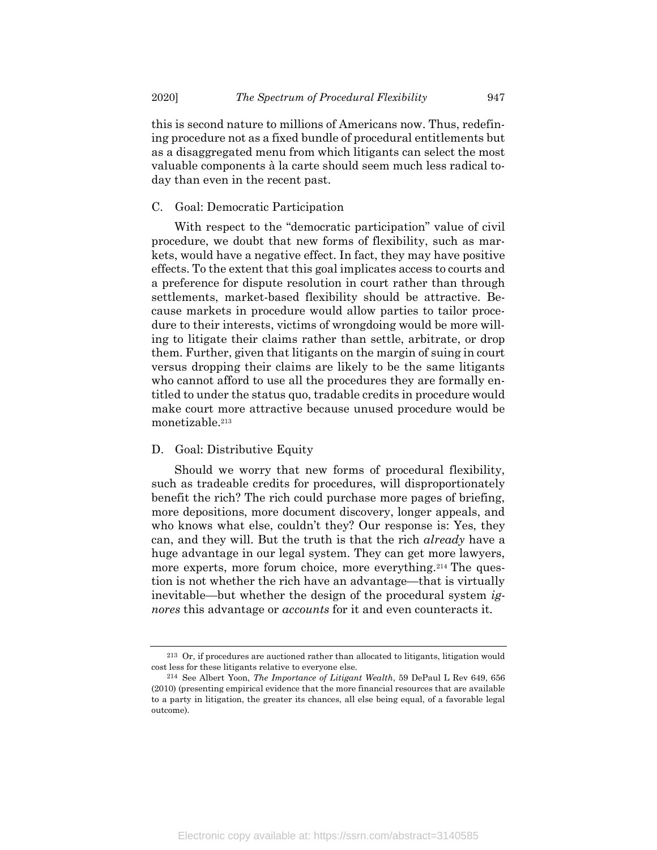this is second nature to millions of Americans now. Thus, redefining procedure not as a fixed bundle of procedural entitlements but as a disaggregated menu from which litigants can select the most valuable components à la carte should seem much less radical today than even in the recent past.

#### C. Goal: Democratic Participation

With respect to the "democratic participation" value of civil procedure, we doubt that new forms of flexibility, such as markets, would have a negative effect. In fact, they may have positive effects. To the extent that this goal implicates access to courts and a preference for dispute resolution in court rather than through settlements, market-based flexibility should be attractive. Because markets in procedure would allow parties to tailor procedure to their interests, victims of wrongdoing would be more willing to litigate their claims rather than settle, arbitrate, or drop them. Further, given that litigants on the margin of suing in court versus dropping their claims are likely to be the same litigants who cannot afford to use all the procedures they are formally entitled to under the status quo, tradable credits in procedure would make court more attractive because unused procedure would be monetizable.<sup>213</sup>

#### D. Goal: Distributive Equity

Should we worry that new forms of procedural flexibility, such as tradeable credits for procedures, will disproportionately benefit the rich? The rich could purchase more pages of briefing, more depositions, more document discovery, longer appeals, and who knows what else, couldn't they? Our response is: Yes, they can, and they will. But the truth is that the rich already have a huge advantage in our legal system. They can get more lawyers, more experts, more forum choice, more everything.<sup>214</sup> The question is not whether the rich have an advantage—that is virtually inevitable—but whether the design of the procedural system ignores this advantage or *accounts* for it and even counteracts it.

<sup>213</sup> Or, if procedures are auctioned rather than allocated to litigants, litigation would cost less for these litigants relative to everyone else.

<sup>214</sup> See Albert Yoon, The Importance of Litigant Wealth, 59 DePaul L Rev 649, 656 (2010) (presenting empirical evidence that the more financial resources that are available to a party in litigation, the greater its chances, all else being equal, of a favorable legal outcome).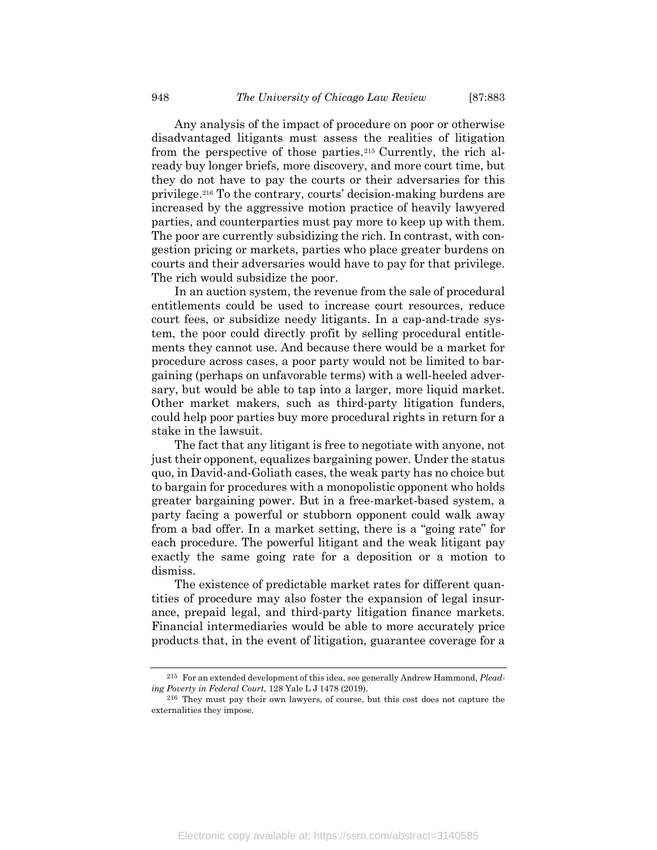Any analysis of the impact of procedure on poor or otherwise disadvantaged litigants must assess the realities of litigation from the perspective of those parties.215 Currently, the rich already buy longer briefs, more discovery, and more court time, but they do not have to pay the courts or their adversaries for this privilege.216 To the contrary, courts' decision-making burdens are increased by the aggressive motion practice of heavily lawyered parties, and counterparties must pay more to keep up with them. The poor are currently subsidizing the rich. In contrast, with congestion pricing or markets, parties who place greater burdens on courts and their adversaries would have to pay for that privilege. The rich would subsidize the poor.

In an auction system, the revenue from the sale of procedural entitlements could be used to increase court resources, reduce court fees, or subsidize needy litigants. In a cap-and-trade system, the poor could directly profit by selling procedural entitlements they cannot use. And because there would be a market for procedure across cases, a poor party would not be limited to bargaining (perhaps on unfavorable terms) with a well-heeled adversary, but would be able to tap into a larger, more liquid market. Other market makers, such as third-party litigation funders, could help poor parties buy more procedural rights in return for a stake in the lawsuit.

The fact that any litigant is free to negotiate with anyone, not just their opponent, equalizes bargaining power. Under the status quo, in David-and-Goliath cases, the weak party has no choice but to bargain for procedures with a monopolistic opponent who holds greater bargaining power. But in a free-market-based system, a party facing a powerful or stubborn opponent could walk away from a bad offer. In a market setting, there is a "going rate" for each procedure. The powerful litigant and the weak litigant pay exactly the same going rate for a deposition or a motion to dismiss.

The existence of predictable market rates for different quantities of procedure may also foster the expansion of legal insurance, prepaid legal, and third-party litigation finance markets. Financial intermediaries would be able to more accurately price products that, in the event of litigation, guarantee coverage for a

<sup>&</sup>lt;sup>215</sup> For an extended development of this idea, see generally Andrew Hammond, *Plead*ing Poverty in Federal Court, 128 Yale L J 1478 (2019).

<sup>216</sup> They must pay their own lawyers, of course, but this cost does not capture the externalities they impose.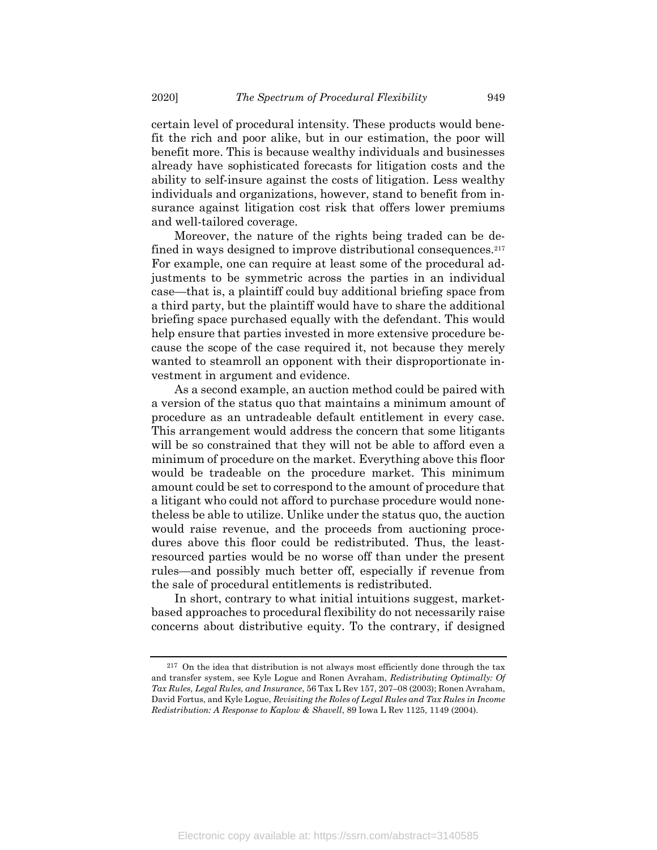certain level of procedural intensity. These products would benefit the rich and poor alike, but in our estimation, the poor will benefit more. This is because wealthy individuals and businesses already have sophisticated forecasts for litigation costs and the ability to self-insure against the costs of litigation. Less wealthy individuals and organizations, however, stand to benefit from insurance against litigation cost risk that offers lower premiums and well-tailored coverage.

Moreover, the nature of the rights being traded can be defined in ways designed to improve distributional consequences.<sup>217</sup> For example, one can require at least some of the procedural adjustments to be symmetric across the parties in an individual case—that is, a plaintiff could buy additional briefing space from a third party, but the plaintiff would have to share the additional briefing space purchased equally with the defendant. This would help ensure that parties invested in more extensive procedure because the scope of the case required it, not because they merely wanted to steamroll an opponent with their disproportionate investment in argument and evidence.

As a second example, an auction method could be paired with a version of the status quo that maintains a minimum amount of procedure as an untradeable default entitlement in every case. This arrangement would address the concern that some litigants will be so constrained that they will not be able to afford even a minimum of procedure on the market. Everything above this floor would be tradeable on the procedure market. This minimum amount could be set to correspond to the amount of procedure that a litigant who could not afford to purchase procedure would nonetheless be able to utilize. Unlike under the status quo, the auction would raise revenue, and the proceeds from auctioning procedures above this floor could be redistributed. Thus, the leastresourced parties would be no worse off than under the present rules—and possibly much better off, especially if revenue from the sale of procedural entitlements is redistributed.

In short, contrary to what initial intuitions suggest, marketbased approaches to procedural flexibility do not necessarily raise concerns about distributive equity. To the contrary, if designed

<sup>217</sup> On the idea that distribution is not always most efficiently done through the tax and transfer system, see Kyle Logue and Ronen Avraham, Redistributing Optimally: Of Tax Rules, Legal Rules, and Insurance, 56 Tax L Rev 157, 207–08 (2003); Ronen Avraham, David Fortus, and Kyle Logue, Revisiting the Roles of Legal Rules and Tax Rules in Income Redistribution: A Response to Kaplow & Shavell, 89 Iowa L Rev 1125, 1149 (2004).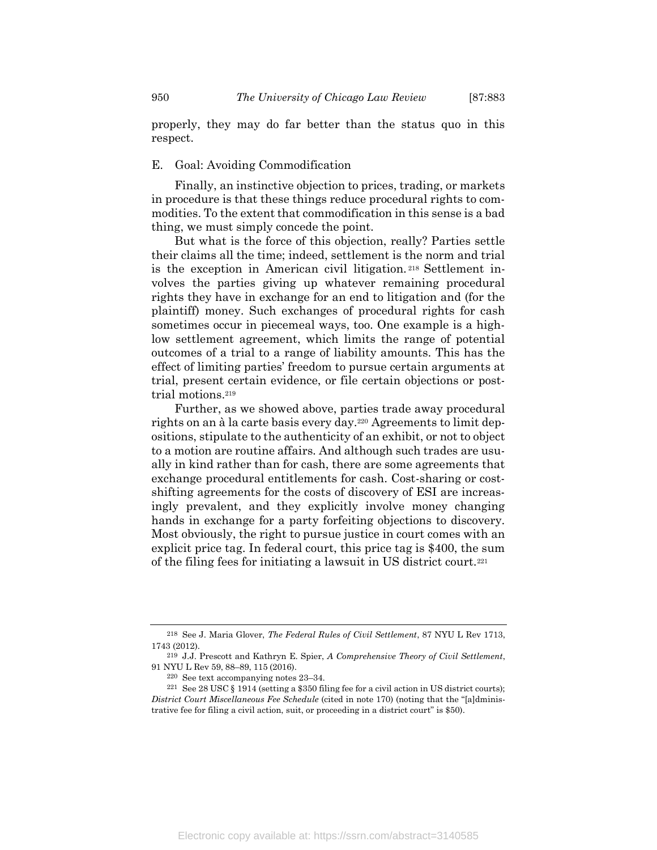properly, they may do far better than the status quo in this respect.

### E. Goal: Avoiding Commodification

Finally, an instinctive objection to prices, trading, or markets in procedure is that these things reduce procedural rights to commodities. To the extent that commodification in this sense is a bad thing, we must simply concede the point.

But what is the force of this objection, really? Parties settle their claims all the time; indeed, settlement is the norm and trial is the exception in American civil litigation. <sup>218</sup> Settlement involves the parties giving up whatever remaining procedural rights they have in exchange for an end to litigation and (for the plaintiff) money. Such exchanges of procedural rights for cash sometimes occur in piecemeal ways, too. One example is a highlow settlement agreement, which limits the range of potential outcomes of a trial to a range of liability amounts. This has the effect of limiting parties' freedom to pursue certain arguments at trial, present certain evidence, or file certain objections or posttrial motions.<sup>219</sup>

Further, as we showed above, parties trade away procedural rights on an à la carte basis every day.220 Agreements to limit depositions, stipulate to the authenticity of an exhibit, or not to object to a motion are routine affairs. And although such trades are usually in kind rather than for cash, there are some agreements that exchange procedural entitlements for cash. Cost-sharing or costshifting agreements for the costs of discovery of ESI are increasingly prevalent, and they explicitly involve money changing hands in exchange for a party forfeiting objections to discovery. Most obviously, the right to pursue justice in court comes with an explicit price tag. In federal court, this price tag is \$400, the sum of the filing fees for initiating a lawsuit in US district court.<sup>221</sup>

<sup>218</sup> See J. Maria Glover, The Federal Rules of Civil Settlement, 87 NYU L Rev 1713, 1743 (2012).

<sup>219</sup> J.J. Prescott and Kathryn E. Spier, A Comprehensive Theory of Civil Settlement, 91 NYU L Rev 59, 88–89, 115 (2016).

<sup>220</sup> See text accompanying notes 23–34.

<sup>&</sup>lt;sup>221</sup> See 28 USC  $\S$  1914 (setting a \$350 filing fee for a civil action in US district courts); District Court Miscellaneous Fee Schedule (cited in note 170) (noting that the "[a]dministrative fee for filing a civil action, suit, or proceeding in a district court" is \$50).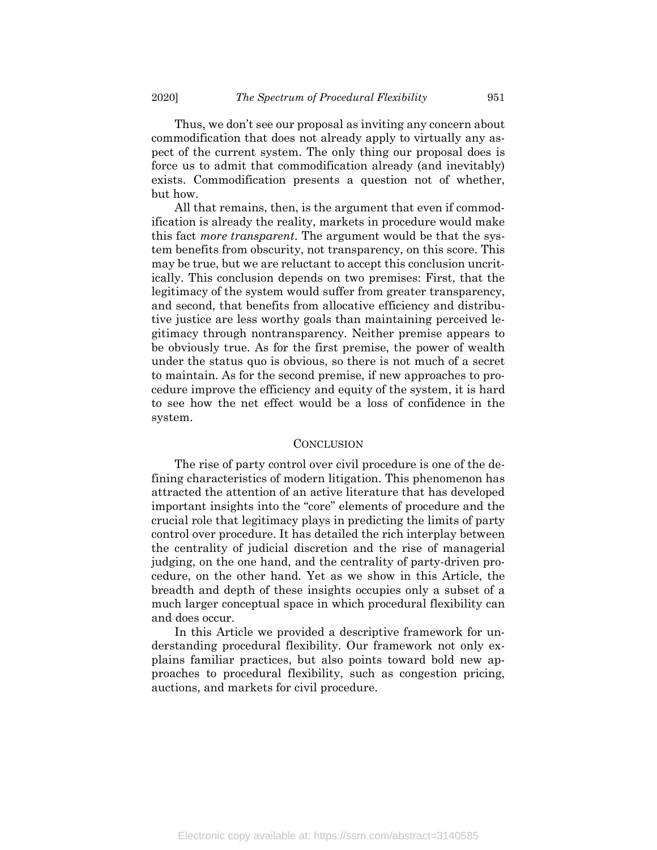Thus, we don't see our proposal as inviting any concern about commodification that does not already apply to virtually any aspect of the current system. The only thing our proposal does is force us to admit that commodification already (and inevitably) exists. Commodification presents a question not of whether, but how.

All that remains, then, is the argument that even if commodification is already the reality, markets in procedure would make this fact *more transparent*. The argument would be that the system benefits from obscurity, not transparency, on this score. This may be true, but we are reluctant to accept this conclusion uncritically. This conclusion depends on two premises: First, that the legitimacy of the system would suffer from greater transparency, and second, that benefits from allocative efficiency and distributive justice are less worthy goals than maintaining perceived legitimacy through nontransparency. Neither premise appears to be obviously true. As for the first premise, the power of wealth under the status quo is obvious, so there is not much of a secret to maintain. As for the second premise, if new approaches to procedure improve the efficiency and equity of the system, it is hard to see how the net effect would be a loss of confidence in the system.

#### **CONCLUSION**

The rise of party control over civil procedure is one of the defining characteristics of modern litigation. This phenomenon has attracted the attention of an active literature that has developed important insights into the "core" elements of procedure and the crucial role that legitimacy plays in predicting the limits of party control over procedure. It has detailed the rich interplay between the centrality of judicial discretion and the rise of managerial judging, on the one hand, and the centrality of party-driven procedure, on the other hand. Yet as we show in this Article, the breadth and depth of these insights occupies only a subset of a much larger conceptual space in which procedural flexibility can and does occur.

In this Article we provided a descriptive framework for understanding procedural flexibility. Our framework not only explains familiar practices, but also points toward bold new approaches to procedural flexibility, such as congestion pricing, auctions, and markets for civil procedure.